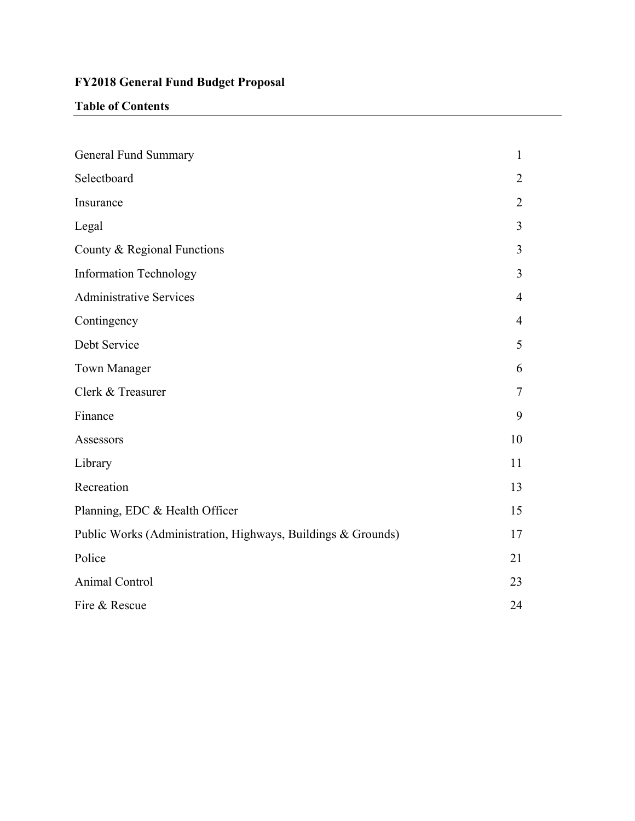## **FY2018 General Fund Budget Proposal**

## **Table of Contents**

| General Fund Summary                                         | $\mathbf{1}$   |
|--------------------------------------------------------------|----------------|
| Selectboard                                                  | $\overline{2}$ |
| Insurance                                                    | $\overline{2}$ |
| Legal                                                        | 3              |
| County & Regional Functions                                  | $\overline{3}$ |
| <b>Information Technology</b>                                | $\overline{3}$ |
| <b>Administrative Services</b>                               | $\overline{4}$ |
| Contingency                                                  | $\overline{4}$ |
| Debt Service                                                 | 5              |
| <b>Town Manager</b>                                          | 6              |
| Clerk & Treasurer                                            | $\overline{7}$ |
| Finance                                                      | 9              |
| Assessors                                                    | 10             |
| Library                                                      | 11             |
| Recreation                                                   | 13             |
| Planning, EDC & Health Officer                               | 15             |
| Public Works (Administration, Highways, Buildings & Grounds) | 17             |
| Police                                                       | 21             |
| Animal Control                                               | 23             |
| Fire & Rescue                                                | 24             |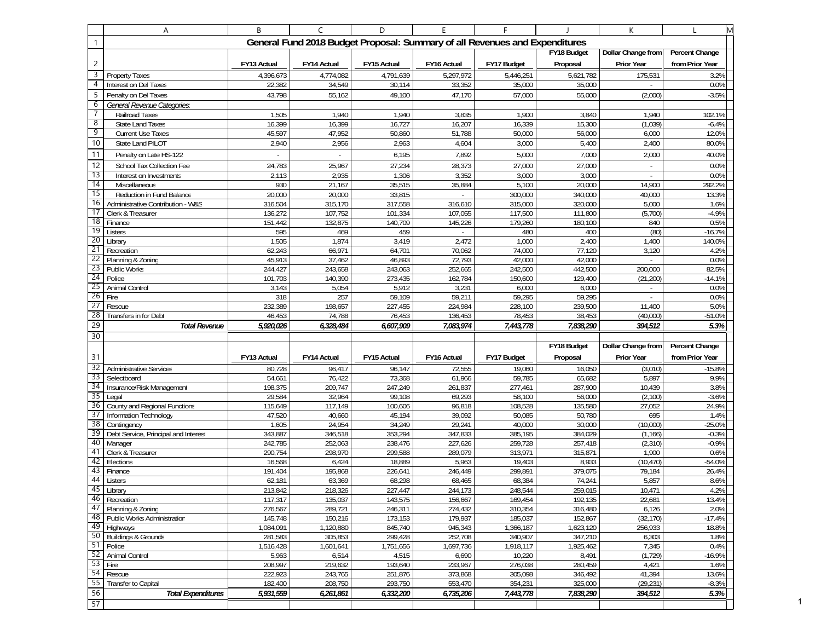|                 | Α                                                              | B                  | C                  | D                                                                           | $\mathsf E$              | F                  |                    | К                         | L               |
|-----------------|----------------------------------------------------------------|--------------------|--------------------|-----------------------------------------------------------------------------|--------------------------|--------------------|--------------------|---------------------------|-----------------|
| 1               |                                                                |                    |                    | General Fund 2018 Budget Proposal: Summary of all Revenues and Expenditures |                          |                    |                    |                           |                 |
|                 |                                                                |                    |                    |                                                                             |                          |                    | FY18 Budget        | Dollar Change from        | Percent Change  |
| $\overline{2}$  |                                                                | FY13 Actual        | FY14 Actual        | FY15 Actual                                                                 | FY16 Actual              | FY17 Budget        | Proposal           | Prior Year                | from Prior Year |
| 3               | Property Taxes                                                 | 4,396,673          | 4,774,082          | 4,791,639                                                                   | 5,297,972                | 5,446,251          | 5,621,782          | 175,531                   | 3.2%            |
| 4               | Interest on Del Taxes                                          | 22,382             | 34,549             | 30,114                                                                      | 33,352                   | 35,000             | 35,000             |                           | 0.0%            |
| 5               | Penalty on Del Taxes                                           | 43,798             | 55,162             | 49,100                                                                      | 47,170                   | 57,000             | 55,000             | (2,000)                   | $-3.5%$         |
| 6               | General Revenue Categories:                                    |                    |                    |                                                                             |                          |                    |                    |                           |                 |
| $\overline{7}$  | Railroad Taxes                                                 | 1,505              | 1,940              | 1,940                                                                       | 3,835                    | 1,900              | 3,840              | 1,940                     | 102.1%          |
| 8               | <b>State Land Taxes</b>                                        | 16,399             | 16,399             | 16,727                                                                      | 16,207                   | 16,339             | 15,300             | (1,039)                   | $-6.4%$         |
| 9               | <b>Current Use Taxes</b>                                       | 45,597             | 47,952             | 50,860                                                                      | 51,788                   | 50,000             | 56,000             | 6,000                     | 12.0%           |
| 10              | State Land PILOT                                               | 2,940              | 2,956              | 2,963                                                                       | 4,604                    | 3,000              | 5,400              | 2,400                     | 80.0%           |
| 11              | Penalty on Late HS-122                                         | ÷.                 | ÷.                 | 6,195                                                                       | 7,892                    | 5,000              | 7,000              | 2,000                     | 40.0%           |
| 12              | School Tax Collection Fee                                      | 24,783             | 25,967             | 27,234                                                                      | 28,373                   | 27,000             | 27,000             | $\overline{\phantom{a}}$  | 0.0%            |
| $\overline{13}$ | Interest on Investments                                        | 2,113              | 2,935              | 1,306                                                                       | 3,352                    | 3,000              | 3,000              | $\sim$                    | 0.0%            |
| 14<br>15        | Miscellaneous                                                  | 930                | 21,167             | 35,515                                                                      | 35,884                   | 5,100              | 20,000             | 14,900                    | 292.2%          |
| 16              | Reduction in Fund Balance<br>Administrative Contribution - W&S | 20,000<br>316,504  | 20,000<br>315,170  | 33,815<br>317,558                                                           | 316,610                  | 300,000<br>315,000 | 340,000<br>320,000 | 40,000<br>5,000           | 13.3%<br>1.6%   |
| 17              | Clerk & Treasurer                                              | 136,272            | 107,752            | 101,334                                                                     | 107,055                  | 117,500            | 111,800            | (5,700)                   | $-4.9%$         |
| 18              | Finance                                                        | 151,442            | 132,875            | 140,709                                                                     | 145,226                  | 179,260            | 180,100            | 840                       | $0.5\%$         |
| 19              | Listers                                                        | 595                | 469                | 459                                                                         | $\overline{\phantom{a}}$ | 480                | 400                | (80)                      | $-16.7%$        |
| 20              | Library                                                        | 1,505              | 1,874              | 3,419                                                                       | 2,472                    | 1,000              | 2,400              | 1,400                     | 140.0%          |
| 21              | Recreation                                                     | 62,243             | 66,971             | 64,701                                                                      | 70,062                   | 74,000             | 77,120             | 3,120                     | 4.2%            |
| 22              | Planning & Zoning                                              | 45,913             | 37,462             | 46,893                                                                      | 72,793                   | 42,000             | 42,000             | $\sim$                    | 0.0%            |
| 23              | Public Works                                                   | 244,427            | 243,658            | 243,063                                                                     | 252,665                  | 242,500            | 442,500            | 200,000                   | 82.5%           |
| 24              | Police                                                         | 101,703            | 140,390            | 273,435                                                                     | 162,784                  | 150,600            | 129,400            | (21, 200)                 | $-14.1%$        |
| 25              | Animal Control                                                 | 3,143              | 5,054              | 5,912                                                                       | 3,231                    | 6,000              | 6,000              | ÷.                        | 0.0%            |
| 26              | Fire                                                           | 318                | 257                | 59,109                                                                      | 59,211                   | 59,295             | 59,295             | $\sim$                    | 0.0%            |
| 27              | Rescue                                                         | 232,389            | 198,657            | 227,455                                                                     | 224,984                  | 228,100            | 239,500            | 11,400                    | 5.0%            |
|                 |                                                                |                    |                    |                                                                             |                          |                    |                    |                           |                 |
| 28              | Transfers in for Debt                                          | 46,453             | 74,788             | 76,453                                                                      | 136,453                  | 78,453             | 38,453             | (40,000)                  | $-51.0%$        |
| 29              | <b>Total Revenue</b>                                           | 5,920,026          | 6,328,484          | 6,607,909                                                                   | 7,083,974                | 7,443,778          | 7,838,290          | 394,512                   | 5.3%            |
| 30              |                                                                |                    |                    |                                                                             |                          |                    | FY18 Budget        | <b>Dollar Change from</b> | Percent Change  |
| 31              |                                                                | FY13 Actual        | FY14 Actual        | FY15 Actual                                                                 | FY16 Actual              | FY17 Budget        | Proposal           | Prior Year                | from Prior Year |
| 32              | <b>Administrative Services</b>                                 | 80,728             | 96,417             | 96,147                                                                      | 72,555                   | 19,060             | 16,050             | (3,010)                   | $-15.8%$        |
| 33              | Selectboard                                                    | 54,661             | 76,422             | 73,368                                                                      | 61,966                   | 59,785             | 65,682             | 5,897                     | 9.9%            |
| 34              | Insurance/Risk Management                                      | 198,375            | 209,747            | 247,249                                                                     | 261,837                  | 277,461            | 287,900            | 10,439                    | 3.8%            |
| 35              | Legal                                                          | 29,584             | 32,964             | 99,108                                                                      | 69,293                   | 58,100             | 56,000             | (2,100)                   | $-3.6%$         |
| 36              | County and Regional Functions                                  | 115,649            | 117,149            | 100,606                                                                     | 96,818                   | 108,528            | 135,580            | 27,052                    | 24.9%           |
| 37              | Information Technology                                         | 47,520             | 40,660             | 45,194                                                                      | 39,092                   | 50,085             | 50,780             | 695                       | 1.4%            |
| 38              | Contingency                                                    | 1,605              | 24,954             | 34,249                                                                      | 29,241                   | 40,000             | 30,000             | (10,000)                  | $-25.0%$        |
| 39<br>40        | Debt Service, Principal and Interest                           | 343,887            | 346,518            | 353,294                                                                     | 347,833                  | 385,195            | 384,029            | (1, 166)                  | $-0.3%$         |
| 41              | Manager                                                        | 242,785            | 252,063            | 238,476                                                                     | 227,626                  | 259,728            | 257,418            | (2, 310)                  | $-0.9%$<br>0.6% |
| 42              | Clerk & Treasurer<br>Elections                                 | 290,754<br>16,568  | 298,970<br>6,424   | 299,588<br>18,889                                                           | 289,079<br>5,963         | 313,971<br>19,403  | 315,871<br>8,933   | 1,900<br>(10, 470)        | $-54.0%$        |
| 43              | Finance                                                        | 191,404            | 195,868            | 226,641                                                                     | 246,449                  | 299,891            | 379,075            | 79,184                    | 26.4%           |
| 44              | Listers                                                        | 62,181             | 63,369             | 68,298                                                                      | 68,465                   | 68,384             | 74,241             | 5,857                     | 8.6%            |
|                 | 45 Library                                                     | 213,842            | 218,326            | 227,447                                                                     | 244,173                  | 248,544            | 259,015            | 10,4/1                    | 4.2%            |
|                 | 46 Recreation                                                  | 117,317            | 135,037            | 143,575                                                                     | 156,667                  | 169,454            | 192,135            | 22,681                    | 13.4%           |
|                 | 47 Planning & Zoning                                           | 276,567            | 289,721            | 246,311                                                                     | 274,432                  | 310,354            | 316,480            | 6,126                     | 2.0%            |
|                 | 48 Public Works Administration                                 | 145,748            | 150,216            | 173,153                                                                     | 179,937                  | 185,037            | 152,867            | (32, 170)                 | $-17.4%$        |
|                 | $\overline{49}$ Highways                                       | 1,084,091          | 1,120,880          | 845,740                                                                     | 945,343                  | 1,366,187          | 1,623,120          | 256,933                   | 18.8%           |
|                 | 50 Buildings & Grounds                                         | 281,583            | 305,853            | 299,428                                                                     | 252,708                  | 340,907            | 347,210            | 6,303                     | 1.8%            |
|                 | 51 Police                                                      | 1,516,428          | 1,601,641          | 1,751,656                                                                   | 1,697,736                | 1,918,117          | 1,925,462          | 7,345                     | 0.4%            |
| 52              | <b>Animal Control</b>                                          | 5,963              | 6,514              | 4,515                                                                       | 6,690                    | 10,220             | 8,491              | (1, 729)                  | $-16.9%$        |
| 54              | 53 Fire<br>Rescue                                              | 208,997<br>222,923 | 219,632<br>243.765 | 193,640<br>251,876                                                          | 233,967<br>373,868       | 276,038<br>305,098 | 280,459<br>346,492 | 4,421<br>41,394           | 1.6%<br>13.6%   |
| 55              | <b>Transfer to Capital</b>                                     | 182,400            | 208,750            | 293,750                                                                     | 553,470                  | 354,231            | 325,000            | (29, 231)                 | $-8.3%$         |
| 56<br>57        | <b>Total Expenditures</b>                                      | 5,931,559          | 6,261,861          | 6,332,200                                                                   | 6,735,206                | 7,443,778          | 7,838,290          | 394,512                   | 5.3%            |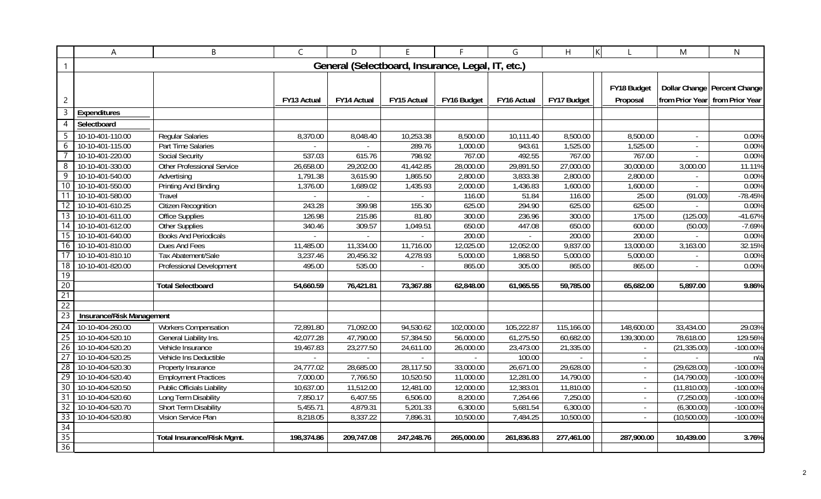|                 | A                         | B                                 | $\mathsf{C}$       | D                                                 | E.                       | F           | G                      | K<br>H      |             | M            | $\mathsf{N}$                    |
|-----------------|---------------------------|-----------------------------------|--------------------|---------------------------------------------------|--------------------------|-------------|------------------------|-------------|-------------|--------------|---------------------------------|
| 1               |                           |                                   |                    | General (Selectboard, Insurance, Legal, IT, etc.) |                          |             |                        |             |             |              |                                 |
|                 |                           |                                   |                    |                                                   |                          |             |                        |             |             |              |                                 |
|                 |                           |                                   |                    |                                                   |                          |             |                        |             | FY18 Budget |              | Dollar Change   Percent Change  |
| $\overline{c}$  |                           |                                   | <b>FY13 Actual</b> | <b>FY14 Actual</b>                                | FY15 Actual              | FY16 Budget | FY16 Actual            | FY17 Budget | Proposal    |              | from Prior Year from Prior Year |
| 3               | Expenditures              |                                   |                    |                                                   |                          |             |                        |             |             |              |                                 |
| 4               | Selectboard               |                                   |                    |                                                   |                          |             |                        |             |             |              |                                 |
| -5              | 10-10-401-110.00          | <b>Regular Salaries</b>           | 8,370.00           | 8,048.40                                          | 10,253.38                | 8,500.00    | 10,111.40              | 8,500.00    | 8,500.00    |              | 0.00%                           |
| 6               | 10-10-401-115.00          | Part Time Salaries                | $\sim$             | $\sim$                                            | 289.76                   | 1,000.00    | 943.61                 | 1,525.00    | 1,525.00    | $\sim$       | 0.00%                           |
|                 | 10-10-401-220.00          | <b>Social Security</b>            | 537.03             | 615.76                                            | 798.92                   | 767.00      | 492.55                 | 767.00      | 767.00      | $\sim$       | 0.00%                           |
| 8               | 10-10-401-330.00          | <b>Other Professional Service</b> | 26,658.00          | 29,202.00                                         | 41,442.85                | 28,000.00   | 29,891.50              | 27,000.00   | 30,000.00   | 3,000.00     | 11.11%                          |
| 9               | 10-10-401-540.00          | Advertising                       | 1,791.38           | 3,615.90                                          | 1,865.50                 | 2,800.00    | 3,833.38               | 2,800.00    | 2,800.00    | $\sim$       | 0.00%                           |
| 10              | 10-10-401-550.00          | Printing And Binding              | 1,376.00           | 1,689.02                                          | 1,435.93                 | 2,000.00    | 1,436.83               | 1,600.00    | 1,600.00    |              | 0.00%                           |
| 11              | 10-10-401-580.00          | Travel                            |                    |                                                   |                          | 116.00      | 51.84                  | 116.00      | 25.00       | (91.00)      | $-78.45%$                       |
| 12              | 10-10-401-610.25          | <b>Citizen Recognition</b>        | 243.28             | 399.98                                            | 155.30                   | 625.00      | 294.90                 | 625.00      | 625.00      |              | 0.00%                           |
| $\overline{13}$ | 10-10-401-611.00          | <b>Office Supplies</b>            | 126.98             | 215.86                                            | 81.80                    | 300.00      | 236.96                 | 300.00      | 175.00      | (125.00)     | $-41.67%$                       |
| 14              | 10-10-401-612.00          | <b>Other Supplies</b>             | 340.46             | 309.57                                            | 1,049.51                 | 650.00      | 447.08                 | 650.00      | 600.00      | (50.00)      | $-7.69%$                        |
| 15              | 10-10-401-640.00          | <b>Books And Periodicals</b>      | $\overline{a}$     | $\sim$                                            |                          | 200.00      |                        | 200.00      | 200.00      |              | 0.00%                           |
| 16              | 10-10-401-810.00          | <b>Dues And Fees</b>              | 11,485.00          | 11,334.00                                         | 11,716.00                | 12,025.00   | 12,052.00              | 9,837.00    | 13,000.00   | 3,163.00     | 32.15%                          |
| 17              | 10-10-401-810.10          | Tax Abatement/Sale                | 3,237.46           | 20,456.32                                         | 4,278.93                 | 5,000.00    | 1,868.50               | 5,000.00    | 5,000.00    |              | 0.00%                           |
| $\overline{18}$ | 10-10-401-820.00          | Professional Development          | 495.00             | 535.00                                            | $\overline{\phantom{a}}$ | 865.00      | 305.00                 | 865.00      | 865.00      |              | 0.00%                           |
| 19              |                           |                                   |                    |                                                   |                          |             |                        |             |             |              |                                 |
| 20              |                           | <b>Total Selectboard</b>          | 54,660.59          | 76,421.81                                         | 73,367.88                | 62,848.00   | 61,965.55              | 59,785.00   | 65,682.00   | 5,897.00     | 9.86%                           |
| 21              |                           |                                   |                    |                                                   |                          |             |                        |             |             |              |                                 |
| $\overline{22}$ |                           |                                   |                    |                                                   |                          |             |                        |             |             |              |                                 |
| 23              | Insurance/Risk Management |                                   |                    |                                                   |                          |             |                        |             |             |              |                                 |
| $\overline{24}$ | 10-10-404-260.00          | <b>Workers Compensation</b>       | 72,891.80          | 71,092.00                                         | 94,530.62                | 102,000.00  | 105,222.87             | 115,166.00  | 148,600.00  | 33,434.00    | 29.03%                          |
| 25              | 10-10-404-520.10          | General Liability Ins.            | 42,077.28          | 47,790.00                                         | 57,384.50                | 56,000.00   | 61,275.50              | 60,682.00   | 139,300.00  | 78,618.00    | 129.56%                         |
| 26              | 10-10-404-520.20          | Vehicle Insurance                 | 19,467.83          | 23,277.50                                         | 24,611.00                | 26,000.00   | 23,473.00              | 21,335.00   | $\sim$      | (21, 335.00) | $-100.00\%$                     |
| 27              | 10-10-404-520.25          | Vehicle Ins Deductible            |                    |                                                   |                          |             | 100.00                 |             | $\sim$      |              | n/a                             |
| 28              | 10-10-404-520.30          | Property Insurance                | 24,777.02          | 28,685.00                                         | 28,117.50                | 33,000.00   | $\overline{26,671.00}$ | 29,628.00   | $\sim$      | (29,628.00)  | $-100.00%$                      |
| 29              | 10-10-404-520.40          | <b>Employment Practices</b>       | 7,000.00           | 7,766.50                                          | 10,520.50                | 11,000.00   | 12,281.00              | 14,790.00   |             | (14,790.00)  | $-100.00%$                      |
| $\overline{30}$ | 10-10-404-520.50          | <b>Public Officials Liability</b> | 10,637.00          | 11,512.00                                         | 12,481.00                | 12,000.00   | 12,383.01              | 11,810.00   | $\sim$      | (11, 810.00) | $-100.00%$                      |
| $\overline{31}$ | 10-10-404-520.60          | Long Term Disability              | 7,850.17           | 6,407.55                                          | 6,506.00                 | 8,200.00    | 7,264.66               | 7,250.00    | $\sim$      | (7,250.00)   | $-100.00%$                      |
| 32              | 10-10-404-520.70          | Short Term Disability             | 5,455.71           | 4,879.31                                          | 5,201.33                 | 6,300.00    | 5,681.54               | 6,300.00    | $\sim$      | (6,300.00)   | $-100.00%$                      |
| $\overline{33}$ | 10-10-404-520.80          | Vision Service Plan               | 8,218.05           | 8,337.22                                          | 7,896.31                 | 10,500.00   | 7,484.25               | 10,500.00   |             | (10,500.00)  | $-100.00%$                      |
| 34              |                           |                                   |                    |                                                   |                          |             |                        |             |             |              |                                 |
| 35              |                           | <b>Total Insurance/Risk Mgmt.</b> | 198,374.86         | 209,747.08                                        | 247,248.76               | 265,000.00  | 261,836.83             | 277,461.00  | 287,900.00  | 10,439.00    | 3.76%                           |
| 36              |                           |                                   |                    |                                                   |                          |             |                        |             |             |              |                                 |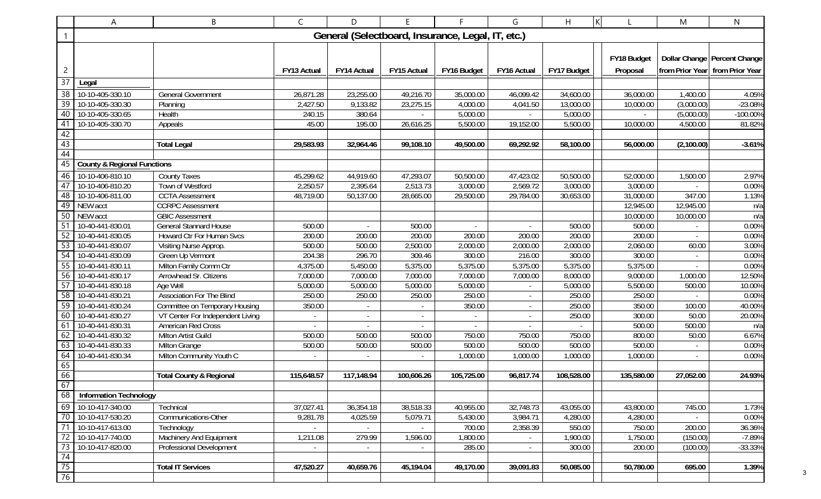| B<br>Α                                                      |                                        |                                                        | $\mathsf{C}$     | D           | E                                                 | F                        | G                        | H           | K                | M                        | N                               |
|-------------------------------------------------------------|----------------------------------------|--------------------------------------------------------|------------------|-------------|---------------------------------------------------|--------------------------|--------------------------|-------------|------------------|--------------------------|---------------------------------|
| $\mathbf{1}$                                                |                                        |                                                        |                  |             | General (Selectboard, Insurance, Legal, IT, etc.) |                          |                          |             |                  |                          |                                 |
|                                                             |                                        |                                                        |                  |             |                                                   |                          |                          |             |                  |                          |                                 |
|                                                             |                                        |                                                        |                  |             |                                                   |                          |                          |             | FY18 Budget      |                          | Dollar Change Percent Change    |
| $\overline{c}$                                              |                                        |                                                        | FY13 Actual      | FY14 Actual | FY15 Actual                                       | FY16 Budget              | FY16 Actual              | FY17 Budget | Proposal         |                          | from Prior Year from Prior Year |
| $\overline{37}$                                             | Legal                                  |                                                        |                  |             |                                                   |                          |                          |             |                  |                          |                                 |
| 38                                                          | 10-10-405-330.10                       | <b>General Government</b>                              | 26,871.28        | 23,255.00   | 49,216.70                                         | 35,000.00                | 46,099.42                | 34,600.00   | 36,000.00        | 1,400.00                 | 4.05%                           |
| $\overline{39}$                                             | 10-10-405-330.30                       | Planning                                               | 2,427.50         | 9,133.82    | 23,275.15                                         | 4,000.00                 | 4,041.50                 | 13,000.00   | 10,000.00        | (3,000.00)               | -23.08%                         |
| 40                                                          | 10-10-405-330.65                       | Health                                                 | 240.15           | 380.64      |                                                   | 5,000.00                 |                          | 5,000.00    |                  | (5,000.00)               | -100.00%                        |
| 41                                                          | 10-10-405-330.70                       | Appeals                                                | 45.00            | 195.00      | 26,616.25                                         | 5,500.00                 | 19,152.00                | 5,500.00    | 10,000.00        | 4,500.00                 | 81.82%                          |
| $\begin{array}{r} 42 \\ \hline 43 \\ \hline 44 \end{array}$ |                                        |                                                        |                  |             |                                                   |                          |                          |             |                  |                          |                                 |
|                                                             |                                        | <b>Total Legal</b>                                     | 29,583.93        | 32,964.46   | 99,108.10                                         | 49,500.00                | 69,292.92                | 58,100.00   | 56,000.00        | (2,100.00)               | $-3.61%$                        |
|                                                             |                                        |                                                        |                  |             |                                                   |                          |                          |             |                  |                          |                                 |
| 45                                                          | <b>County &amp; Regional Functions</b> |                                                        |                  |             |                                                   |                          |                          |             |                  |                          |                                 |
| 46                                                          | 10-10-406-810.10                       | <b>County Taxes</b>                                    | 45,299.62        | 44,919.60   | 47,293.07                                         | 50,500.00                | 47,423.02                | 50,500.00   | 52,000.00        | 1,500.00                 | 2.97%                           |
| 47                                                          | 10-10-406-810.20                       | Town of Westford                                       | 2,250.57         | 2,395.64    | 2,513.73                                          | 3,000.00                 | 2,569.72                 | 3,000.00    | 3,000.00         |                          | 0.00%                           |
| $\overline{48}$                                             | 10-10-406-811.00                       | <b>CCTA</b> Assessment                                 | 48,719.00        | 50,137.00   | 28,665.00                                         | 29,500.00                | 29,784.00                | 30,653.00   | 31,000.00        | 347.00                   | 1.13%                           |
| 49                                                          | NEW acct                               | <b>CCRPC Assessment</b>                                |                  |             |                                                   |                          |                          |             | 12,945.00        | 12,945.00                | n/a                             |
| $\overline{50}$                                             | NEW acct                               | <b>GBIC Assessment</b>                                 |                  |             |                                                   |                          |                          |             | 10,000.00        | 10,000.00                | n/a                             |
| $\overline{51}$                                             | 10-40-441-830.01                       | <b>General Stannard House</b>                          | 500.00           |             | 500.00                                            |                          |                          | 500.00      | 500.00           |                          | 0.00%                           |
| 52                                                          | 10-40-441-830.05                       | Howard Ctr For Human Svcs                              | 200.00           | 200.00      | 200.00                                            | 200.00                   | 200.00                   | 200.00      | 200.00           |                          | 0.00%                           |
| 53                                                          | 10-40-441-830.07                       | Visiting Nurse Approp.                                 | 500.00           | 500.00      | 2,500.00                                          | 2,000.00                 | 2,000.00                 | 2,000.00    | 2,060.00         | 60.00                    | 3.00%                           |
| 54                                                          | 10-40-441-830.09                       | Green Up Vermont                                       | 204.38           | 296.70      | 309.46                                            | 300.00                   | 216.00                   | 300.00      | 300.00           | $\overline{\phantom{a}}$ | 0.00%                           |
| 55                                                          | 10-40-441-830.11                       | Milton Family Comm Ctr                                 | 4,375.00         | 5,450.00    | 5,375.00                                          | 5,375.00                 | 5,375.00                 | 5,375.00    | 5,375.00         |                          | 0.00%                           |
| 56                                                          | 10-40-441-830.17                       | Arrowhead Sr. Citizens                                 | 7,000.00         | 7,000.00    | 7,000.00                                          | 7,000.00                 | 7,000.00                 | 8,000.00    | 9,000.00         | 1,000.00                 | 12.50%                          |
| 57                                                          | 10-40-441-830.18                       | Age Well                                               | 5,000.00         | 5,000.00    | 5,000.00                                          | 5,000.00                 | $\blacksquare$           | 5,000.00    | 5,500.00         | 500.00                   | 10.00%                          |
| 58                                                          | 10-40-441-830.21                       | <b>Association For The Blind</b>                       | 250.00           | 250.00      | 250.00                                            | 250.00                   | $\overline{\phantom{a}}$ | 250.00      | 250.00           |                          | 0.00%                           |
| 59                                                          | 10-40-441-830.24                       | Committee on Temporary Housing                         | 350.00           | $\sim$      | $\sim$                                            | 350.00                   | $ \,$                    | 250.00      | 350.00           | 100.00                   | 40.00%                          |
| 60<br>61                                                    | 10-40-441-830.27<br>10-40-441-830.31   | VT Center For Independent Living<br>American Red Cross | $\blacksquare$   |             | $\overline{\phantom{a}}$                          | $\overline{\phantom{a}}$ | $\overline{\phantom{0}}$ | 250.00      | 300.00           | 50.00                    | 20.00%                          |
| 62                                                          | 10-40-441-830.32                       | Milton Artist Guild                                    | $\sim$<br>500.00 | 500.00      | 500.00                                            | $\blacksquare$<br>750.00 | 750.00                   | 750.00      | 500.00<br>800.00 | 500.00<br>50.00          | n/a<br>6.67%                    |
| 63                                                          | 10-40-441-830.33                       | Milton Grange                                          | 500.00           | 500.00      | 500.00                                            | 500.00                   | 500.00                   | 500.00      | 500.00           |                          | 0.00%                           |
| 64                                                          | 10-40-441-830.34                       | Milton Community Youth C                               |                  |             |                                                   | 1,000.00                 | 1,000.00                 | 1,000.00    | 1,000.00         |                          | 0.00%                           |
|                                                             |                                        |                                                        |                  |             |                                                   |                          |                          |             |                  |                          |                                 |
| $\frac{65}{66}$                                             |                                        | <b>Total County &amp; Regional</b>                     | 115,648.57       | 117,148.94  | 100,606.26                                        | 105,725.00               | 96,817.74                | 108,528.00  | 135,580.00       | 27,052.00                | 24.93%                          |
| 67                                                          |                                        |                                                        |                  |             |                                                   |                          |                          |             |                  |                          |                                 |
| 68                                                          | <b>Information Technology</b>          |                                                        |                  |             |                                                   |                          |                          |             |                  |                          |                                 |
| 69                                                          | 10-10-417-340.00                       | Technical                                              | 37,027.41        | 36,354.18   | 38,518.33                                         | 40,955.00                | 32,748.73                | 43,055.00   | 43,800.00        | 745.00                   | 1.73%                           |
| 70                                                          | 10-10-417-530.20                       | Communications-Other                                   | 9,281.78         | 4,025.59    | 5,079.71                                          | 5,430.00                 | 3,984.71                 | 4,280.00    | 4,280.00         |                          | 0.00%                           |
| 71                                                          | 10-10-417-613.00                       | Technology                                             |                  |             | $\sim$                                            | 700.00                   | 2,358.39                 | 550.00      | 750.00           | 200.00                   | 36.36%                          |
| $\overline{72}$                                             | 10-10-417-740.00                       | Machinery And Equipment                                | 1,211.08         | 279.99      | 1,596.00                                          | 1,800.00                 |                          | 1,900.00    | 1,750.00         | (150.00)                 | $-7.89%$                        |
| 73                                                          | 10-10-417-820.00                       | Professional Development                               |                  | $\sim$      | $\sim$                                            | 285.00                   | $\overline{\phantom{a}}$ | 300.00      | 200.00           | (100.00)                 | $-33.33%$                       |
|                                                             |                                        |                                                        |                  |             |                                                   |                          |                          |             |                  |                          |                                 |
| $\frac{74}{75}$                                             |                                        | <b>Total IT Services</b>                               | 47,520.27        | 40,659.76   | 45,194.04                                         | 49,170.00                | 39,091.83                | 50,085.00   | 50,780.00        | 695.00                   | 1.39%                           |
|                                                             |                                        |                                                        |                  |             |                                                   |                          |                          |             |                  |                          |                                 |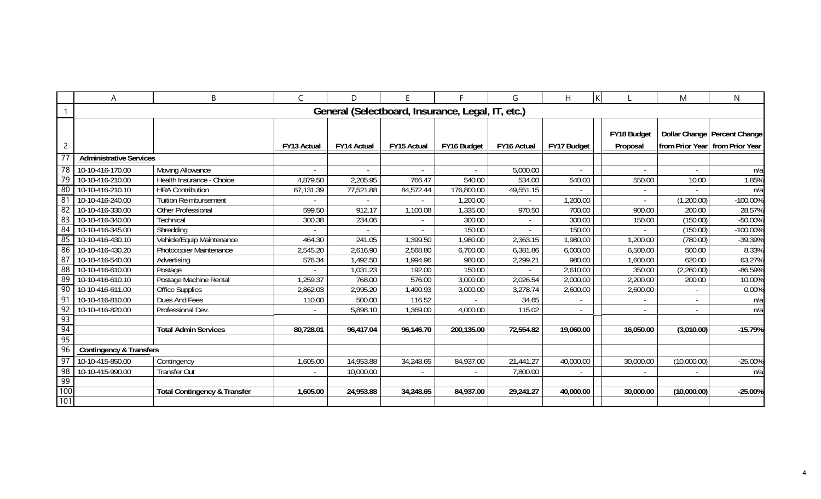|                 | A                              | B                                       | $\mathsf{C}$             | D                                                 |             |                | G           | H           |                          | Μ           | $\mathsf{N}$                    |
|-----------------|--------------------------------|-----------------------------------------|--------------------------|---------------------------------------------------|-------------|----------------|-------------|-------------|--------------------------|-------------|---------------------------------|
|                 |                                |                                         |                          | General (Selectboard, Insurance, Legal, IT, etc.) |             |                |             |             |                          |             |                                 |
|                 |                                |                                         |                          |                                                   |             |                |             |             |                          |             |                                 |
|                 |                                |                                         |                          |                                                   |             |                |             |             | FY18 Budget              |             | Dollar Change   Percent Change  |
| $\overline{2}$  |                                |                                         | <b>FY13 Actual</b>       | FY14 Actual                                       | FY15 Actual | FY16 Budget    | FY16 Actual | FY17 Budget | Proposal                 |             | from Prior Year from Prior Year |
|                 | <b>Administrative Services</b> |                                         |                          |                                                   |             |                |             |             |                          |             |                                 |
| $\overline{78}$ | 10-10-416-170.00               | Moving Allowance                        |                          |                                                   |             |                | 5,000.00    |             |                          |             | n/a                             |
| 79              | 10-10-416-210.00               | Health Insurance - Choice               | 4,879.50                 | 2,205.95                                          | 766.47      | 540.00         | 534.00      | 540.00      | 550.00                   | 10.00       | 1.85%                           |
| 80              | 10-10-416-210.10               | <b>HRA Contribution</b>                 | 67,131.39                | 77,521.88                                         | 84,572.44   | 176,800.00     | 49,551.15   |             |                          |             | n/a                             |
| 81              | 10-10-416-240.00               | <b>Tuition Reimbursement</b>            |                          |                                                   |             | 1,200.00       |             | 1,200.00    |                          | (1,200.00)  | $-100.00\%$                     |
| 82              | 10-10-416-330.00               | Other Professional                      | 599.50                   | 912.17                                            | 1,100.08    | 1,335.00       | 970.50      | 700.00      | 900.00                   | 200.00      | 28.57%                          |
| 83              | 10-10-416-340.00               | Technical                               | 300.38                   | 234.06                                            |             | 300.00         |             | 300.00      | 150.00                   | (150.00)    | $-50.00%$                       |
| 84              | 10-10-416-345.00               | Shredding                               |                          |                                                   |             | 150.00         |             | 150.00      |                          | (150.00)    | $-100.00\%$                     |
| 85              | 10-10-416-430.10               | Vehicle/Equip Maintenance               | 464.30                   | 241.05                                            | 1,399.50    | 1,980.00       | 2,363.15    | 1,980.00    | 1,200.00                 | (780.00)    | -39.39%                         |
| 86              | 10-10-416-430.20               | Photocopier Maintenance                 | 2,545.20                 | 2,616.90                                          | 2,568.80    | 6,700.00       | 6,381.86    | 6,000.00    | 6,500.00                 | 500.00      | 8.33%                           |
| 87              | 10-10-416-540.00               | Advertising                             | 576.34                   | 1,492.50                                          | 1,994.96    | 980.00         | 2,299.21    | 980.00      | 1,600.00                 | 620.00      | 63.27%                          |
| 88              | 10-10-416-610.00               | Postage                                 | $\overline{\phantom{a}}$ | 1,031.23                                          | 192.00      | 150.00         |             | 2,610.00    | 350.00                   | (2,260.00)  | $-86.59%$                       |
| 89              | 10-10-416-610.10               | Postage Machine Rental                  | 1,259.37                 | 768.00                                            | 576.00      | 3,000.00       | 2,026.54    | 2,000.00    | 2,200.00                 | 200.00      | 10.00%                          |
| 90              | 10-10-416-611.00               | Office Supplies                         | 2,862.03                 | 2,995.20                                          | 1,490.93    | 3,000.00       | 3,278.74    | 2,600.00    | 2,600.00                 |             | 0.00%                           |
| 91              | 10-10-416-810.00               | Dues And Fees                           | 110.00                   | 500.00                                            | 116.52      |                | 34.65       |             |                          |             | n/a                             |
| 92              | 10-10-416-820.00               | Professional Dev.                       |                          | 5,898.10                                          | 1,369.00    | 4,000.00       | 115.02      |             |                          |             | n/a                             |
| -93             |                                |                                         |                          |                                                   |             |                |             |             |                          |             |                                 |
| 94              |                                | <b>Total Admin Services</b>             | 80,728.01                | 96,417.04                                         | 96,146.70   | 200,135.00     | 72,554.82   | 19,060.00   | 16,050.00                | (3,010.00)  | $-15.79%$                       |
| 95              |                                |                                         |                          |                                                   |             |                |             |             |                          |             |                                 |
| $-96$           | Contingency & Transfers        |                                         |                          |                                                   |             |                |             |             |                          |             |                                 |
| 97              | 10-10-415-850.00               | Contingency                             | 1,605.00                 | 14,953.88                                         | 34,248.65   | 84,937.00      | 21,441.27   | 40,000.00   | 30,000.00                | (10,000.00) | $-25.00%$                       |
| $\overline{98}$ | 10-10-415-990.00               | <b>Transfer Out</b>                     |                          | 10,000.00                                         |             | $\blacksquare$ | 7,800.00    |             | $\overline{\phantom{a}}$ |             | n/a                             |
| -99             |                                |                                         |                          |                                                   |             |                |             |             |                          |             |                                 |
| 100             |                                | <b>Total Contingency &amp; Transfer</b> | 1,605.00                 | 24,953.88                                         | 34,248.65   | 84,937.00      | 29,241.27   | 40,000.00   | 30,000.00                | (10,000.00) | $-25.00%$                       |
| $\frac{1}{101}$ |                                |                                         |                          |                                                   |             |                |             |             |                          |             |                                 |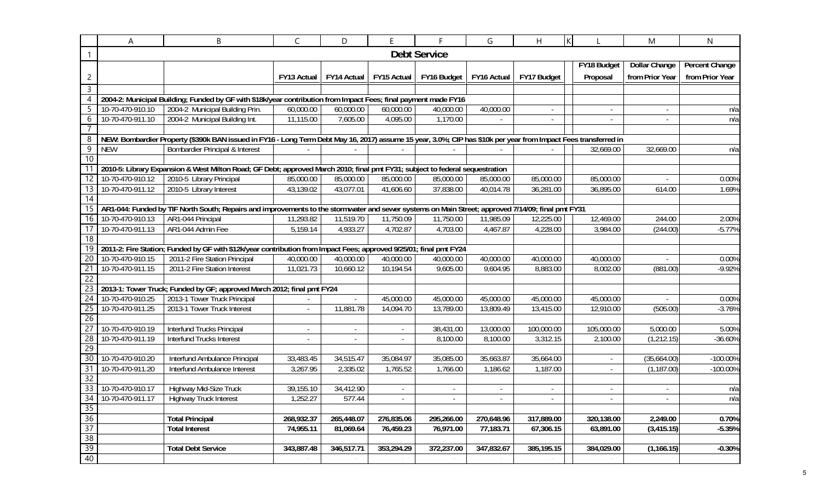|                       | Α                                    | B                                                                                                                                                               | $\mathsf{C}$ | D                        | E.                       | F.                     | G           | H                        | ΙK |                | M                        | $\mathsf{N}$    |
|-----------------------|--------------------------------------|-----------------------------------------------------------------------------------------------------------------------------------------------------------------|--------------|--------------------------|--------------------------|------------------------|-------------|--------------------------|----|----------------|--------------------------|-----------------|
|                       |                                      |                                                                                                                                                                 |              |                          |                          | <b>Debt Service</b>    |             |                          |    |                |                          |                 |
|                       |                                      |                                                                                                                                                                 |              |                          |                          |                        |             |                          |    | FY18 Budget    | <b>Dollar Change</b>     | Percent Change  |
| 2                     |                                      |                                                                                                                                                                 | FY13 Actual  | FY14 Actual              | FY15 Actual              | FY16 Budget            | FY16 Actual | FY17 Budget              |    | Proposal       | from Prior Year          | from Prior Year |
| $\mathsf{3}$          |                                      |                                                                                                                                                                 |              |                          |                          |                        |             |                          |    |                |                          |                 |
| 4                     |                                      | 2004-2: Municipal Building; Funded by GF with \$18k/year contribution from Impact Fees; final payment made FY16                                                 |              |                          |                          |                        |             |                          |    |                |                          |                 |
| 5                     | 10-70-470-910.10                     | 2004-2 Municipal Building Prin.                                                                                                                                 | 60,000.00    | 60,000.00                | 60,000.00                | 40,000.00              | 40,000.00   | $\blacksquare$           |    | $\sim$         | $\overline{\phantom{a}}$ | n/a             |
| 6                     | 10-70-470-911.10                     | 2004-2 Municipal Building Int.                                                                                                                                  | 11,115.00    | 7,605.00                 | 4,095.00                 | 1,170.00               | $\sim$      | $\overline{\phantom{a}}$ |    | $\sim$         | $\overline{\phantom{a}}$ | n/a             |
| $\overline{7}$        |                                      |                                                                                                                                                                 |              |                          |                          |                        |             |                          |    |                |                          |                 |
| 8                     |                                      | NEW: Bombardier Property (\$390k BAN issued in FY16 - Long Term Debt May 16, 2017) assume 15 year, 3.0%; CIP has \$10k per year from Impact Fees transferred in |              |                          |                          |                        |             |                          |    |                |                          |                 |
| $\overline{9}$        | <b>NEW</b>                           | <b>Bombardier Principal &amp; Interest</b>                                                                                                                      |              |                          |                          |                        |             |                          |    | 32,669.00      | 32,669.00                | n/a             |
| 10                    |                                      |                                                                                                                                                                 |              |                          |                          |                        |             |                          |    |                |                          |                 |
| $\overline{11}$       |                                      | 2010-5: Library Expansion & West Milton Road; GF Debt; approved March 2010; final pmt FY31; subject to federal sequestration                                    |              |                          |                          |                        |             |                          |    |                |                          |                 |
| 12                    | 10-70-470-910.12                     | 2010-5 Library Principal                                                                                                                                        | 85,000.00    | 85,000.00                | 85,000.00                | 85,000.00              | 85,000.00   | 85,000.00                |    | 85,000.00      |                          | 0.00%           |
| 13                    | 10-70-470-911.12                     | 2010-5 Library Interest                                                                                                                                         | 43,139.02    | 43,077.01                | 41,606.60                | 37,838.00              | 40,014.78   | 36,281.00                |    | 36,895.00      | 614.00                   | 1.69%           |
| $\overline{14}$       |                                      |                                                                                                                                                                 |              |                          |                          |                        |             |                          |    |                |                          |                 |
| 15                    |                                      | AR1-044: Funded by TIF North South; Repairs and improvements to the stormwater and sewer systems on Main Street; approved 7/14/09; final pmt FY31               |              |                          |                          |                        |             |                          |    |                |                          |                 |
| 16                    | 10-70-470-910.13                     | AR1-044 Principal                                                                                                                                               | 11,293.82    | 11,519.70                | 11,750.09                | 11,750.00              | 11,985.09   | 12,225.00                |    | 12,469.00      | 244.00                   | 2.00%           |
| 17                    | 10-70-470-911.13                     | AR1-044 Admin Fee                                                                                                                                               | 5,159.14     | 4,933.27                 | 4,702.87                 | 4,703.00               | 4,467.87    | 4,228.00                 |    | 3,984.00       | (244.00)                 | $-5.77%$        |
| $\overline{18}$       |                                      |                                                                                                                                                                 |              |                          |                          |                        |             |                          |    |                |                          |                 |
| $\overline{19}$       |                                      | 2011-2: Fire Station; Funded by GF with \$12k/year contribution from Impact Fees; approved 9/25/01; final pmt FY24                                              |              |                          |                          |                        |             |                          |    |                |                          |                 |
| 20                    | 10-70-470-910.15                     | 2011-2 Fire Station Principal                                                                                                                                   | 40,000.00    | 40,000.00                | 40,000.00                | 40,000.00              | 40,000.00   | 40,000.00                |    | 40,000.00      |                          | 0.00%           |
| 21                    | 10-70-470-911.15                     | 2011-2 Fire Station Interest                                                                                                                                    | 11,021.73    | 10,660.12                | 10,194.54                | 9,605.00               | 9,604.95    | 8,883.00                 |    | 8,002.00       | (881.00)                 | $-9.92%$        |
| $\overline{22}$       |                                      |                                                                                                                                                                 |              |                          |                          |                        |             |                          |    |                |                          |                 |
| 23                    |                                      | 2013-1: Tower Truck; Funded by GF; approved March 2012; final pmt FY24                                                                                          |              |                          |                          |                        |             |                          |    |                |                          |                 |
| 24                    | 10-70-470-910.25<br>10-70-470-911.25 | 2013-1 Tower Truck Principal                                                                                                                                    |              | $\overline{\phantom{a}}$ | 45,000.00<br>14,094.70   | 45,000.00<br>13,789.00 | 45,000.00   | 45,000.00                |    | 45,000.00      |                          | 0.00%           |
| 25<br>$\overline{26}$ |                                      | 2013-1 Tower Truck Interest                                                                                                                                     |              | 11,881.78                |                          |                        | 13,809.49   | 13,415.00                |    | 12,910.00      | (505.00)                 | $-3.76%$        |
| $\overline{27}$       | 10-70-470-910.19                     | Interfund Trucks Principal                                                                                                                                      |              | $\sim$                   | $\overline{\phantom{a}}$ | 38,431.00              | 13,000.00   | 100,000.00               |    | 105,000.00     | 5,000.00                 | 5.00%           |
| 28                    | 10-70-470-911.19                     | <b>Interfund Trucks Interest</b>                                                                                                                                |              | $\sim$                   |                          | 8,100.00               | 8,100.00    | 3,312.15                 |    | 2,100.00       | (1, 212.15)              | $-36.60%$       |
| 29                    |                                      |                                                                                                                                                                 |              |                          | $\overline{\phantom{a}}$ |                        |             |                          |    |                |                          |                 |
| 30                    | 10-70-470-910.20                     | Interfund Ambulance Principal                                                                                                                                   | 33,483.45    | 34,515.47                | 35,084.97                | 35,085.00              | 35,663.87   | 35,664.00                |    | $\blacksquare$ | (35,664.00)              | -100.00%        |
| 31                    | 10-70-470-911.20                     | Interfund Ambulance Interest                                                                                                                                    | 3,267.95     | 2,335.02                 | 1,765.52                 | 1,766.00               | 1,186.62    | 1,187.00                 |    | $\sim$         | (1, 187.00)              | -100.00%        |
| $\overline{32}$       |                                      |                                                                                                                                                                 |              |                          |                          |                        |             |                          |    |                |                          |                 |
| 33                    | 10-70-470-910.17                     | Highway Mid-Size Truck                                                                                                                                          | 39,155.10    | 34,412.90                | $\overline{\phantom{a}}$ |                        |             |                          |    | $\blacksquare$ |                          | n/a             |
| 34                    | 10-70-470-911.17                     | Highway Truck Interest                                                                                                                                          | 1,252.27     | 577.44                   |                          |                        |             |                          |    |                |                          | n/a             |
|                       |                                      |                                                                                                                                                                 |              |                          |                          |                        |             |                          |    |                |                          |                 |
| $\frac{35}{36}$       |                                      | <b>Total Principal</b>                                                                                                                                          | 268,932.37   | 265,448.07               | 276,835.06               | 295,266.00             | 270,648.96  | 317,889.00               |    | 320,138.00     | 2,249.00                 | 0.70%           |
| 37                    |                                      | <b>Total Interest</b>                                                                                                                                           | 74,955.11    | 81,069.64                | 76,459.23                | 76,971.00              | 77,183.71   | 67,306.15                |    | 63,891.00      | (3, 415.15)              | $-5.35%$        |
| $\overline{38}$       |                                      |                                                                                                                                                                 |              |                          |                          |                        |             |                          |    |                |                          |                 |
| 39                    |                                      | <b>Total Debt Service</b>                                                                                                                                       | 343,887.48   | 346,517.71               | 353,294.29               | 372,237.00             | 347,832.67  | 385,195.15               |    | 384,029.00     | (1, 166.15)              | $-0.30%$        |
| 40                    |                                      |                                                                                                                                                                 |              |                          |                          |                        |             |                          |    |                |                          |                 |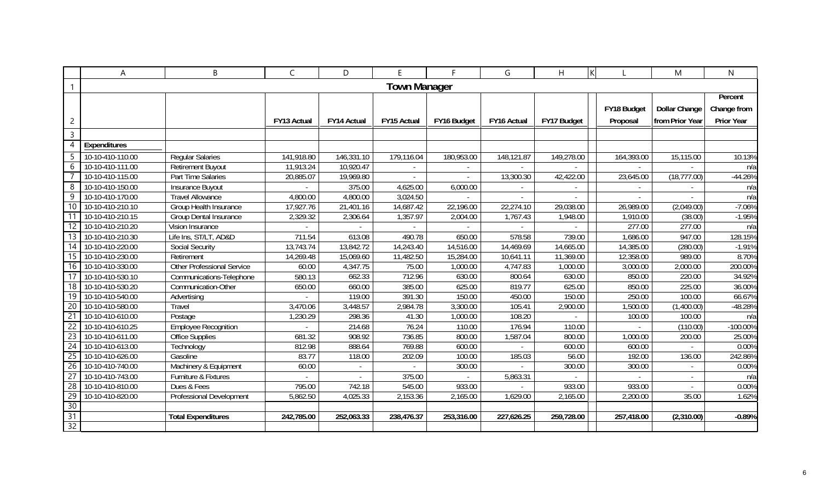|                 | A                | B                                 | C           | D                  | E.                  | F           | G           | H           |             | M                    | N                 |
|-----------------|------------------|-----------------------------------|-------------|--------------------|---------------------|-------------|-------------|-------------|-------------|----------------------|-------------------|
|                 |                  |                                   |             |                    | <b>Town Manager</b> |             |             |             |             |                      |                   |
|                 |                  |                                   |             |                    |                     |             |             |             |             |                      | Percent           |
|                 |                  |                                   |             |                    |                     |             |             |             | FY18 Budget | <b>Dollar Change</b> | Change from       |
| $\overline{c}$  |                  |                                   | FY13 Actual | <b>FY14 Actual</b> | <b>FY15 Actual</b>  | FY16 Budget | FY16 Actual | FY17 Budget | Proposal    | from Prior Year      | <b>Prior Year</b> |
| $\mathsf{3}$    |                  |                                   |             |                    |                     |             |             |             |             |                      |                   |
| 4               | Expenditures     |                                   |             |                    |                     |             |             |             |             |                      |                   |
| -5              | 10-10-410-110.00 | <b>Regular Salaries</b>           | 141,918.80  | 146,331.10         | 179,116.04          | 180,953.00  | 148,121.87  | 149,278.00  | 164,393.00  | 15,115.00            | 10.13%            |
| 6               | 10-10-410-111.00 | <b>Retirement Buyout</b>          | 11,913.24   | 10,920.47          |                     |             |             |             |             |                      | n/a               |
|                 | 10-10-410-115.00 | Part Time Salaries                | 20,885.07   | 19,969.80          |                     |             | 13,300.30   | 42,422.00   | 23,645.00   | (18, 777.00)         | $-44.26%$         |
| 8               | 10-10-410-150.00 | Insurance Buyout                  |             | 375.00             | 4,625.00            | 6,000.00    |             |             |             |                      | n/a               |
| 9               | 10-10-410-170.00 | <b>Travel Allowance</b>           | 4,800.00    | 4,800.00           | 3,024.50            |             |             |             |             |                      | n/a               |
| 10              | 10-10-410-210.10 | Group Health Insurance            | 17,927.76   | 21,401.16          | 14,687.42           | 22,196.00   | 22,274.10   | 29,038.00   | 26,989.00   | (2,049.00)           | $-7.06%$          |
|                 | 10-10-410-210.15 | <b>Group Dental Insurance</b>     | 2,329.32    | 2,306.64           | 1,357.97            | 2,004.00    | 1,767.43    | 1,948.00    | 1,910.00    | (38.00)              | $-1.95%$          |
| 12              | 10-10-410-210.20 | Vision Insurance                  |             |                    |                     |             |             |             | 277.00      | 277.00               | n/a               |
| 13              | 10-10-410-210.30 | Life Ins, ST/LT, AD&D             | 711.54      | 613.08             | 490.78              | 650.00      | 578.58      | 739.00      | 1,686.00    | 947.00               | 128.15%           |
| 14              | 10-10-410-220.00 | <b>Social Security</b>            | 13,743.74   | 13,842.72          | 14,243.40           | 14,516.00   | 14,469.69   | 14,665.00   | 14,385.00   | (280.00)             | $-1.91%$          |
| 15              | 10-10-410-230.00 | Retirement                        | 14,269.48   | 15,069.60          | 11,482.50           | 15,284.00   | 10,641.11   | 11,369.00   | 12,358.00   | 989.00               | 8.70%             |
| 16              | 10-10-410-330.00 | <b>Other Professional Service</b> | 60.00       | 4,347.75           | 75.00               | 1,000.00    | 4,747.83    | 1,000.00    | 3,000.00    | 2,000.00             | 200.00%           |
| 17              | 10-10-410-530.10 | Communications-Telephone          | 580.13      | 662.33             | 712.96              | 630.00      | 800.64      | 630.00      | 850.00      | 220.00               | 34.92%            |
| 18              | 10-10-410-530.20 | Communication-Other               | 650.00      | 660.00             | 385.00              | 625.00      | 819.77      | 625.00      | 850.00      | 225.00               | 36.00%            |
| 19              | 10-10-410-540.00 | Advertising                       |             | 119.00             | 391.30              | 150.00      | 450.00      | 150.00      | 250.00      | 100.00               | 66.67%            |
| 20              | 10-10-410-580.00 | Travel                            | 3,470.06    | 3,448.57           | 2,984.78            | 3,300.00    | 105.41      | 2,900.00    | 1,500.00    | (1,400.00)           | -48.28%           |
| 21              | 10-10-410-610.00 | Postage                           | 1,230.29    | 298.36             | 41.30               | 1,000.00    | 108.20      |             | 100.00      | 100.00               | n/a               |
| $\overline{22}$ | 10-10-410-610.25 | <b>Employee Recognition</b>       |             | 214.68             | 76.24               | 110.00      | 176.94      | 110.00      |             | (110.00)             | $-100.00\%$       |
| 23              | 10-10-410-611.00 | <b>Office Supplies</b>            | 681.32      | 908.92             | 736.85              | 800.00      | 1,587.04    | 800.00      | 1,000.00    | 200.00               | 25.00%            |
| 24              | 10-10-410-613.00 | Technology                        | 812.98      | 888.64             | 769.88              | 600.00      |             | 600.00      | 600.00      |                      | 0.00%             |
| 25              | 10-10-410-626.00 | Gasoline                          | 83.77       | 118.00             | 202.09              | 100.00      | 185.03      | 56.00       | 192.00      | 136.00               | 242.86%           |
| $\overline{26}$ | 10-10-410-740.00 | Machinery & Equipment             | 60.00       |                    |                     | 300.00      |             | 300.00      | 300.00      |                      | 0.00%             |
| $\overline{27}$ | 10-10-410-743.00 | Furniture & Fixtures              |             |                    | 375.00              |             | 5,863.31    |             |             |                      | n/a               |
| 28              | 10-10-410-810.00 | Dues & Fees                       | 795.00      | 742.18             | 545.00              | 933.00      |             | 933.00      | 933.00      |                      | 0.00%             |
| 29              | 10-10-410-820.00 | Professional Development          | 5,862.50    | 4,025.33           | 2,153.36            | 2,165.00    | 1,629.00    | 2,165.00    | 2,200.00    | 35.00                | 1.62%             |
| 30              |                  |                                   |             |                    |                     |             |             |             |             |                      |                   |
| $\overline{31}$ |                  | <b>Total Expenditures</b>         | 242,785.00  | 252,063.33         | 238,476.37          | 253,316.00  | 227,626.25  | 259,728.00  | 257,418.00  | (2,310.00)           | $-0.89%$          |
| $\overline{32}$ |                  |                                   |             |                    |                     |             |             |             |             |                      |                   |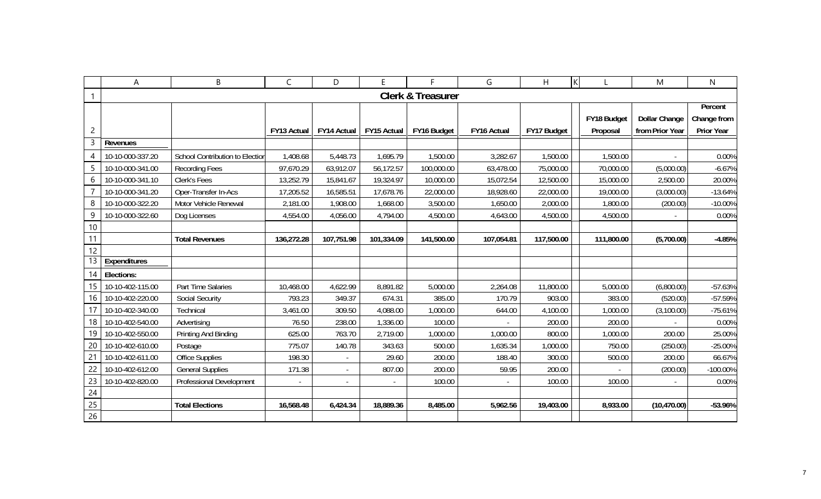|                | A                | B                               | $\mathsf C$        | D              | E           | F                            | G                        | H           | $\mathsf{K}$ |            | M                    | ${\sf N}$   |
|----------------|------------------|---------------------------------|--------------------|----------------|-------------|------------------------------|--------------------------|-------------|--------------|------------|----------------------|-------------|
| 1              |                  |                                 |                    |                |             | <b>Clerk &amp; Treasurer</b> |                          |             |              |            |                      |             |
|                |                  |                                 |                    |                |             |                              |                          |             |              |            |                      | Percent     |
|                |                  |                                 |                    |                |             |                              |                          |             | FY18 Budget  |            | <b>Dollar Change</b> | Change from |
| $\overline{c}$ |                  |                                 | <b>FY13 Actual</b> | FY14 Actual    | FY15 Actual | FY16 Budget                  | FY16 Actual              | FY17 Budget | Proposal     |            | from Prior Year      | Prior Year  |
| 3              | Revenues         |                                 |                    |                |             |                              |                          |             |              |            |                      |             |
| $\overline{4}$ | 10-10-000-337.20 | School Contribution to Election | 1,408.68           | 5,448.73       | 1,695.79    | 1,500.00                     | 3,282.67                 | 1,500.00    |              | 1,500.00   |                      | 0.00%       |
| 5              | 10-10-000-341.00 | <b>Recording Fees</b>           | 97,670.29          | 63,912.07      | 56,172.57   | 100,000.00                   | 63,478.00                | 75,000.00   |              | 70,000.00  | (5,000.00)           | $-6.67%$    |
| 6              | 10-10-000-341.10 | Clerk's Fees                    | 13,252.79          | 15,841.67      | 19,324.97   | 10,000.00                    | 15,072.54                | 12,500.00   |              | 15,000.00  | 2,500.00             | 20.00%      |
|                | 10-10-000-341.20 | Oper-Transfer In-Acs            | 17,205.52          | 16,585.51      | 17,678.76   | 22,000.00                    | 18,928.60                | 22,000.00   |              | 19,000.00  | (3,000.00)           | $-13.64%$   |
| 8              | 10-10-000-322.20 | Motor Vehicle Renewal           | 2,181.00           | 1,908.00       | 1,668.00    | 3,500.00                     | 1,650.00                 | 2,000.00    |              | 1,800.00   | (200.00)             | $-10.00%$   |
| 9              | 10-10-000-322.60 | Dog Licenses                    | 4,554.00           | 4,056.00       | 4,794.00    | 4,500.00                     | 4,643.00                 | 4,500.00    |              | 4,500.00   |                      | 0.00%       |
| 10             |                  |                                 |                    |                |             |                              |                          |             |              |            |                      |             |
| 11             |                  | <b>Total Revenues</b>           | 136,272.28         | 107,751.98     | 101,334.09  | 141,500.00                   | 107,054.81               | 117,500.00  |              | 111,800.00 | (5,700.00)           | $-4.85%$    |
| 12             |                  |                                 |                    |                |             |                              |                          |             |              |            |                      |             |
| 13             | Expenditures     |                                 |                    |                |             |                              |                          |             |              |            |                      |             |
| 14             | Elections:       |                                 |                    |                |             |                              |                          |             |              |            |                      |             |
| 15             | 10-10-402-115.00 | Part Time Salaries              | 10,468.00          | 4,622.99       | 8,891.82    | 5,000.00                     | 2,264.08                 | 11,800.00   |              | 5,000.00   | (6,800.00)           | $-57.63%$   |
| 16             | 10-10-402-220.00 | <b>Social Security</b>          | 793.23             | 349.37         | 674.31      | 385.00                       | 170.79                   | 903.00      |              | 383.00     | (520.00)             | -57.59%     |
| 17             | 10-10-402-340.00 | Technical                       | 3,461.00           | 309.50         | 4,088.00    | 1,000.00                     | 644.00                   | 4,100.00    |              | 1,000.00   | (3,100.00)           | $-75.61%$   |
| 18             | 10-10-402-540.00 | Advertising                     | 76.50              | 238.00         | 1,336.00    | 100.00                       |                          | 200.00      |              | 200.00     |                      | 0.00%       |
| 19             | 10-10-402-550.00 | Printing And Binding            | 625.00             | 763.70         | 2,719.00    | 1,000.00                     | 1,000.00                 | 800.00      |              | 1,000.00   | 200.00               | 25.00%      |
| 20             | 10-10-402-610.00 | Postage                         | 775.07             | 140.78         | 343.63      | 500.00                       | 1,635.34                 | 1,000.00    |              | 750.00     | (250.00)             | $-25.00%$   |
| 21             | 10-10-402-611.00 | <b>Office Supplies</b>          | 198.30             | $\blacksquare$ | 29.60       | 200.00                       | 188.40                   | 300.00      |              | 500.00     | 200.00               | 66.67%      |
| 22             | 10-10-402-612.00 | <b>General Supplies</b>         | 171.38             | $\blacksquare$ | 807.00      | 200.00                       | 59.95                    | 200.00      |              |            | (200.00)             | $-100.00\%$ |
| 23             | 10-10-402-820.00 | Professional Development        |                    |                |             | 100.00                       | $\overline{\phantom{a}}$ | 100.00      |              | 100.00     |                      | 0.00%       |
| 24             |                  |                                 |                    |                |             |                              |                          |             |              |            |                      |             |
| 25             |                  | <b>Total Elections</b>          | 16,568.48          | 6,424.34       | 18,889.36   | 8,485.00                     | 5,962.56                 | 19,403.00   |              | 8,933.00   | (10, 470.00)         | -53.96%     |
| 26             |                  |                                 |                    |                |             |                              |                          |             |              |            |                      |             |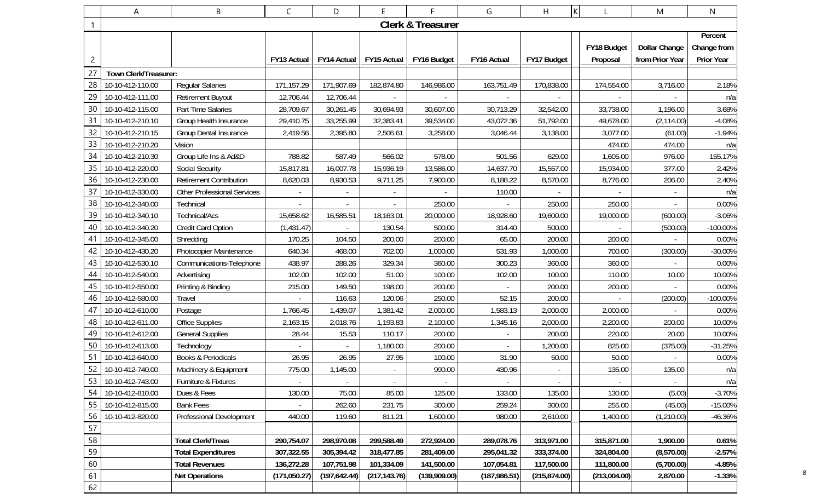|                | A                     | B                                  | C             | D                        | Е             |                              | G             | H             | $\sf K$ |              | M               | N           |
|----------------|-----------------------|------------------------------------|---------------|--------------------------|---------------|------------------------------|---------------|---------------|---------|--------------|-----------------|-------------|
| 1              |                       |                                    |               |                          |               | <b>Clerk &amp; Treasurer</b> |               |               |         |              |                 |             |
|                |                       |                                    |               |                          |               |                              |               |               |         |              |                 | Percent     |
|                |                       |                                    |               |                          |               |                              |               |               |         | FY18 Budget  | Dollar Change   | Change from |
| $\overline{c}$ |                       |                                    | FY13 Actual   | FY14 Actual              | FY15 Actual   | FY16 Budget                  | FY16 Actual   | FY17 Budget   |         | Proposal     | from Prior Year | Prior Year  |
| 27             | Town Clerk/Treasurer: |                                    |               |                          |               |                              |               |               |         |              |                 |             |
| 28             | 10-10-412-110.00      | <b>Regular Salaries</b>            | 171,157.29    | 171,907.69               | 182,874.80    | 146,986.00                   | 163,751.49    | 170,838.00    |         | 174,554.00   | 3,716.00        | 2.18%       |
| 29             | 10-10-412-111.00      | <b>Retirement Buyout</b>           | 12,706.44     | 12,706.44                |               |                              |               |               |         |              |                 | n/a         |
| 30             | 10-10-412-115.00      | Part Time Salaries                 | 28,709.67     | 30,261.45                | 30,694.93     | 30,607.00                    | 30,713.29     | 32,542.00     |         | 33,738.00    | 1,196.00        | 3.68%       |
| 31             | 10-10-412-210.10      | Group Health Insurance             | 29,410.75     | 33,255.99                | 32,383.41     | 39,534.00                    | 43,072.36     | 51,792.00     |         | 49,678.00    | (2, 114.00)     | $-4.08%$    |
| 32             | 10-10-412-210.15      | Group Dental Insurance             | 2,419.56      | 2,395.80                 | 2,506.61      | 3,258.00                     | 3,046.44      | 3,138.00      |         | 3,077.00     | (61.00)         | $-1.94%$    |
| 33             | 10-10-412-210.20      | Vision                             |               |                          |               |                              |               |               |         | 474.00       | 474.00          | n/a         |
| 34             | 10-10-412-210.30      | Group Life Ins & Ad&D              | 788.82        | 587.49                   | 566.02        | 578.00                       | 501.56        | 629.00        |         | 1,605.00     | 976.00          | 155.17%     |
| 35             | 10-10-412-220.00      | <b>Social Security</b>             | 15,817.81     | 16,007.78                | 15,936.19     | 13,586.00                    | 14,637.70     | 15,557.00     |         | 15,934.00    | 377.00          | 2.42%       |
| 36             | 10-10-412-230.00      | <b>Retirement Contribution</b>     | 8,620.03      | 8,930.53                 | 9,711.25      | 7,900.00                     | 8,188.22      | 8,570.00      |         | 8,776.00     | 206.00          | 2.40%       |
| 37             | 10-10-412-330.00      | <b>Other Professional Services</b> |               |                          |               |                              | 110.00        |               |         |              |                 | n/a         |
| 38             | 10-10-412-340.00      | Technical                          |               |                          |               | 250.00                       |               | 250.00        |         | 250.00       |                 | 0.00%       |
| 39             | 10-10-412-340.10      | Technical/Acs                      | 15,658.62     | 16,585.51                | 18,163.01     | 20,000.00                    | 18,928.60     | 19,600.00     |         | 19,000.00    | (600.00)        | $-3.06%$    |
| 40             | 10-10-412-340.20      | Credit Card Option                 | (1,431.47)    | $\overline{\phantom{a}}$ | 130.54        | 500.00                       | 314.40        | 500.00        |         |              | (500.00)        | $-100.00\%$ |
| 41             | 10-10-412-345.00      | Shredding                          | 170.25        | 104.50                   | 200.00        | 200.00                       | 65.00         | 200.00        |         | 200.00       |                 | 0.00%       |
| 42             | 10-10-412-430.20      | Photocopier Maintenance            | 640.34        | 468.00                   | 702.00        | 1,000.00                     | 531.93        | 1,000.00      |         | 700.00       | (300.00)        | -30.00%     |
| 43             | 10-10-412-530.10      | Communications-Telephone           | 438.97        | 288.26                   | 329.34        | 360.00                       | 300.23        | 360.00        |         | 360.00       |                 | 0.00%       |
| 44             | 10-10-412-540.00      | Advertising                        | 102.00        | 102.00                   | 51.00         | 100.00                       | 102.00        | 100.00        |         | 110.00       | 10.00           | 10.00%      |
| 45             | 10-10-412-550.00      | Printing & Binding                 | 215.00        | 149.50                   | 198.00        | 200.00                       |               | 200.00        |         | 200.00       |                 | 0.00%       |
| 46             | 10-10-412-580.00      | Travel                             |               | 116.63                   | 120.06        | 250.00                       | 52.15         | 200.00        |         |              | (200.00)        | -100.00%    |
| 47             | 10-10-412-610.00      | Postage                            | 1,766.45      | 1,439.07                 | 1,381.42      | 2,000.00                     | 1,583.13      | 2,000.00      |         | 2,000.00     |                 | 0.00%       |
| 48             | 10-10-412-611.00      | <b>Office Supplies</b>             | 2,163.15      | 2,018.76                 | 1,193.83      | 2,100.00                     | 1,345.16      | 2,000.00      |         | 2,200.00     | 200.00          | 10.00%      |
| 49             | 10-10-412-612.00      | <b>General Supplies</b>            | 28.44         | 15.53                    | 110.17        | 200.00                       |               | 200.00        |         | 220.00       | 20.00           | 10.00%      |
| 50             | 10-10-412-613.00      | Technology                         |               |                          | 1,180.00      | 200.00                       |               | 1,200.00      |         | 825.00       | (375.00)        | $-31.25%$   |
| 51             | 10-10-412-640.00      | <b>Books &amp; Periodicals</b>     | 26.95         | 26.95                    | 27.95         | 100.00                       | 31.90         | 50.00         |         | 50.00        |                 | 0.00%       |
| 52             | 10-10-412-740.00      | Machinery & Equipment              | 775.00        | 1,145.00                 |               | 990.00                       | 430.96        |               |         | 135.00       | 135.00          | n/a         |
| 53             | 10-10-412-743.00      | Furniture & Fixtures               |               |                          |               |                              |               |               |         |              |                 | n/a         |
| 54             | 10-10-412-810.00      | Dues & Fees                        | 130.00        | 75.00                    | 85.00         | 125.00                       | 133.00        | 135.00        |         | 130.00       | (5.00)          | $-3.70%$    |
| 55             | 10-10-412-815.00      | <b>Bank Fees</b>                   |               | 262.60                   | 231.75        | 300.00                       | 259.24        | 300.00        |         | 255.00       | (45.00)         | $-15.00%$   |
| 56             | 10-10-412-820.00      | Professional Development           | 440.00        | 119.60                   | 811.21        | 1,600.00                     | 980.00        | 2,610.00      |         | 1,400.00     | (1,210.00)      | $-46.36%$   |
| 57             |                       |                                    |               |                          |               |                              |               |               |         |              |                 |             |
| 58             |                       | <b>Total Clerk/Treas</b>           | 290,754.07    | 298,970.08               | 299,588.49    | 272,924.00                   | 289,078.76    | 313,971.00    |         | 315,871.00   | 1,900.00        | 0.61%       |
| 59             |                       | <b>Total Expenditures</b>          | 307,322.55    | 305,394.42               | 318,477.85    | 281,409.00                   | 295,041.32    | 333,374.00    |         | 324,804.00   | (8,570.00)      | $-2.57%$    |
| 60             |                       | <b>Total Revenues</b>              | 136,272.28    | 107,751.98               | 101,334.09    | 141,500.00                   | 107,054.81    | 117,500.00    |         | 111,800.00   | (5,700.00)      | $-4.85%$    |
| 61             |                       | <b>Net Operations</b>              | (171, 050.27) | (197, 642.44)            | (217, 143.76) | (139,909.00)                 | (187, 986.51) | (215, 874.00) |         | (213,004.00) | 2,870.00        | $-1.33%$    |
| 62             |                       |                                    |               |                          |               |                              |               |               |         |              |                 |             |

8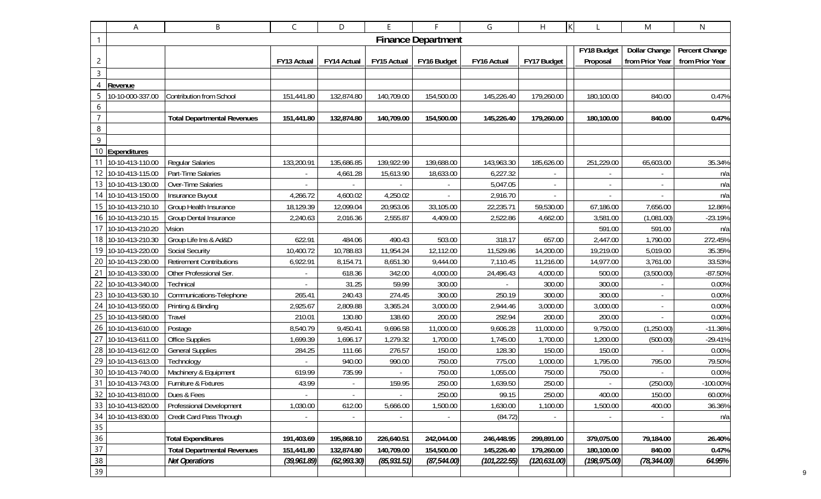|                 | Α                   | В                                  | $\mathsf{C}$   | D              | E              | F                         | G             | H              | K             | M                        | N               |
|-----------------|---------------------|------------------------------------|----------------|----------------|----------------|---------------------------|---------------|----------------|---------------|--------------------------|-----------------|
| 1               |                     |                                    |                |                |                | <b>Finance Department</b> |               |                |               |                          |                 |
|                 |                     |                                    |                |                |                |                           |               |                | FY18 Budget   | <b>Dollar Change</b>     | Percent Change  |
| $\overline{c}$  |                     |                                    | FY13 Actual    | FY14 Actual    | FY15 Actual    | FY16 Budget               | FY16 Actual   | FY17 Budget    | Proposal      | from Prior Year          | from Prior Year |
| $\overline{3}$  |                     |                                    |                |                |                |                           |               |                |               |                          |                 |
| $\overline{4}$  | Revenue             |                                    |                |                |                |                           |               |                |               |                          |                 |
|                 | 10-10-000-337.00    | Contribution from School           | 151,441.80     | 132,874.80     | 140,709.00     | 154,500.00                | 145,226.40    | 179,260.00     | 180,100.00    | 840.00                   | 0.47%           |
| 6               |                     |                                    |                |                |                |                           |               |                |               |                          |                 |
| $\overline{7}$  |                     | <b>Total Departmental Revenues</b> | 151,441.80     | 132,874.80     | 140,709.00     | 154,500.00                | 145,226.40    | 179,260.00     | 180,100.00    | 840.00                   | 0.47%           |
| 8               |                     |                                    |                |                |                |                           |               |                |               |                          |                 |
| 9               |                     |                                    |                |                |                |                           |               |                |               |                          |                 |
|                 | 10 Expenditures     |                                    |                |                |                |                           |               |                |               |                          |                 |
|                 | 10-10-413-110.00    | <b>Regular Salaries</b>            | 133,200.91     | 135,686.85     | 139,922.99     | 139,688.00                | 143,963.30    | 185,626.00     | 251,229.00    | 65,603.00                | 35.34%          |
|                 | 10-10-413-115.00    | Part-Time Salaries                 |                | 4,661.28       | 15,613.90      | 18,633.00                 | 6,227.32      |                |               |                          | n/a             |
| 13              | 10-10-413-130.00    | Over-Time Salaries                 | $\blacksquare$ |                |                |                           | 5,047.05      | $\blacksquare$ |               | $\overline{\phantom{a}}$ | n/a             |
| 14              | 10-10-413-150.00    | Insurance Buyout                   | 4,266.72       | 4,600.02       | 4,250.02       |                           | 2,916.70      |                |               |                          | n/a             |
| 15              | 10-10-413-210.10    | Group Health Insurance             | 18,129.39      | 12,099.04      | 20,953.06      | 33,105.00                 | 22,235.71     | 59,530.00      | 67,186.00     | 7,656.00                 | 12.86%          |
| 16              | 10-10-413-210.15    | Group Dental Insurance             | 2,240.63       | 2,016.36       | 2,555.87       | 4,409.00                  | 2,522.86      | 4,662.00       | 3,581.00      | (1,081.00)               | $-23.19%$       |
| 17              | 10-10-413-210.20    | Vision                             |                |                |                |                           |               |                | 591.00        | 591.00                   | n/a             |
|                 | 18 10-10-413-210.30 | Group Life Ins & Ad&D              | 622.91         | 484.06         | 490.43         | 503.00                    | 318.17        | 657.00         | 2,447.00      | 1,790.00                 | 272.45%         |
|                 | 19 10-10-413-220.00 | <b>Social Security</b>             | 10,400.72      | 10,788.83      | 11,954.24      | 12,112.00                 | 11,529.86     | 14,200.00      | 19,219.00     | 5,019.00                 | 35.35%          |
| 20              | 10-10-413-230.00    | <b>Retirement Contributions</b>    | 6,922.91       | 8,154.71       | 8,651.30       | 9,444.00                  | 7,110.45      | 11,216.00      | 14,977.00     | 3,761.00                 | 33.53%          |
| 21              | 10-10-413-330.00    | Other Professional Ser.            |                | 618.36         | 342.00         | 4,000.00                  | 24,496.43     | 4,000.00       | 500.00        | (3,500.00)               | $-87.50%$       |
|                 | 10-10-413-340.00    | Technical                          |                | 31.25          | 59.99          | 300.00                    |               | 300.00         | 300.00        |                          | 0.00%           |
| 23              | 10-10-413-530.10    | Communications-Telephone           | 265.41         | 240.43         | 274.45         | 300.00                    | 250.19        | 300.00         | 300.00        |                          | 0.00%           |
| 24              | 10-10-413-550.00    | Printing & Binding                 | 2,925.67       | 2,809.88       | 3,365.24       | 3,000.00                  | 2,944.46      | 3,000.00       | 3,000.00      | $\sim$                   | 0.00%           |
| 25              | 10-10-413-580.00    | Travel                             | 210.01         | 130.80         | 138.60         | 200.00                    | 292.94        | 200.00         | 200.00        |                          | 0.00%           |
| 26              | 10-10-413-610.00    | Postage                            | 8,540.79       | 9,450.41       | 9,696.58       | 11,000.00                 | 9,606.28      | 11,000.00      | 9,750.00      | (1,250.00)               | $-11.36%$       |
| 27              | 10-10-413-611.00    | <b>Office Supplies</b>             | 1,699.39       | 1,696.17       | 1,279.32       | 1,700.00                  | 1,745.00      | 1,700.00       | 1,200.00      | (500.00)                 | $-29.41%$       |
| 28              | 10-10-413-612.00    | <b>General Supplies</b>            | 284.25         | 111.66         | 276.57         | 150.00                    | 128.30        | 150.00         | 150.00        |                          | 0.00%           |
| 29              | 10-10-413-613.00    | Technology                         |                | 940.00         | 990.00         | 750.00                    | 775.00        | 1,000.00       | 1,795.00      | 795.00                   | 79.50%          |
| 30              | 10-10-413-740.00    | Machinery & Equipment              | 619.99         | 735.99         |                | 750.00                    | 1,055.00      | 750.00         | 750.00        |                          | 0.00%           |
|                 | 31 10-10-413-743.00 | Furniture & Fixtures               | 43.99          |                | 159.95         | 250.00                    | 1,639.50      | 250.00         |               | (250.00)                 | $-100.00\%$     |
| 32              | 10-10-413-810.00    | Dues & Fees                        | $\blacksquare$ | $\blacksquare$ | $\blacksquare$ | 250.00                    | 99.15         | 250.00         | 400.00        | 150.00                   | 60.00%          |
| 33              | 10-10-413-820.00    | Professional Development           | 1,030.00       | 612.00         | 5,666.00       | 1,500.00                  | 1,630.00      | 1,100.00       | 1,500.00      | 400.00                   | 36.36%          |
| 34              | 10-10-413-830.00    | Credit Card Pass Through           |                |                |                |                           | (84.72)       |                |               |                          | n/a             |
| 35              |                     |                                    |                |                |                |                           |               |                |               |                          |                 |
| $36\,$          |                     | <b>Total Expenditures</b>          | 191,403.69     | 195,868.10     | 226,640.51     | 242,044.00                | 246,448.95    | 299,891.00     | 379,075.00    | 79,184.00                | 26.40%          |
| $\overline{37}$ |                     | <b>Total Departmental Revenues</b> | 151,441.80     | 132,874.80     | 140,709.00     | 154,500.00                | 145,226.40    | 179,260.00     | 180,100.00    | 840.00                   | 0.47%           |
| $38\,$          |                     | <b>Net Operations</b>              | (39, 961.89)   | (62, 993.30)   | (85, 931.51)   | (87, 544.00)              | (101, 222.55) | (120, 631.00)  | (198, 975.00) | (78, 344.00)             | 64.95%          |
| 39              |                     |                                    |                |                |                |                           |               |                |               |                          |                 |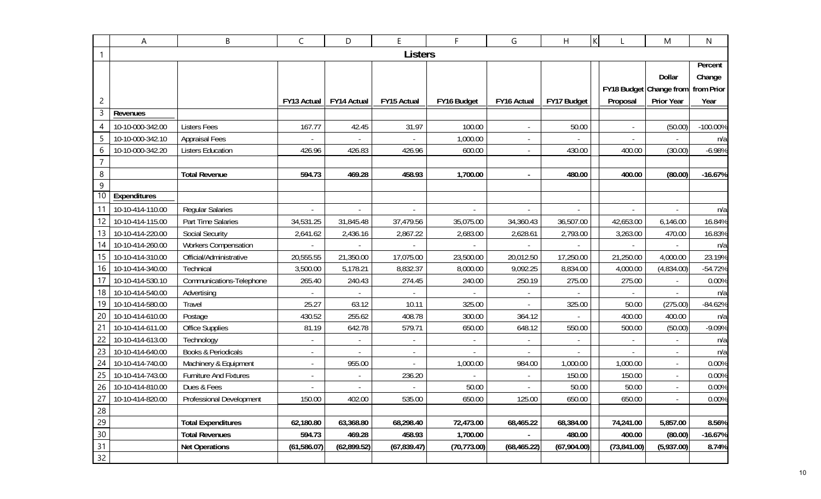|                 | Α                | B                              | $\mathsf C$ | D                        | E              | F            | G                        | Η           | K                        | M                       | N          |
|-----------------|------------------|--------------------------------|-------------|--------------------------|----------------|--------------|--------------------------|-------------|--------------------------|-------------------------|------------|
|                 |                  |                                |             |                          | <b>Listers</b> |              |                          |             |                          |                         |            |
|                 |                  |                                |             |                          |                |              |                          |             |                          |                         | Percent    |
|                 |                  |                                |             |                          |                |              |                          |             |                          | Dollar                  | Change     |
|                 |                  |                                |             |                          |                |              |                          |             |                          | FY18 Budget Change from | from Prior |
| 2               |                  |                                | FY13 Actual | <b>FY14 Actual</b>       | FY15 Actual    | FY16 Budget  | FY16 Actual              | FY17 Budget | Proposal                 | <b>Prior Year</b>       | Year       |
| 3               | Revenues         |                                |             |                          |                |              |                          |             |                          |                         |            |
| 4               | 10-10-000-342.00 | <b>Listers Fees</b>            | 167.77      | 42.45                    | 31.97          | 100.00       | $\blacksquare$           | 50.00       |                          | (50.00)                 | -100.00%   |
| 5               | 10-10-000-342.10 | <b>Appraisal Fees</b>          |             |                          |                | 1,000.00     | $\overline{\phantom{a}}$ |             |                          |                         | n/a        |
| 6               | 10-10-000-342.20 | <b>Listers Education</b>       | 426.96      | 426.83                   | 426.96         | 600.00       |                          | 430.00      | 400.00                   | (30.00)                 | $-6.98%$   |
| $\overline{7}$  |                  |                                |             |                          |                |              |                          |             |                          |                         |            |
| 8               |                  | <b>Total Revenue</b>           | 594.73      | 469.28                   | 458.93         | 1,700.00     |                          | 480.00      | 400.00                   | (80.00)                 | $-16.67%$  |
| 9               |                  |                                |             |                          |                |              |                          |             |                          |                         |            |
| $\overline{10}$ | Expenditures     |                                |             |                          |                |              |                          |             |                          |                         |            |
|                 | 10-10-414-110.00 | <b>Regular Salaries</b>        |             |                          |                |              |                          |             |                          |                         | n/a        |
| 12              | 10-10-414-115.00 | Part Time Salaries             | 34,531.25   | 31,845.48                | 37,479.56      | 35,075.00    | 34,360.43                | 36,507.00   | 42,653.00                | 6,146.00                | 16.84%     |
| 13              | 10-10-414-220.00 | Social Security                | 2,641.62    | 2,436.16                 | 2,867.22       | 2,683.00     | 2,628.61                 | 2,793.00    | 3,263.00                 | 470.00                  | 16.83%     |
| 14              | 10-10-414-260.00 | <b>Workers Compensation</b>    |             |                          |                |              |                          |             |                          |                         | n/a        |
| 15              | 10-10-414-310.00 | Official/Administrative        | 20,555.55   | 21,350.00                | 17,075.00      | 23,500.00    | 20,012.50                | 17,250.00   | 21,250.00                | 4,000.00                | 23.19%     |
| 16              | 10-10-414-340.00 | Technical                      | 3,500.00    | 5,178.21                 | 8,832.37       | 8,000.00     | 9,092.25                 | 8,834.00    | 4,000.00                 | (4,834.00)              | $-54.72%$  |
|                 | 10-10-414-530.10 | Communications-Telephone       | 265.40      | 240.43                   | 274.45         | 240.00       | 250.19                   | 275.00      | 275.00                   |                         | 0.00%      |
| 18              | 10-10-414-540.00 | Advertising                    |             |                          |                |              |                          |             |                          |                         | n/a        |
| 19              | 10-10-414-580.00 | Travel                         | 25.27       | 63.12                    | 10.11          | 325.00       |                          | 325.00      | 50.00                    | (275.00)                | $-84.62%$  |
| 20              | 10-10-414-610.00 | Postage                        | 430.52      | 255.62                   | 408.78         | 300.00       | 364.12                   |             | 400.00                   | 400.00                  | n/a        |
| 21              | 10-10-414-611.00 | <b>Office Supplies</b>         | 81.19       | 642.78                   | 579.71         | 650.00       | 648.12                   | 550.00      | 500.00                   | (50.00)                 | $-9.09%$   |
| 22              | 10-10-414-613.00 | Technology                     |             | $\overline{\phantom{a}}$ |                |              | $\overline{\phantom{a}}$ |             | $\overline{\phantom{a}}$ |                         | n/a        |
| 23              | 10-10-414-640.00 | <b>Books &amp; Periodicals</b> |             |                          |                |              |                          |             |                          |                         | n/a        |
| 24              | 10-10-414-740.00 | Machinery & Equipment          |             | 955.00                   |                | 1,000.00     | 984.00                   | 1,000.00    | 1,000.00                 |                         | 0.00%      |
| 25              | 10-10-414-743.00 | Furniture And Fixtures         |             |                          | 236.20         |              |                          | 150.00      | 150.00                   |                         | 0.00%      |
| 26              | 10-10-414-810.00 | Dues & Fees                    |             |                          |                | 50.00        |                          | 50.00       | 50.00                    |                         | 0.00%      |
| 27              | 10-10-414-820.00 | Professional Development       | 150.00      | 402.00                   | 535.00         | 650.00       | 125.00                   | 650.00      | 650.00                   |                         | 0.00%      |
| 28              |                  |                                |             |                          |                |              |                          |             |                          |                         |            |
| 29              |                  | <b>Total Expenditures</b>      | 62,180.80   | 63,368.80                | 68,298.40      | 72,473.00    | 68,465.22                | 68,384.00   | 74,241.00                | 5,857.00                | 8.56%      |
| 30              |                  | <b>Total Revenues</b>          | 594.73      | 469.28                   | 458.93         | 1,700.00     |                          | 480.00      | 400.00                   | (80.00)                 | $-16.67%$  |
| 31              |                  | <b>Net Operations</b>          | (61,586.07) | (62,899.52)              | (67, 839.47)   | (70, 773.00) | (68, 465.22)             | (67,904.00) | (73, 841.00)             | (5,937.00)              | 8.74%      |
| 32              |                  |                                |             |                          |                |              |                          |             |                          |                         |            |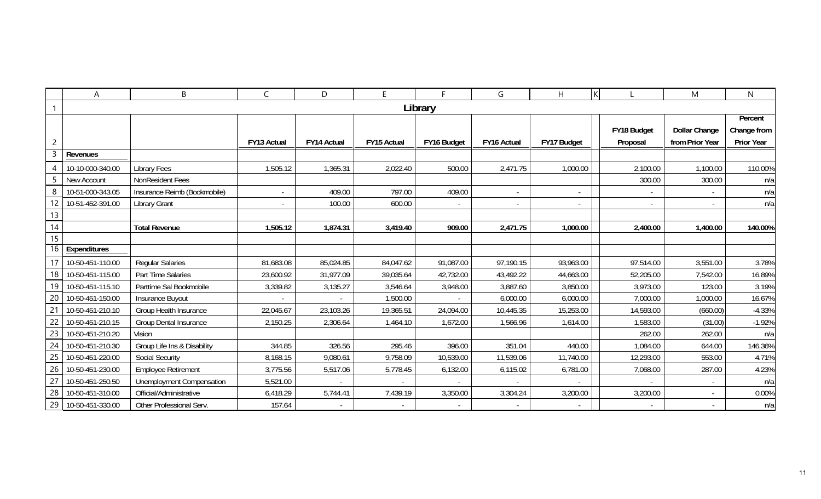|                 | A                | B                                | $\mathsf{C}$ | D           | E           | E.          | G           | H                        |                          | M                        | $\mathsf{N}$      |
|-----------------|------------------|----------------------------------|--------------|-------------|-------------|-------------|-------------|--------------------------|--------------------------|--------------------------|-------------------|
|                 |                  |                                  |              |             |             | Library     |             |                          |                          |                          |                   |
|                 |                  |                                  |              |             |             |             |             |                          |                          |                          | Percent           |
|                 |                  |                                  |              |             |             |             |             |                          | FY18 Budget              | <b>Dollar Change</b>     | Change from       |
| $\overline{2}$  |                  |                                  | FY13 Actual  | FY14 Actual | FY15 Actual | FY16 Budget | FY16 Actual | FY17 Budget              | Proposal                 | from Prior Year          | <b>Prior Year</b> |
| 3               | Revenues         |                                  |              |             |             |             |             |                          |                          |                          |                   |
| 4               | 10-10-000-340.00 | <b>Library Fees</b>              | 1,505.12     | 1,365.31    | 2,022.40    | 500.00      | 2,471.75    | 1,000.00                 | 2,100.00                 | 1,100.00                 | 110.00%           |
| 5               | New Account      | NonResident Fees                 |              |             |             |             |             |                          | 300.00                   | 300.00                   | n/a               |
| 8               | 10-51-000-343.05 | Insurance Reimb (Bookmobile)     | $\sim$       | 409.00      | 797.00      | 409.00      | $\sim$      | $\overline{\phantom{a}}$ |                          | $\overline{\phantom{a}}$ | n/a               |
| 12              | 10-51-452-391.00 | <b>Library Grant</b>             |              | 100.00      | 600.00      |             | $\sim$      |                          | $\overline{\phantom{a}}$ |                          | n/a               |
| 13              |                  |                                  |              |             |             |             |             |                          |                          |                          |                   |
| 14              |                  | <b>Total Revenue</b>             | 1,505.12     | 1,874.31    | 3,419.40    | 909.00      | 2,471.75    | 1,000.00                 | 2,400.00                 | 1,400.00                 | 140.00%           |
| 15              |                  |                                  |              |             |             |             |             |                          |                          |                          |                   |
|                 | 16 Expenditures  |                                  |              |             |             |             |             |                          |                          |                          |                   |
| 17 <sup>1</sup> | 10-50-451-110.00 | <b>Regular Salaries</b>          | 81,683.08    | 85,024.85   | 84,047.62   | 91,087.00   | 97,190.15   | 93,963.00                | 97,514.00                | 3,551.00                 | 3.78%             |
| 18              | 10-50-451-115.00 | Part Time Salaries               | 23,600.92    | 31,977.09   | 39,035.64   | 42,732.00   | 43,492.22   | 44,663.00                | 52,205.00                | 7,542.00                 | 16.89%            |
| 19              | 10-50-451-115.10 | Parttime Sal Bookmobile          | 3,339.82     | 3,135.27    | 3,546.64    | 3,948.00    | 3,887.60    | 3,850.00                 | 3,973.00                 | 123.00                   | 3.19%             |
| 20              | 10-50-451-150.00 | Insurance Buyout                 |              |             | 1,500.00    |             | 6,000.00    | 6,000.00                 | 7,000.00                 | 1,000.00                 | 16.67%            |
| 21              | 10-50-451-210.10 | Group Health Insurance           | 22,045.67    | 23,103.26   | 19,365.51   | 24,094.00   | 10,445.35   | 15,253.00                | 14,593.00                | (660.00)                 | $-4.33%$          |
| 22              | 10-50-451-210.15 | <b>Group Dental Insurance</b>    | 2,150.25     | 2,306.64    | 1,464.10    | 1,672.00    | 1,566.96    | 1,614.00                 | 1,583.00                 | (31.00)                  | $-1.92%$          |
| 23              | 10-50-451-210.20 | <b>Vision</b>                    |              |             |             |             |             |                          | 262.00                   | 262.00                   | n/a               |
| 24              | 10-50-451-210.30 | Group Life Ins & Disability      | 344.85       | 326.56      | 295.46      | 396.00      | 351.04      | 440.00                   | 1,084.00                 | 644.00                   | 146.36%           |
| 25              | 10-50-451-220.00 | Social Security                  | 8,168.15     | 9,080.61    | 9,758.09    | 10,539.00   | 11,539.06   | 11,740.00                | 12,293.00                | 553.00                   | 4.71%             |
| 26              | 10-50-451-230.00 | <b>Employee Retirement</b>       | 3,775.56     | 5,517.06    | 5,778.45    | 6,132.00    | 6,115.02    | 6,781.00                 | 7,068.00                 | 287.00                   | 4.23%             |
| 27              | 10-50-451-250.50 | <b>Unemployment Compensation</b> | 5,521.00     |             |             |             |             |                          |                          | $\sim$                   | n/a               |
| 28              | 10-50-451-310.00 | Official/Administrative          | 6,418.29     | 5,744.41    | 7,439.19    | 3,350.00    | 3,304.24    | 3,200.00                 | 3,200.00                 | $\sim$                   | 0.00%             |
| 29              | 10-50-451-330.00 | Other Professional Serv.         | 157.64       |             |             |             |             |                          |                          |                          | n/a               |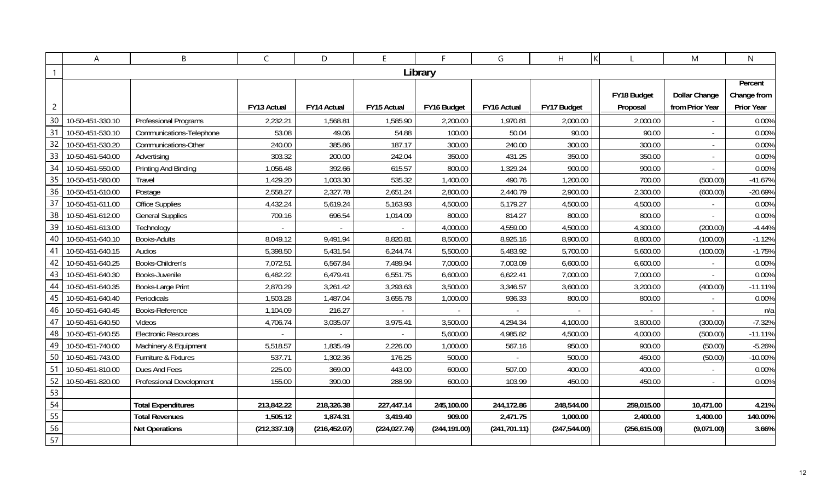|                | A                | B                           | $\mathsf{C}$             | D             | E             | F.            | G             | H             | ΙK            | M                        | $\mathsf{N}$      |
|----------------|------------------|-----------------------------|--------------------------|---------------|---------------|---------------|---------------|---------------|---------------|--------------------------|-------------------|
|                |                  |                             |                          |               |               | Library       |               |               |               |                          |                   |
|                |                  |                             |                          |               |               |               |               |               |               |                          | Percent           |
|                |                  |                             |                          |               |               |               |               |               | FY18 Budget   | <b>Dollar Change</b>     | Change from       |
| $\overline{c}$ |                  |                             | FY13 Actual              | FY14 Actual   | FY15 Actual   | FY16 Budget   | FY16 Actual   | FY17 Budget   | Proposal      | from Prior Year          | <b>Prior Year</b> |
| 30             | 10-50-451-330.10 | Professional Programs       | 2,232.21                 | 1,568.81      | 1,585.90      | 2,200.00      | 1,970.81      | 2,000.00      | 2,000.00      |                          | 0.00%             |
| 31             | 10-50-451-530.10 | Communications-Telephone    | 53.08                    | 49.06         | 54.88         | 100.00        | 50.04         | 90.00         | 90.00         | $\sim$                   | 0.00%             |
| 32             | 10-50-451-530.20 | Communications-Other        | 240.00                   | 385.86        | 187.17        | 300.00        | 240.00        | 300.00        | 300.00        | $\sim$                   | 0.00%             |
| 33             | 10-50-451-540.00 | Advertising                 | 303.32                   | 200.00        | 242.04        | 350.00        | 431.25        | 350.00        | 350.00        | $\overline{\phantom{a}}$ | 0.00%             |
| 34             | 10-50-451-550.00 | Printing And Binding        | 1,056.48                 | 392.66        | 615.57        | 800.00        | 1,329.24      | 900.00        | 900.00        |                          | 0.00%             |
| 35             | 10-50-451-580.00 | Travel                      | 1,429.20                 | 1,003.30      | 535.32        | 1,400.00      | 490.76        | 1,200.00      | 700.00        | (500.00)                 | $-41.67%$         |
| 36             | 10-50-451-610.00 | Postage                     | 2,558.27                 | 2,327.78      | 2,651.24      | 2,800.00      | 2,440.79      | 2,900.00      | 2,300.00      | (600.00)                 | $-20.69%$         |
| 37             | 10-50-451-611.00 | Office Supplies             | 4,432.24                 | 5,619.24      | 5,163.93      | 4,500.00      | 5,179.27      | 4,500.00      | 4,500.00      |                          | 0.00%             |
| 38             | 10-50-451-612.00 | <b>General Supplies</b>     | 709.16                   | 696.54        | 1,014.09      | 800.00        | 814.27        | 800.00        | 800.00        |                          | 0.00%             |
| 39             | 10-50-451-613.00 | Technology                  | $\overline{\phantom{a}}$ |               |               | 4,000.00      | 4,559.00      | 4,500.00      | 4,300.00      | (200.00)                 | $-4.44%$          |
| 40             | 10-50-451-640.10 | Books-Adults                | 8,049.12                 | 9,491.94      | 8,820.81      | 8,500.00      | 8,925.16      | 8,900.00      | 8,800.00      | (100.00)                 | $-1.12%$          |
| -41            | 10-50-451-640.15 | Audios                      | 5,398.50                 | 5,431.54      | 6,244.74      | 5,500.00      | 5,483.92      | 5,700.00      | 5,600.00      | (100.00)                 | $-1.75%$          |
| 42             | 10-50-451-640.25 | Books-Children's            | 7,072.51                 | 6,567.84      | 7,489.94      | 7,000.00      | 7,003.09      | 6,600.00      | 6,600.00      |                          | 0.00%             |
| 43             | 10-50-451-640.30 | Books-Juvenile              | 6,482.22                 | 6,479.41      | 6,551.75      | 6,600.00      | 6,622.41      | 7,000.00      | 7,000.00      |                          | 0.00%             |
| 44             | 10-50-451-640.35 | Books-Large Print           | 2,870.29                 | 3,261.42      | 3,293.63      | 3,500.00      | 3,346.57      | 3,600.00      | 3,200.00      | (400.00)                 | $-11.11%$         |
| 45             | 10-50-451-640.40 | Periodicals                 | 1,503.28                 | 1,487.04      | 3,655.78      | 1,000.00      | 936.33        | 800.00        | 800.00        |                          | 0.00%             |
| 46             | 10-50-451-640.45 | Books-Reference             | 1,104.09                 | 216.27        |               |               |               |               |               |                          | n/a               |
| 47             | 10-50-451-640.50 | Videos                      | 4,706.74                 | 3,035.07      | 3,975.41      | 3,500.00      | 4,294.34      | 4,100.00      | 3,800.00      | (300.00)                 | $-7.32%$          |
| 48             | 10-50-451-640.55 | <b>Electronic Resources</b> |                          |               |               | 5,600.00      | 4,985.82      | 4,500.00      | 4,000.00      | (500.00)                 | $-11.11%$         |
| 49             | 10-50-451-740.00 | Machinery & Equipment       | 5,518.57                 | 1,835.49      | 2,226.00      | 1,000.00      | 567.16        | 950.00        | 900.00        | (50.00)                  | $-5.26%$          |
| 50             | 10-50-451-743.00 | Furniture & Fixtures        | 537.71                   | 1,302.36      | 176.25        | 500.00        |               | 500.00        | 450.00        | (50.00)                  | $-10.00%$         |
| 51             | 10-50-451-810.00 | Dues And Fees               | 225.00                   | 369.00        | 443.00        | 600.00        | 507.00        | 400.00        | 400.00        | $\sim$                   | 0.00%             |
| 52             | 10-50-451-820.00 | Professional Development    | 155.00                   | 390.00        | 288.99        | 600.00        | 103.99        | 450.00        | 450.00        | $\sim$                   | 0.00%             |
| 53             |                  |                             |                          |               |               |               |               |               |               |                          |                   |
| 54             |                  | <b>Total Expenditures</b>   | 213,842.22               | 218,326.38    | 227,447.14    | 245,100.00    | 244,172.86    | 248,544.00    | 259,015.00    | 10,471.00                | 4.21%             |
| 55             |                  | <b>Total Revenues</b>       | 1,505.12                 | 1,874.31      | 3,419.40      | 909.00        | 2,471.75      | 1,000.00      | 2,400.00      | 1,400.00                 | 140.00%           |
| 56             |                  | <b>Net Operations</b>       | (212, 337.10)            | (216, 452.07) | (224, 027.74) | (244, 191.00) | (241, 701.11) | (247, 544.00) | (256, 615.00) | (9,071.00)               | 3.66%             |
| 57             |                  |                             |                          |               |               |               |               |               |               |                          |                   |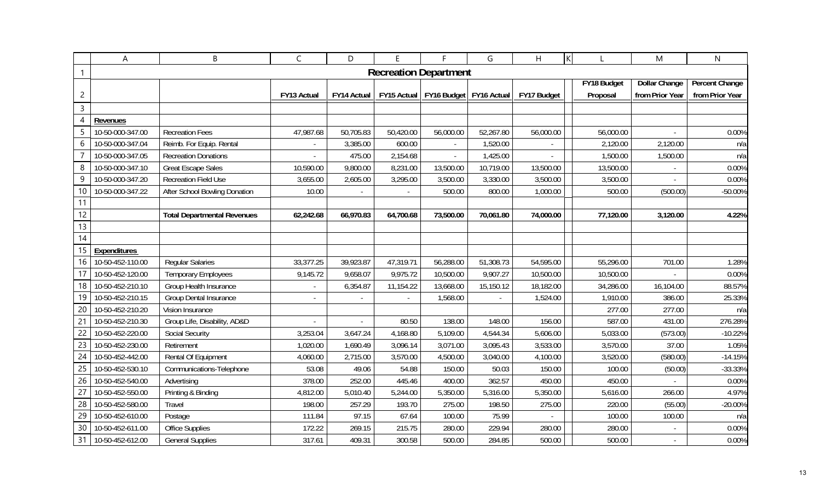|                | Α                   | B                                  | $\mathsf C$    | D           | E              | F                                       | G         | $\overline{H}$ |             | M                    | N                     |
|----------------|---------------------|------------------------------------|----------------|-------------|----------------|-----------------------------------------|-----------|----------------|-------------|----------------------|-----------------------|
| 1              |                     |                                    |                |             |                | <b>Recreation Department</b>            |           |                |             |                      |                       |
|                |                     |                                    |                |             |                |                                         |           |                | FY18 Budget | <b>Dollar Change</b> | <b>Percent Change</b> |
| $\overline{c}$ |                     |                                    | FY13 Actual    | FY14 Actual |                | FY15 Actual   FY16 Budget   FY16 Actual |           | FY17 Budget    | Proposal    | from Prior Year      | from Prior Year       |
| $\overline{3}$ |                     |                                    |                |             |                |                                         |           |                |             |                      |                       |
| 4              | Revenues            |                                    |                |             |                |                                         |           |                |             |                      |                       |
| 5              | 10-50-000-347.00    | <b>Recreation Fees</b>             | 47,987.68      | 50,705.83   | 50,420.00      | 56,000.00                               | 52,267.80 | 56,000.00      | 56,000.00   |                      | 0.00%                 |
| 6              | 10-50-000-347.04    | Reimb. For Equip. Rental           |                | 3,385.00    | 600.00         | $\sim$                                  | 1,520.00  |                | 2,120.00    | 2,120.00             | n/a                   |
|                | 10-50-000-347.05    | <b>Recreation Donations</b>        |                | 475.00      | 2,154.68       |                                         | 1,425.00  |                | 1,500.00    | 1,500.00             | n/a                   |
| 8              | 10-50-000-347.10    | <b>Great Escape Sales</b>          | 10,590.00      | 9,800.00    | 8,231.00       | 13,500.00                               | 10,719.00 | 13,500.00      | 13,500.00   |                      | 0.00%                 |
| 9              | 10-50-000-347.20    | <b>Recreation Field Use</b>        | 3,655.00       | 2,605.00    | 3,295.00       | 3,500.00                                | 3,330.00  | 3,500.00       | 3,500.00    |                      | 0.00%                 |
| 10             | 10-50-000-347.22    | After School Bowling Donation      | 10.00          |             | $\blacksquare$ | 500.00                                  | 800.00    | 1,000.00       | 500.00      | (500.00)             | -50.00%               |
| 11             |                     |                                    |                |             |                |                                         |           |                |             |                      |                       |
| 12             |                     | <b>Total Departmental Revenues</b> | 62,242.68      | 66,970.83   | 64,700.68      | 73,500.00                               | 70,061.80 | 74,000.00      | 77,120.00   | 3,120.00             | 4.22%                 |
| 13             |                     |                                    |                |             |                |                                         |           |                |             |                      |                       |
| 14             |                     |                                    |                |             |                |                                         |           |                |             |                      |                       |
| 15             | <b>Expenditures</b> |                                    |                |             |                |                                         |           |                |             |                      |                       |
| 16             | 10-50-452-110.00    | <b>Regular Salaries</b>            | 33,377.25      | 39,923.87   | 47,319.71      | 56,288.00                               | 51,308.73 | 54,595.00      | 55,296.00   | 701.00               | 1.28%                 |
| 17             | 10-50-452-120.00    | <b>Temporary Employees</b>         | 9,145.72       | 9,658.07    | 9,975.72       | 10,500.00                               | 9,907.27  | 10,500.00      | 10,500.00   |                      | 0.00%                 |
| 18             | 10-50-452-210.10    | Group Health Insurance             | $\blacksquare$ | 6,354.87    | 11,154.22      | 13,668.00                               | 15,150.12 | 18,182.00      | 34,286.00   | 16,104.00            | 88.57%                |
| 19             | 10-50-452-210.15    | Group Dental Insurance             |                |             |                | 1,568.00                                |           | 1,524.00       | 1,910.00    | 386.00               | 25.33%                |
| 20             | 10-50-452-210.20    | Vision Insurance                   |                |             |                |                                         |           |                | 277.00      | 277.00               | n/a                   |
| 21             | 10-50-452-210.30    | Group Life, Disability, AD&D       |                |             | 80.50          | 138.00                                  | 148.00    | 156.00         | 587.00      | 431.00               | 276.28%               |
| 22             | 10-50-452-220.00    | Social Security                    | 3,253.04       | 3,647.24    | 4,168.80       | 5,109.00                                | 4,544.34  | 5,606.00       | 5,033.00    | (573.00)             | $-10.22%$             |
| 23             | 10-50-452-230.00    | Retirement                         | 1,020.00       | 1,690.49    | 3,096.14       | 3,071.00                                | 3,095.43  | 3,533.00       | 3,570.00    | 37.00                | 1.05%                 |
| 24             | 10-50-452-442.00    | Rental Of Equipment                | 4,060.00       | 2,715.00    | 3,570.00       | 4,500.00                                | 3,040.00  | 4,100.00       | 3,520.00    | (580.00)             | $-14.15%$             |
| 25             | 10-50-452-530.10    | Communications-Telephone           | 53.08          | 49.06       | 54.88          | 150.00                                  | 50.03     | 150.00         | 100.00      | (50.00)              | $-33.33%$             |
| 26             | 10-50-452-540.00    | Advertising                        | 378.00         | 252.00      | 445.46         | 400.00                                  | 362.57    | 450.00         | 450.00      |                      | 0.00%                 |
| 27             | 10-50-452-550.00    | Printing & Binding                 | 4,812.00       | 5,010.40    | 5,244.00       | 5,350.00                                | 5,316.00  | 5,350.00       | 5,616.00    | 266.00               | 4.97%                 |
| 28             | 10-50-452-580.00    | Travel                             | 198.00         | 257.29      | 193.70         | 275.00                                  | 198.50    | 275.00         | 220.00      | (55.00)              | $-20.00%$             |
| 29             | 10-50-452-610.00    | Postage                            | 111.84         | 97.15       | 67.64          | 100.00                                  | 75.99     |                | 100.00      | 100.00               | n/a                   |
| 30             | 10-50-452-611.00    | Office Supplies                    | 172.22         | 269.15      | 215.75         | 280.00                                  | 229.94    | 280.00         | 280.00      | $\sim$               | 0.00%                 |
| 31             | 10-50-452-612.00    | <b>General Supplies</b>            | 317.61         | 409.31      | 300.58         | 500.00                                  | 284.85    | 500.00         | 500.00      |                      | 0.00%                 |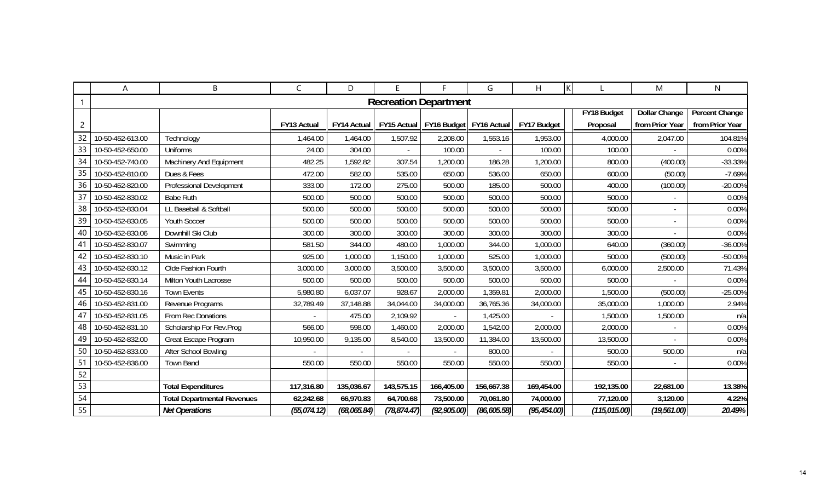|                 | Α                | B                                  | C            | D                  | E.           | F                            | G            | H            |               | M                    | N.                    |
|-----------------|------------------|------------------------------------|--------------|--------------------|--------------|------------------------------|--------------|--------------|---------------|----------------------|-----------------------|
|                 |                  |                                    |              |                    |              | <b>Recreation Department</b> |              |              |               |                      |                       |
|                 |                  |                                    |              |                    |              |                              |              |              | FY18 Budget   | <b>Dollar Change</b> | <b>Percent Change</b> |
| $\overline{c}$  |                  |                                    | FY13 Actual  | <b>FY14 Actual</b> | FY15 Actual  | FY16 Budget   FY16 Actual    |              | FY17 Budget  | Proposal      | from Prior Year      | from Prior Year       |
| 32              | 10-50-452-613.00 | Technology                         | 1,464.00     | 1,464.00           | 1,507.92     | 2,208.00                     | 1,553.16     | 1,953.00     | 4,000.00      | 2,047.00             | 104.81%               |
| 33              | 10-50-452-650.00 | <b>Uniforms</b>                    | 24.00        | 304.00             |              | 100.00                       |              | 100.00       | 100.00        |                      | 0.00%                 |
| 34              | 10-50-452-740.00 | Machinery And Equipment            | 482.25       | 1,592.82           | 307.54       | 1,200.00                     | 186.28       | 1,200.00     | 800.00        | (400.00)             | -33.33%               |
| 35              | 10-50-452-810.00 | Dues & Fees                        | 472.00       | 582.00             | 535.00       | 650.00                       | 536.00       | 650.00       | 600.00        | (50.00)              | $-7.69%$              |
| 36              | 10-50-452-820.00 | Professional Development           | 333.00       | 172.00             | 275.00       | 500.00                       | 185.00       | 500.00       | 400.00        | (100.00)             | $-20.00%$             |
| 37              | 10-50-452-830.02 | <b>Babe Ruth</b>                   | 500.00       | 500.00             | 500.00       | 500.00                       | 500.00       | 500.00       | 500.00        |                      | 0.00%                 |
| 38              | 10-50-452-830.04 | LL Baseball & Softball             | 500.00       | 500.00             | 500.00       | 500.00                       | 500.00       | 500.00       | 500.00        |                      | 0.00%                 |
| 39              | 10-50-452-830.05 | Youth Soccer                       | 500.00       | 500.00             | 500.00       | 500.00                       | 500.00       | 500.00       | 500.00        |                      | 0.00%                 |
| 40              | 10-50-452-830.06 | Downhill Ski Club                  | 300.00       | 300.00             | 300.00       | 300.00                       | 300.00       | 300.00       | 300.00        |                      | 0.00%                 |
| -41             | 10-50-452-830.07 | Swimming                           | 581.50       | 344.00             | 480.00       | 1,000.00                     | 344.00       | 1,000.00     | 640.00        | (360.00)             | $-36.00\%$            |
| 42              | 10-50-452-830.10 | Music in Park                      | 925.00       | 1,000.00           | 1,150.00     | 1,000.00                     | 525.00       | 1,000.00     | 500.00        | (500.00)             | $-50.00\%$            |
| 43              | 10-50-452-830.12 | Olde Fashion Fourth                | 3,000.00     | 3,000.00           | 3,500.00     | 3,500.00                     | 3,500.00     | 3,500.00     | 6,000.00      | 2,500.00             | 71.43%                |
| 44              | 10-50-452-830.14 | Milton Youth Lacrosse              | 500.00       | 500.00             | 500.00       | 500.00                       | 500.00       | 500.00       | 500.00        |                      | 0.00%                 |
| 45              | 10-50-452-830.16 | <b>Town Events</b>                 | 5,980.80     | 6,037.07           | 928.67       | 2,000.00                     | 1,359.81     | 2,000.00     | 1,500.00      | (500.00)             | $-25.00%$             |
| 46              | 10-50-452-831.00 | Revenue Programs                   | 32,789.49    | 37,148.88          | 34,044.00    | 34,000.00                    | 36,765.36    | 34,000.00    | 35,000.00     | 1,000.00             | 2.94%                 |
| 47              | 10-50-452-831.05 | From Rec Donations                 |              | 475.00             | 2,109.92     |                              | 1,425.00     |              | 1,500.00      | 1,500.00             | n/a                   |
| 48              | 10-50-452-831.10 | Scholarship For Rev.Prog           | 566.00       | 598.00             | 1,460.00     | 2,000.00                     | 1,542.00     | 2,000.00     | 2,000.00      |                      | 0.00%                 |
| 49              | 10-50-452-832.00 | Great Escape Program               | 10,950.00    | 9,135.00           | 8,540.00     | 13,500.00                    | 11,384.00    | 13,500.00    | 13,500.00     |                      | 0.00%                 |
| 50 <sub>1</sub> | 10-50-452-833.00 | After School Bowling               |              |                    |              |                              | 800.00       |              | 500.00        | 500.00               | n/a                   |
| 51              | 10-50-452-836.00 | <b>Town Band</b>                   | 550.00       | 550.00             | 550.00       | 550.00                       | 550.00       | 550.00       | 550.00        |                      | 0.00%                 |
| 52              |                  |                                    |              |                    |              |                              |              |              |               |                      |                       |
| 53              |                  | <b>Total Expenditures</b>          | 117,316.80   | 135,036.67         | 143,575.15   | 166,405.00                   | 156,667.38   | 169,454.00   | 192,135.00    | 22,681.00            | 13.38%                |
| 54              |                  | <b>Total Departmental Revenues</b> | 62,242.68    | 66,970.83          | 64,700.68    | 73,500.00                    | 70,061.80    | 74,000.00    | 77,120.00     | 3,120.00             | 4.22%                 |
| 55              |                  | <b>Net Operations</b>              | (55, 074.12) | (68,065.84)        | (78, 874.47) | (92, 905.00)                 | (86, 605.58) | (95, 454.00) | (115, 015.00) | (19, 561.00)         | 20.49%                |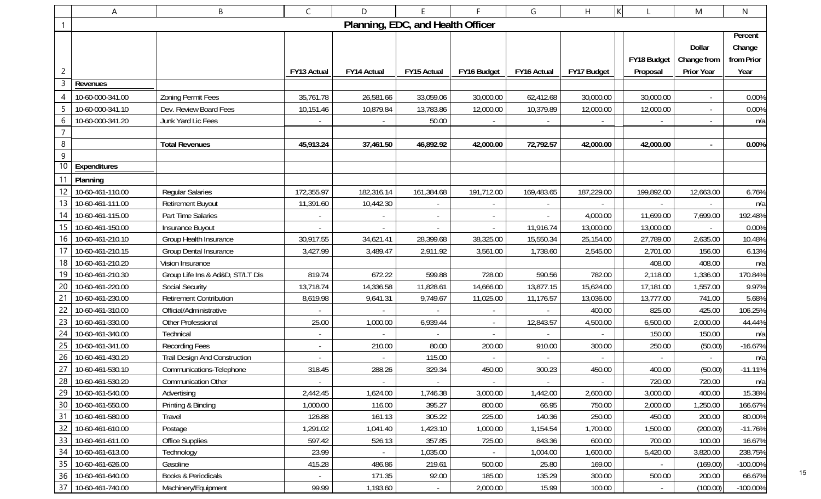|                 | A                   | В                                | $\mathsf{C}$ | D                                 |                          |             | G           | H           | K           | M                 | $\mathsf{N}$ |
|-----------------|---------------------|----------------------------------|--------------|-----------------------------------|--------------------------|-------------|-------------|-------------|-------------|-------------------|--------------|
| 1               |                     |                                  |              | Planning, EDC, and Health Officer |                          |             |             |             |             |                   |              |
|                 |                     |                                  |              |                                   |                          |             |             |             |             |                   | Percent      |
|                 |                     |                                  |              |                                   |                          |             |             |             |             | Dollar            | Change       |
|                 |                     |                                  |              |                                   |                          |             |             |             | FY18 Budget | Change from       | from Prior   |
| 2               |                     |                                  | FY13 Actual  | FY14 Actual                       | FY15 Actual              | FY16 Budget | FY16 Actual | FY17 Budget | Proposal    | <b>Prior Year</b> | Year         |
| 3               | Revenues            |                                  |              |                                   |                          |             |             |             |             |                   |              |
|                 | 10-60-000-341.00    | <b>Zoning Permit Fees</b>        | 35,761.78    | 26,581.66                         | 33,059.06                | 30,000.00   | 62,412.68   | 30,000.00   | 30,000.00   |                   | 0.00%        |
|                 | 10-60-000-341.10    | Dev. Review Board Fees           | 10,151.46    | 10,879.84                         | 13,783.86                | 12,000.00   | 10,379.89   | 12,000.00   | 12,000.00   |                   | 0.00%        |
| 6               | 10-60-000-341.20    | Junk Yard Lic Fees               |              |                                   | 50.00                    |             |             |             |             |                   | n/a          |
| $\overline{7}$  |                     |                                  |              |                                   |                          |             |             |             |             |                   |              |
| $\,8\,$         |                     | <b>Total Revenues</b>            | 45,913.24    | 37,461.50                         | 46,892.92                | 42,000.00   | 72,792.57   | 42,000.00   | 42,000.00   | $\blacksquare$    | 0.00%        |
| $9\,$           |                     |                                  |              |                                   |                          |             |             |             |             |                   |              |
| 10              | Expenditures        |                                  |              |                                   |                          |             |             |             |             |                   |              |
|                 | 11 Planning         |                                  |              |                                   |                          |             |             |             |             |                   |              |
|                 | 10-60-461-110.00    | <b>Regular Salaries</b>          | 172,355.97   | 182,316.14                        | 161,384.68               | 191,712.00  | 169,483.65  | 187,229.00  | 199,892.00  | 12,663.00         | 6.76%        |
| 13              | 10-60-461-111.00    | <b>Retirement Buyout</b>         | 11,391.60    | 10,442.30                         |                          |             |             |             |             |                   | n/a          |
| 14              | 10-60-461-115.00    | Part Time Salaries               |              |                                   | $\overline{\phantom{a}}$ |             |             | 4,000.00    | 11,699.00   | 7,699.00          | 192.48%      |
| 15              | 10-60-461-150.00    | Insurance Buyout                 |              |                                   | $\overline{\phantom{a}}$ | $\sim$      | 11,916.74   | 13,000.00   | 13,000.00   |                   | 0.00%        |
| 16              | 10-60-461-210.10    | Group Health Insurance           | 30,917.55    | 34,621.41                         | 28,399.68                | 38,325.00   | 15,550.34   | 25,154.00   | 27,789.00   | 2,635.00          | 10.48%       |
|                 | 10-60-461-210.15    | Group Dental Insurance           | 3,427.99     | 3,489.47                          | 2,911.92                 | 3,561.00    | 1,738.60    | 2,545.00    | 2,701.00    | 156.00            | 6.13%        |
| 18              | 10-60-461-210.20    | Vision Insurance                 |              |                                   |                          |             |             |             | 408.00      | 408.00            | n/a          |
| 19 <sup>°</sup> | 10-60-461-210.30    | Group Life Ins & Ad&D, ST/LT Dis | 819.74       | 672.22                            | 599.88                   | 728.00      | 590.56      | 782.00      | 2,118.00    | 1,336.00          | 170.84%      |
| 20              | 10-60-461-220.00    | <b>Social Security</b>           | 13,718.74    | 14,336.58                         | 11,828.61                | 14,666.00   | 13,877.15   | 15,624.00   | 17,181.00   | 1,557.00          | 9.97%        |
| 21              | 10-60-461-230.00    | <b>Retirement Contribution</b>   | 8,619.98     | 9,641.31                          | 9,749.67                 | 11,025.00   | 11,176.57   | 13,036.00   | 13,777.00   | 741.00            | 5.68%        |
|                 | 10-60-461-310.00    | Official/Administrative          |              |                                   | $\sim$                   |             |             | 400.00      | 825.00      | 425.00            | 106.25%      |
| 23              | 10-60-461-330.00    | Other Professional               | 25.00        | 1,000.00                          | 6,939.44                 |             | 12,843.57   | 4,500.00    | 6,500.00    | 2,000.00          | 44.44%       |
| 24              | 10-60-461-340.00    | Technical                        |              |                                   |                          |             |             |             | 150.00      | 150.00            | n/a          |
| 25              | 10-60-461-341.00    | <b>Recording Fees</b>            |              | 210.00                            | 80.00                    | 200.00      | 910.00      | 300.00      | 250.00      | (50.00)           | $-16.67%$    |
| 26              | 10-60-461-430.20    | Trail Design And Construction    |              |                                   | 115.00                   |             |             |             |             |                   | n/a          |
|                 | 27 10-60-461-530.10 | Communications-Telephone         | 318.45       | 288.26                            | 329.34                   | 450.00      | 300.23      | 450.00      | 400.00      | (50.00)           | $-11.11%$    |
|                 | 28 10-60-461-530.20 | <b>Communication Other</b>       |              |                                   |                          |             |             |             | 720.00      | 720.00            | n/a          |
| 29              | 10-60-461-540.00    | Advertising                      | 2,442.45     | 1,624.00                          | 1,746.38                 | 3,000.00    | 1,442.00    | 2,600.00    | 3,000.00    | 400.00            | 15.38%       |
|                 | 30 10-60-461-550.00 | Printing & Binding               | 1,000.00     | 116.00                            | 395.27                   | 800.00      | 66.95       | 750.00      | 2,000.00    | 1,250.00          | 166.67%      |
| 31              | 10-60-461-580.00    | Travel                           | 126.88       | 161.13                            | 305.22                   | 225.00      | 140.36      | 250.00      | 450.00      | 200.00            | 80.00%       |
| 32              | 10-60-461-610.00    | Postage                          | 1,291.02     | 1,041.40                          | 1,423.10                 | 1,000.00    | 1,154.54    | 1,700.00    | 1,500.00    | (200.00)          | $-11.76%$    |
|                 | 33 10-60-461-611.00 | <b>Office Supplies</b>           | 597.42       | 526.13                            | 357.85                   | 725.00      | 843.36      | 600.00      | 700.00      | 100.00            | 16.67%       |
| 34              | 10-60-461-613.00    | Technology                       | 23.99        | $\sim$                            | 1,035.00                 | $\sim$      | 1,004.00    | 1,600.00    | 5,420.00    | 3,820.00          | 238.75%      |
|                 | 35 10-60-461-626.00 | Gasoline                         | 415.28       | 486.86                            | 219.61                   | 500.00      | 25.80       | 169.00      |             | (169.00)          | $-100.00\%$  |
| 36              | 10-60-461-640.00    | <b>Books &amp; Periodicals</b>   |              | 171.35                            | 92.00                    | 185.00      | 135.29      | 300.00      | 500.00      | 200.00            | 66.67%       |
|                 | 37 10-60-461-740.00 | Machinery/Equipment              | 99.99        | 1,193.60                          | $\omega_{\rm{eff}}$      | 2,000.00    | 15.99       | 100.00      |             | (100.00)          | $-100.00\%$  |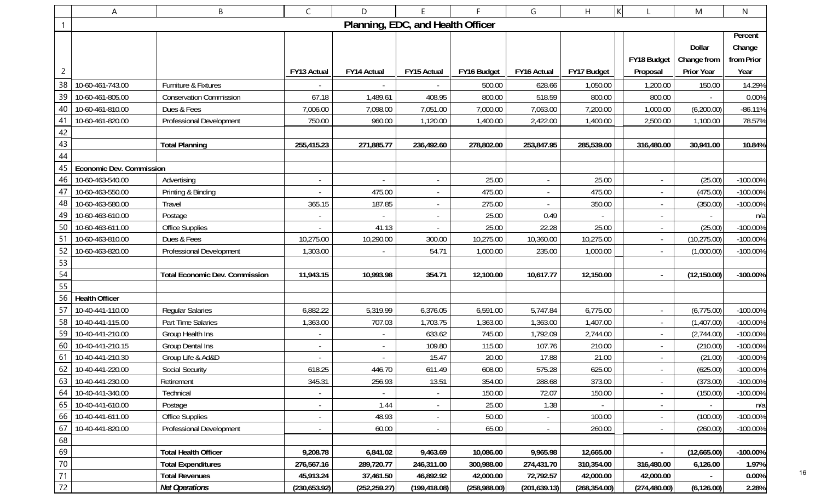|                 | Α                               | В                                     | $\mathsf{C}$  | D                        | F                                 |              | G                        | H             | K                        | M                 | $\mathsf{N}$ |
|-----------------|---------------------------------|---------------------------------------|---------------|--------------------------|-----------------------------------|--------------|--------------------------|---------------|--------------------------|-------------------|--------------|
| $\mathbf{1}$    |                                 |                                       |               |                          | Planning, EDC, and Health Officer |              |                          |               |                          |                   |              |
|                 |                                 |                                       |               |                          |                                   |              |                          |               |                          |                   | Percent      |
|                 |                                 |                                       |               |                          |                                   |              |                          |               |                          | Dollar            | Change       |
|                 |                                 |                                       |               |                          |                                   |              |                          |               | FY18 Budget              | Change from       | from Prior   |
| $\overline{c}$  |                                 |                                       | FY13 Actual   | FY14 Actual              | FY15 Actual                       | FY16 Budget  | FY16 Actual              | FY17 Budget   | Proposal                 | <b>Prior Year</b> | Year         |
| 38              | 10-60-461-743.00                | Furniture & Fixtures                  |               |                          |                                   | 500.00       | 628.66                   | 1,050.00      | 1,200.00                 | 150.00            | 14.29%       |
| 39              | 10-60-461-805.00                | <b>Conservation Commission</b>        | 67.18         | 1,489.61                 | 408.95                            | 800.00       | 518.59                   | 800.00        | 800.00                   |                   | 0.00%        |
| 40              | 10-60-461-810.00                | Dues & Fees                           | 7,006.00      | 7,098.00                 | 7,051.00                          | 7,000.00     | 7,063.00                 | 7,200.00      | 1,000.00                 | (6,200.00)        | $-86.11%$    |
| 41              | 10-60-461-820.00                | Professional Development              | 750.00        | 960.00                   | 1,120.00                          | 1,400.00     | 2,422.00                 | 1,400.00      | 2,500.00                 | 1,100.00          | 78.57%       |
| 42              |                                 |                                       |               |                          |                                   |              |                          |               |                          |                   |              |
| 43              |                                 | <b>Total Planning</b>                 | 255,415.23    | 271,885.77               | 236,492.60                        | 278,802.00   | 253,847.95               | 285,539.00    | 316,480.00               | 30,941.00         | 10.84%       |
| 44              |                                 |                                       |               |                          |                                   |              |                          |               |                          |                   |              |
| 45              | <b>Economic Dev. Commission</b> |                                       |               |                          |                                   |              |                          |               |                          |                   |              |
| 46              | 10-60-463-540.00                | Advertising                           |               |                          | $\sim$                            | 25.00        |                          | 25.00         |                          | (25.00)           | -100.00%     |
| 47              | 10-60-463-550.00                | Printing & Binding                    |               | 475.00                   | $\sim$                            | 475.00       | $\overline{\phantom{a}}$ | 475.00        |                          | (475.00)          | $-100.00%$   |
| 48              | 10-60-463-580.00                | Travel                                | 365.15        | 187.85                   | $\sim$                            | 275.00       |                          | 350.00        |                          | (350.00)          | $-100.00%$   |
| 49              | 10-60-463-610.00                | Postage                               |               |                          | $\overline{\phantom{a}}$          | 25.00        | 0.49                     |               |                          |                   | n/a          |
| 50              | 10-60-463-611.00                | <b>Office Supplies</b>                |               | 41.13                    | $\overline{\phantom{a}}$          | 25.00        | 22.28                    | 25.00         |                          | (25.00)           | $-100.00%$   |
| -51             | 10-60-463-810.00                | Dues & Fees                           | 10,275.00     | 10,290.00                | 300.00                            | 10,275.00    | 10,360.00                | 10,275.00     |                          | (10, 275.00)      | $-100.00\%$  |
| 52              | 10-60-463-820.00                | Professional Development              | 1,303.00      |                          | 54.71                             | 1,000.00     | 235.00                   | 1,000.00      |                          | (1,000.00)        | -100.00%     |
| 53              |                                 |                                       |               |                          |                                   |              |                          |               |                          |                   |              |
| 54              |                                 | <b>Total Economic Dev. Commission</b> | 11,943.15     | 10,993.98                | 354.71                            | 12,100.00    | 10,617.77                | 12,150.00     |                          | (12, 150.00)      | -100.00%     |
| 55              |                                 |                                       |               |                          |                                   |              |                          |               |                          |                   |              |
| 56              | <b>Health Officer</b>           |                                       |               |                          |                                   |              |                          |               |                          |                   |              |
| 57              | 10-40-441-110.00                | <b>Regular Salaries</b>               | 6,882.22      | 5,319.99                 | 6,376.05                          | 6,591.00     | 5,747.84                 | 6,775.00      | $\overline{\phantom{a}}$ | (6,775.00)        | $-100.00%$   |
| 58              | 10-40-441-115.00                | Part Time Salaries                    | 1,363.00      | 707.03                   | 1,703.75                          | 1,363.00     | 1,363.00                 | 1,407.00      |                          | (1,407.00)        | $-100.00\%$  |
| 59              | 10-40-441-210.00                | Group Health Ins                      |               | $\overline{\phantom{a}}$ | 633.62                            | 745.00       | 1,792.09                 | 2,744.00      |                          | (2,744.00)        | $-100.00%$   |
| 60              | 10-40-441-210.15                | Group Dental Ins                      |               |                          | 109.80                            | 115.00       | 107.76                   | 210.00        |                          | (210.00)          | -100.00%     |
| 61              | 10-40-441-210.30                | Group Life & Ad&D                     |               |                          | 15.47                             | 20.00        | 17.88                    | 21.00         |                          | (21.00)           | -100.00%     |
| 62              | 10-40-441-220.00                | Social Security                       | 618.25        | 446.70                   | 611.49                            | 608.00       | 575.28                   | 625.00        |                          | (625.00)          | $-100.00\%$  |
|                 | 63 10-40-441-230.00             | Retirement                            | 345.31        | 256.93                   | 13.51                             | 354.00       | 288.68                   | 373.00        |                          | (373.00)          | $-100.00\%$  |
| 64              | 10-40-441-340.00                | Technical                             |               | $\overline{\phantom{a}}$ | $\sim$                            | 150.00       | 72.07                    | 150.00        |                          | (150.00)          | $-100.00\%$  |
| 65              | 10-40-441-610.00                | Postage                               |               | 1.44                     | $\sim$                            | 25.00        | 1.38                     |               |                          |                   | n/a          |
| 66              | 10-40-441-611.00                | <b>Office Supplies</b>                |               | 48.93                    | $\sim$                            | 50.00        |                          | 100.00        | $\overline{\phantom{a}}$ | (100.00)          | -100.00%     |
| 67              | 10-40-441-820.00                | Professional Development              |               | 60.00                    | $\blacksquare$                    | 65.00        |                          | 260.00        |                          | (260.00)          | -100.00%     |
| 68              |                                 |                                       |               |                          |                                   |              |                          |               |                          |                   |              |
| 69              |                                 | <b>Total Health Officer</b>           | 9,208.78      | 6,841.02                 | 9,463.69                          | 10,086.00    | 9,965.98                 | 12,665.00     | $\sim$                   | (12,665.00)       | $-100.00\%$  |
| $\frac{70}{71}$ |                                 | <b>Total Expenditures</b>             | 276,567.16    | 289,720.77               | 246,311.00                        | 300,988.00   | 274,431.70               | 310,354.00    | 316,480.00               | 6,126.00          | 1.97%        |
|                 |                                 | <b>Total Revenues</b>                 | 45,913.24     | 37,461.50                | 46,892.92                         | 42,000.00    | 72,792.57                | 42,000.00     | 42,000.00                |                   | 0.00%        |
| 72              |                                 | <b>Net Operations</b>                 | (230, 653.92) | (252, 259.27)            | (199, 418.08)                     | (258,988.00) | (201, 639.13)            | (268, 354.00) | (274, 480.00)            | (6, 126.00)       | 2.28%        |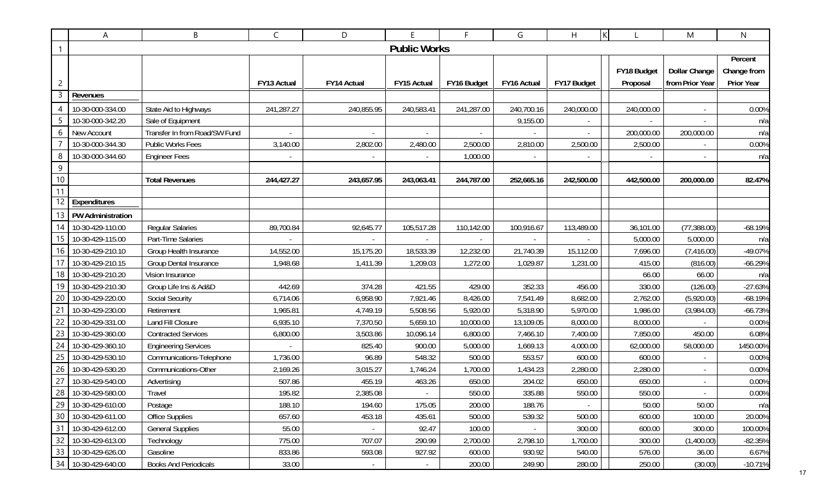|                  | A                      | B                             | C           | D                        | E                   | F.          | G           | ΙK<br>H     |             | M                    | N           |
|------------------|------------------------|-------------------------------|-------------|--------------------------|---------------------|-------------|-------------|-------------|-------------|----------------------|-------------|
| $\mathbf 1$      |                        |                               |             |                          | <b>Public Works</b> |             |             |             |             |                      |             |
|                  |                        |                               |             |                          |                     |             |             |             |             |                      | Percent     |
|                  |                        |                               |             |                          |                     |             |             |             | FY18 Budget | <b>Dollar Change</b> | Change from |
| $\overline{c}$   |                        |                               | FY13 Actual | FY14 Actual              | FY15 Actual         | FY16 Budget | FY16 Actual | FY17 Budget | Proposal    | from Prior Year      | Prior Year  |
| 3                | Revenues               |                               |             |                          |                     |             |             |             |             |                      |             |
| 4                | 10-30-000-334.00       | State Aid to Highways         | 241,287.27  | 240,855.95               | 240,583.41          | 241,287.00  | 240,700.16  | 240,000.00  | 240,000.00  |                      | 0.00%       |
|                  | 10-30-000-342.20       | Sale of Equipment             |             |                          |                     |             | 9,155.00    |             |             |                      | n/a         |
| 6                | New Account            | Transfer In from Road/SW Fund |             |                          |                     |             |             |             | 200,000.00  | 200,000.00           | n/a         |
|                  | 10-30-000-344.30       | Public Works Fees             | 3,140.00    | 2,802.00                 | 2,480.00            | 2,500.00    | 2,810.00    | 2,500.00    | 2,500.00    |                      | 0.00%       |
| 8                | 10-30-000-344.60       | <b>Engineer Fees</b>          |             |                          |                     | 1,000.00    |             |             |             |                      | n/a         |
| 9                |                        |                               |             |                          |                     |             |             |             |             |                      |             |
| $10$             |                        | <b>Total Revenues</b>         | 244,427.27  | 243,657.95               | 243,063.41          | 244,787.00  | 252,665.16  | 242,500.00  | 442,500.00  | 200,000.00           | 82.47%      |
| 11               |                        |                               |             |                          |                     |             |             |             |             |                      |             |
| 12               | Expenditures           |                               |             |                          |                     |             |             |             |             |                      |             |
|                  | 13   PW Administration |                               |             |                          |                     |             |             |             |             |                      |             |
| 14               | 10-30-429-110.00       | <b>Regular Salaries</b>       | 89,700.84   | 92,645.77                | 105,517.28          | 110,142.00  | 100,916.67  | 113,489.00  | 36,101.00   | (77, 388.00)         | $-68.19%$   |
| 15 <sub>15</sub> | 10-30-429-115.00       | Part-Time Salaries            |             |                          |                     |             |             |             | 5,000.00    | 5,000.00             | n/a         |
| 16               | 10-30-429-210.10       | Group Health Insurance        | 14,552.00   | 15,175.20                | 18,533.39           | 12,232.00   | 21,740.39   | 15,112.00   | 7,696.00    | (7,416.00)           | -49.07%     |
|                  | 10-30-429-210.15       | <b>Group Dental Insurance</b> | 1,948.68    | 1,411.39                 | 1,209.03            | 1,272.00    | 1,029.87    | 1,231.00    | 415.00      | (816.00)             | $-66.29%$   |
| 18               | 10-30-429-210.20       | Vision Insurance              |             |                          |                     |             |             |             | 66.00       | 66.00                | n/a         |
| 19               | 10-30-429-210.30       | Group Life Ins & Ad&D         | 442.69      | 374.28                   | 421.55              | 429.00      | 352.33      | 456.00      | 330.00      | (126.00)             | $-27.63%$   |
| 20               | 10-30-429-220.00       | Social Security               | 6,714.06    | 6,958.90                 | 7,921.46            | 8,426.00    | 7,541.49    | 8,682.00    | 2,762.00    | (5,920.00)           | $-68.19%$   |
| 21               | 10-30-429-230.00       | Retirement                    | 1,965.81    | 4,749.19                 | 5,508.56            | 5,920.00    | 5,318.90    | 5,970.00    | 1,986.00    | (3,984.00)           | $-66.73%$   |
| 22               | 10-30-429-331.00       | Land Fill Closure             | 6,935.10    | 7,370.50                 | 5,659.10            | 10,000.00   | 13,109.05   | 8,000.00    | 8,000.00    |                      | 0.00%       |
| 23               | 10-30-429-360.00       | <b>Contracted Services</b>    | 6,800.00    | 3,503.86                 | 10,096.14           | 6,800.00    | 7,466.10    | 7,400.00    | 7,850.00    | 450.00               | 6.08%       |
| 24               | 10-30-429-360.10       | <b>Engineering Services</b>   |             | 825.40                   | 900.00              | 5,000.00    | 1,669.13    | 4,000.00    | 62,000.00   | 58,000.00            | 1450.00%    |
| 25               | 10-30-429-530.10       | Communications-Telephone      | 1,736.00    | 96.89                    | 548.32              | 500.00      | 553.57      | 600.00      | 600.00      |                      | 0.00%       |
| 26               | 10-30-429-530.20       | Communications-Other          | 2,169.26    | 3,015.27                 | 1,746.24            | 1,700.00    | 1,434.23    | 2,280.00    | 2,280.00    |                      | 0.00%       |
| 27               | 10-30-429-540.00       | Advertising                   | 507.86      | 455.19                   | 463.26              | 650.00      | 204.02      | 650.00      | 650.00      | $\blacksquare$       | 0.00%       |
|                  | 28 10-30-429-580.00    | Travel                        | 195.82      | 2,385.08                 |                     | 550.00      | 335.88      | 550.00      | 550.00      |                      | 0.00%       |
|                  | 29 10-30-429-610.00    | Postage                       | 188.10      | 194.60                   | 175.05              | 200.00      | 188.76      |             | 50.00       | 50.00                | n/a         |
|                  | 30 10-30-429-611.00    | <b>Office Supplies</b>        | 657.60      | 453.18                   | 435.61              | 500.00      | 539.32      | 500.00      | 600.00      | 100.00               | 20.00%      |
|                  | 31 10-30-429-612.00    | <b>General Supplies</b>       | 55.00       |                          | 92.47               | 100.00      |             | 300.00      | 600.00      | 300.00               | 100.00%     |
|                  | 32 10-30-429-613.00    | Technology                    | 775.00      | 707.07                   | 290.99              | 2,700.00    | 2,798.10    | 1,700.00    | 300.00      | (1,400.00)           | $-82.35%$   |
|                  | 33 10-30-429-626.00    | Gasoline                      | 833.86      | 593.08                   | 927.92              | 600.00      | 930.92      | 540.00      | 576.00      | 36.00                | 6.67%       |
|                  | 34 10-30-429-640.00    | <b>Books And Periodicals</b>  | 33.00       | $\overline{\phantom{a}}$ | $\sim$              | 200.00      | 249.90      | 280.00      | 250.00      | (30.00)              | $-10.71%$   |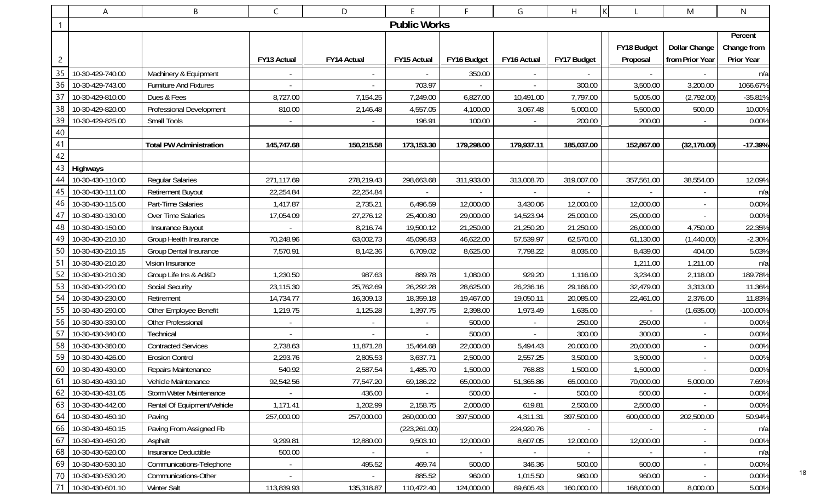|                | A                   | B                              | C           | D           | E                   | F.          | G                        | $\mathsf{K}$<br>H. |                          | M                        | N           |
|----------------|---------------------|--------------------------------|-------------|-------------|---------------------|-------------|--------------------------|--------------------|--------------------------|--------------------------|-------------|
| -1             |                     |                                |             |             | <b>Public Works</b> |             |                          |                    |                          |                          |             |
|                |                     |                                |             |             |                     |             |                          |                    |                          |                          | Percent     |
|                |                     |                                |             |             |                     |             |                          |                    | FY18 Budget              | <b>Dollar Change</b>     | Change from |
| $\overline{c}$ |                     |                                | FY13 Actual | FY14 Actual | FY15 Actual         | FY16 Budget | FY16 Actual              | FY17 Budget        | Proposal                 | from Prior Year          | Prior Year  |
| 35             | 10-30-429-740.00    | Machinery & Equipment          |             |             |                     | 350.00      |                          |                    |                          |                          | n/a         |
| 36             | 10-30-429-743.00    | <b>Furniture And Fixtures</b>  |             |             | 703.97              |             | $\overline{\phantom{a}}$ | 300.00             | 3,500.00                 | 3,200.00                 | 1066.67%    |
| 37             | 10-30-429-810.00    | Dues & Fees                    | 8,727.00    | 7,154.25    | 7,249.00            | 6,827.00    | 10,491.00                | 7,797.00           | 5,005.00                 | (2,792.00)               | $-35.81%$   |
| 38             | 10-30-429-820.00    | Professional Development       | 810.00      | 2,146.48    | 4,557.05            | 4,100.00    | 3,067.48                 | 5,000.00           | 5,500.00                 | 500.00                   | 10.00%      |
| 39             | 10-30-429-825.00    | Small Tools                    |             |             | 196.91              | 100.00      |                          | 200.00             | 200.00                   |                          | 0.00%       |
| 40             |                     |                                |             |             |                     |             |                          |                    |                          |                          |             |
| 41             |                     | <b>Total PW Administration</b> | 145,747.68  | 150,215.58  | 173,153.30          | 179,298.00  | 179,937.11               | 185,037.00         | 152,867.00               | (32, 170.00)             | $-17.39%$   |
| 42             |                     |                                |             |             |                     |             |                          |                    |                          |                          |             |
| 43             | Highways            |                                |             |             |                     |             |                          |                    |                          |                          |             |
| 44             | 10-30-430-110.00    | <b>Regular Salaries</b>        | 271,117.69  | 278,219.43  | 298,663.68          | 311,933.00  | 313,008.70               | 319,007.00         | 357,561.00               | 38,554.00                | 12.09%      |
| 45             | 10-30-430-111.00    | <b>Retirement Buyout</b>       | 22,254.84   | 22,254.84   |                     |             |                          |                    |                          |                          | n/a         |
| 46             | 10-30-430-115.00    | Part-Time Salaries             | 1,417.87    | 2,735.21    | 6,496.59            | 12,000.00   | 3,430.06                 | 12,000.00          | 12,000.00                |                          | 0.00%       |
| 47             | 10-30-430-130.00    | Over Time Salaries             | 17,054.09   | 27,276.12   | 25,400.80           | 29,000.00   | 14,523.94                | 25,000.00          | 25,000.00                |                          | 0.00%       |
| 48             | 10-30-430-150.00    | Insurance Buyout               |             | 8,216.74    | 19,500.12           | 21,250.00   | 21,250.20                | 21,250.00          | 26,000.00                | 4,750.00                 | 22.35%      |
| 49             | 10-30-430-210.10    | Group Health Insurance         | 70,248.96   | 63,002.73   | 45,096.83           | 46,622.00   | 57,539.97                | 62,570.00          | 61,130.00                | (1,440.00)               | $-2.30%$    |
| 50             | 10-30-430-210.15    | Group Dental Insurance         | 7,570.91    | 8,142.36    | 6,709.02            | 8,625.00    | 7,798.22                 | 8,035.00           | 8,439.00                 | 404.00                   | 5.03%       |
| 51             | 10-30-430-210.20    | Vision Insurance               |             |             |                     |             |                          |                    | 1,211.00                 | 1,211.00                 | n/a         |
| 52             | 10-30-430-210.30    | Group Life Ins & Ad&D          | 1,230.50    | 987.63      | 889.78              | 1,080.00    | 929.20                   | 1,116.00           | 3,234.00                 | 2,118.00                 | 189.78%     |
| 53             | 10-30-430-220.00    | Social Security                | 23,115.30   | 25,762.69   | 26,292.28           | 28,625.00   | 26,236.16                | 29,166.00          | 32,479.00                | 3,313.00                 | 11.36%      |
| 54             | 10-30-430-230.00    | Retirement                     | 14,734.77   | 16,309.13   | 18,359.18           | 19,467.00   | 19,050.11                | 20,085.00          | 22,461.00                | 2,376.00                 | 11.83%      |
| 55             | 10-30-430-290.00    | Other Employee Benefit         | 1,219.75    | 1,125.28    | 1,397.75            | 2,398.00    | 1,973.49                 | 1,635.00           | $\overline{\phantom{a}}$ | (1,635.00)               | -100.00%    |
| 56             | 10-30-430-330.00    | Other Professional             |             |             |                     | 500.00      |                          | 250.00             | 250.00                   |                          | 0.00%       |
| 57             | 10-30-430-340.00    | Technical                      |             |             |                     | 500.00      |                          | 300.00             | 300.00                   | $\overline{\phantom{a}}$ | 0.00%       |
| 58             | 10-30-430-360.00    | <b>Contracted Services</b>     | 2,738.63    | 11,871.28   | 15,464.68           | 22,000.00   | 5,494.43                 | 20,000.00          | 20,000.00                |                          | 0.00%       |
| 59             | 10-30-430-426.00    | <b>Erosion Control</b>         | 2,293.76    | 2,805.53    | 3,637.71            | 2,500.00    | 2,557.25                 | 3,500.00           | 3,500.00                 |                          | 0.00%       |
|                | 60 10-30-430-430.00 | Repairs Maintenance            | 540.92      | 2,587.54    | 1,485.70            | 1,500.00    | 768.83                   | 1,500.00           | 1,500.00                 |                          | 0.00%       |
|                | 61 10-30-430-430.10 | Vehicle Maintenance            | 92,542.56   | 77,547.20   | 69,186.22           | 65,000.00   | 51,365.86                | 65,000.00          | 70,000.00                | 5,000.00                 | 7.69%       |
|                | 62 10-30-430-431.05 | Storm Water Maintenance        | $\sim$      | 436.00      | $\sim$              | 500.00      |                          | 500.00             | 500.00                   | $\sim$                   | 0.00%       |
|                | 63 10-30-430-442.00 | Rental Of Equipment/Vehicle    | 1,171.41    | 1,202.99    | 2,158.75            | 2,000.00    | 619.81                   | 2,500.00           | 2,500.00                 |                          | 0.00%       |
| 64             | 10-30-430-450.10    | Paving                         | 257,000.00  | 257,000.00  | 260,000.00          | 397,500.00  | 4,311.31                 | 397,500.00         | 600,000.00               | 202,500.00               | 50.94%      |
|                | 66 10-30-430-450.15 | Paving From Assigned Fb        |             |             | (223, 261.00)       |             | 224,920.76               |                    |                          |                          | n/a         |
| 67             | 10-30-430-450.20    | Asphalt                        | 9,299.81    | 12,880.00   | 9,503.10            | 12,000.00   | 8,607.05                 | 12,000.00          | 12,000.00                |                          | 0.00%       |
|                | 68 10-30-430-520.00 | Insurance Deductible           | 500.00      | $\sim$      | $\sim$              |             | $\sim$                   |                    |                          |                          | n/a         |
|                | 69 10-30-430-530.10 | Communications-Telephone       |             | 495.52      | 469.74              | 500.00      | 346.36                   | 500.00             | 500.00                   | $\overline{\phantom{a}}$ | 0.00%       |
|                | 70 10-30-430-530.20 | Communications-Other           | $\sim$      | $\sim$      | 885.52              | 960.00      | 1,015.50                 | 960.00             | 960.00                   | $\blacksquare$           | 0.00%       |
|                | 71 10-30-430-601.10 | Winter Salt                    | 113,839.93  | 135,318.87  | 110,472.40          | 124,000.00  | 89,605.43                | 160,000.00         | 168,000.00               | 8,000.00                 | 5.00%       |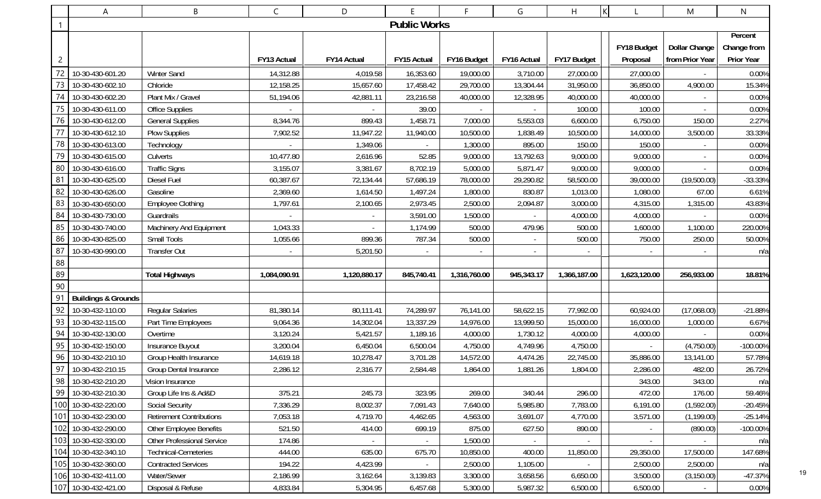|                | A                              | B                               | C            | D            | Ε                   | F.           | G           | H            | $\mathsf K$  | M                    | N                 |
|----------------|--------------------------------|---------------------------------|--------------|--------------|---------------------|--------------|-------------|--------------|--------------|----------------------|-------------------|
| -1             |                                |                                 |              |              | <b>Public Works</b> |              |             |              |              |                      |                   |
|                |                                |                                 |              |              |                     |              |             |              |              |                      | Percent           |
|                |                                |                                 |              |              |                     |              |             |              | FY18 Budget  | <b>Dollar Change</b> | Change from       |
| $\overline{c}$ |                                |                                 | FY13 Actual  | FY14 Actual  | FY15 Actual         | FY16 Budget  | FY16 Actual | FY17 Budget  | Proposal     | from Prior Year      | <b>Prior Year</b> |
| 72             | 10-30-430-601.20               | <b>Winter Sand</b>              | 14,312.88    | 4,019.58     | 16,353.60           | 19,000.00    | 3,710.00    | 27,000.00    | 27,000.00    |                      | 0.00%             |
| 73             | 10-30-430-602.10               | Chloride                        | 12,158.25    | 15,657.60    | 17,458.42           | 29,700.00    | 13,304.44   | 31,950.00    | 36,850.00    | 4,900.00             | 15.34%            |
| 74             | 10-30-430-602.20               | Plant Mix / Gravel              | 51,194.06    | 42,881.11    | 23,216.58           | 40,000.00    | 12,328.95   | 40,000.00    | 40,000.00    |                      | 0.00%             |
| 75             | 10-30-430-611.00               | Office Supplies                 |              |              | 39.00               |              |             | 100.00       | 100.00       |                      | 0.00%             |
| 76             | 10-30-430-612.00               | <b>General Supplies</b>         | 8,344.76     | 899.43       | 1,458.71            | 7,000.00     | 5,553.03    | 6,600.00     | 6,750.00     | 150.00               | 2.27%             |
| 77             | 10-30-430-612.10               | Plow Supplies                   | 7,902.52     | 11,947.22    | 11,940.00           | 10,500.00    | 1,838.49    | 10,500.00    | 14,000.00    | 3,500.00             | 33.33%            |
| 78             | 10-30-430-613.00               | Technology                      |              | 1,349.06     |                     | 1,300.00     | 895.00      | 150.00       | 150.00       |                      | 0.00%             |
| 79             | 10-30-430-615.00               | Culverts                        | 10,477.80    | 2,616.96     | 52.85               | 9,000.00     | 13,792.63   | 9,000.00     | 9,000.00     |                      | 0.00%             |
| 80             | 10-30-430-616.00               | <b>Traffic Signs</b>            | 3,155.07     | 3,381.67     | 8,702.19            | 5,000.00     | 5,871.47    | 9,000.00     | 9,000.00     |                      | 0.00%             |
| 81             | 10-30-430-625.00               | Diesel Fuel                     | 60,387.67    | 72,134.44    | 57,686.19           | 78,000.00    | 29,290.82   | 58,500.00    | 39,000.00    | (19,500.00)          | $-33.33%$         |
| 82             | 10-30-430-626.00               | Gasoline                        | 2,369.60     | 1,614.50     | 1,497.24            | 1,800.00     | 830.87      | 1,013.00     | 1,080.00     | 67.00                | 6.61%             |
| 83             | 10-30-430-650.00               | <b>Employee Clothing</b>        | 1,797.61     | 2,100.65     | 2,973.45            | 2,500.00     | 2,094.87    | 3,000.00     | 4,315.00     | 1,315.00             | 43.83%            |
| 84             | 10-30-430-730.00               | Guardrails                      |              |              | 3,591.00            | 1,500.00     |             | 4,000.00     | 4,000.00     |                      | 0.00%             |
| 85             | 10-30-430-740.00               | Machinery And Equipment         | 1,043.33     |              | 1,174.99            | 500.00       | 479.96      | 500.00       | 1,600.00     | 1,100.00             | 220.00%           |
| 86             | 10-30-430-825.00               | Small Tools                     | 1,055.66     | 899.36       | 787.34              | 500.00       | $\sim$      | 500.00       | 750.00       | 250.00               | 50.00%            |
| 87             | 10-30-430-990.00               | Transfer Out                    |              | 5,201.50     |                     |              | $\sim$      |              |              |                      | n/a               |
| 88             |                                |                                 |              |              |                     |              |             |              |              |                      |                   |
| 89             |                                | <b>Total Highways</b>           | 1,084,090.91 | 1,120,880.17 | 845,740.41          | 1,316,760.00 | 945,343.17  | 1,366,187.00 | 1,623,120.00 | 256,933.00           | 18.81%            |
| 90             |                                |                                 |              |              |                     |              |             |              |              |                      |                   |
| 91             | <b>Buildings &amp; Grounds</b> |                                 |              |              |                     |              |             |              |              |                      |                   |
| 92             | 10-30-432-110.00               | <b>Regular Salaries</b>         | 81,380.14    | 80,111.41    | 74,289.97           | 76,141.00    | 58,622.15   | 77,992.00    | 60,924.00    | (17,068.00)          | $-21.88%$         |
| 93             | 10-30-432-115.00               | Part Time Employees             | 9,064.36     | 14,302.04    | 13,337.29           | 14,976.00    | 13,999.50   | 15,000.00    | 16,000.00    | 1,000.00             | 6.67%             |
| 94             | 10-30-432-130.00               | Overtime                        | 3,120.24     | 5,421.57     | 1,189.16            | 4,000.00     | 1,730.12    | 4,000.00     | 4,000.00     |                      | 0.00%             |
| 95             | 10-30-432-150.00               | Insurance Buyout                | 3,200.04     | 6,450.04     | 6,500.04            | 4,750.00     | 4,749.96    | 4,750.00     |              | (4,750.00)           | $-100.00\%$       |
| 96             | 10-30-432-210.10               | Group Health Insurance          | 14,619.18    | 10,278.47    | 3,701.28            | 14,572.00    | 4,474.26    | 22,745.00    | 35,886.00    | 13,141.00            | 57.78%            |
|                | 97 10-30-432-210.15            | Group Dental Insurance          | 2,286.12     | 2,316.77     | 2,584.48            | 1,864.00     | 1,881.26    | 1,804.00     | 2,286.00     | 482.00               | 26.72%            |
|                | 98 10-30-432-210.20            | Vision Insurance                |              |              |                     |              |             |              | 343.00       | 343.00               | n/a               |
| 99             | 10-30-432-210.30               | Group Life Ins & Ad&D           | 375.21       | 245.73       | 323.95              | 269.00       | 340.44      | 296.00       | 472.00       | 176.00               | 59.46%            |
|                | 100 10-30-432-220.00           | <b>Social Security</b>          | 7,336.29     | 8,002.37     | 7,091.43            | 7,640.00     | 5,985.80    | 7,783.00     | 6,191.00     | (1,592.00)           | $-20.45%$         |
|                | 101 10-30-432-230.00           | <b>Retirement Contributions</b> | 7,053.18     | 4,719.70     | 4,462.65            | 4,563.00     | 3,691.07    | 4,770.00     | 3,571.00     | (1, 199.00)          | $-25.14%$         |
|                | 102 10-30-432-290.00           | Other Employee Benefits         | 521.50       | 414.00       | 699.19              | 875.00       | 627.50      | 890.00       |              | (890.00)             | $-100.00\%$       |
|                | 103 10-30-432-330.00           | Other Professional Service      | 174.86       |              | $\sim$              | 1,500.00     |             |              |              |                      | n/a               |
|                | 104 10-30-432-340.10           | <b>Technical-Cemeteries</b>     | 444.00       | 635.00       | 675.70              | 10,850.00    | 400.00      | 11,850.00    | 29,350.00    | 17,500.00            | 147.68%           |
|                | 105 10-30-432-360.00           | <b>Contracted Services</b>      | 194.22       | 4,423.99     | $\sim$              | 2,500.00     | 1,105.00    |              | 2,500.00     | 2,500.00             | n/a               |
|                | 106 10-30-432-411.00           | Water/Sewer                     | 2,186.99     | 3,162.64     | 3,139.83            | 3,300.00     | 3,658.56    | 6,650.00     | 3,500.00     | (3, 150.00)          | $-47.37%$         |
|                | 107 10-30-432-421.00           | Disposal & Refuse               | 4,833.84     | 5,304.95     | 6,457.68            | 5,300.00     | 5,987.32    | 6,500.00     | 6,500.00     |                      | 0.00%             |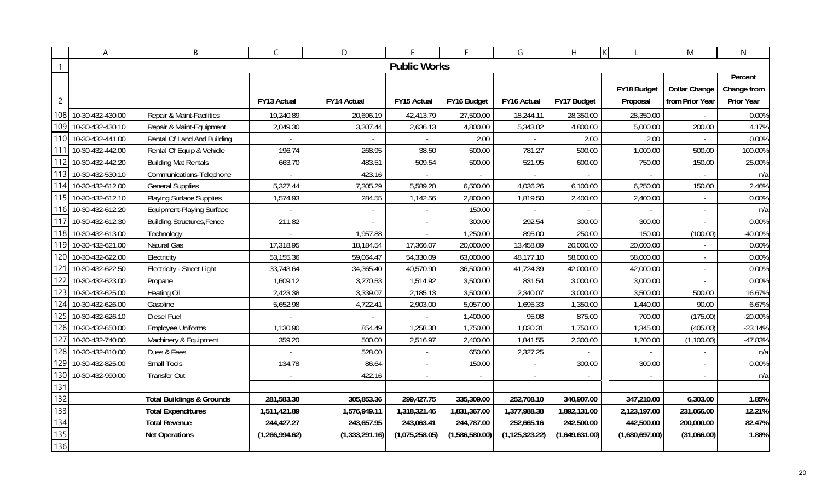|                | A                    | B                                    | C              | D                        | E                   | F.             | G                | H              |                | M                        | $\mathsf{N}$ |
|----------------|----------------------|--------------------------------------|----------------|--------------------------|---------------------|----------------|------------------|----------------|----------------|--------------------------|--------------|
|                |                      |                                      |                |                          | <b>Public Works</b> |                |                  |                |                |                          |              |
|                |                      |                                      |                |                          |                     |                |                  |                |                |                          | Percent      |
|                |                      |                                      |                |                          |                     |                |                  |                | FY18 Budget    | <b>Dollar Change</b>     | Change from  |
| $\overline{c}$ |                      |                                      | FY13 Actual    | FY14 Actual              | FY15 Actual         | FY16 Budget    | FY16 Actual      | FY17 Budget    | Proposal       | from Prior Year          | Prior Year   |
| 108            | 10-30-432-430.00     | Repair & Maint-Facilities            | 19,240.89      | 20,696.19                | 42,413.79           | 27,500.00      | 18,244.11        | 28,350.00      | 28,350.00      |                          | 0.00%        |
| 109            | 10-30-432-430.10     | Repair & Maint-Equipment             | 2,049.30       | 3,307.44                 | 2,636.13            | 4,800.00       | 5,343.82         | 4,800.00       | 5,000.00       | 200.00                   | 4.17%        |
| 110I           | 10-30-432-441.00     | Rental Of Land And Building          |                |                          | $\sim$              | 2.00           |                  | 2.00           | 2.00           |                          | 0.00%        |
| 111            | 10-30-432-442.00     | Rental Of Equip & Vehicle            | 196.74         | 268.95                   | 38.50               | 500.00         | 781.27           | 500.00         | 1,000.00       | 500.00                   | 100.00%      |
| 112            | 10-30-432-442.20     | <b>Building Mat Rentals</b>          | 663.70         | 483.51                   | 509.54              | 500.00         | 521.95           | 600.00         | 750.00         | 150.00                   | 25.00%       |
|                | 113 10-30-432-530.10 | Communications-Telephone             |                | 423.16                   |                     |                |                  |                |                |                          | n/a          |
| 114I           | 10-30-432-612.00     | <b>General Supplies</b>              | 5,327.44       | 7,305.29                 | 5,589.20            | 6,500.00       | 4,036.26         | 6,100.00       | 6,250.00       | 150.00                   | 2.46%        |
| 115            | 10-30-432-612.10     | <b>Playing Surface Supplies</b>      | 1,574.93       | 284.55                   | 1,142.56            | 2,800.00       | 1,819.50         | 2,400.00       | 2,400.00       |                          | 0.00%        |
| 116 <b>I</b>   | 10-30-432-612.20     | <b>Equipment-Playing Surface</b>     |                | $\overline{\phantom{a}}$ | $\sim$              | 150.00         |                  |                |                | $\overline{\phantom{a}}$ | n/a          |
| 117            | 10-30-432-612.30     | Building, Structures, Fence          | 211.82         | $\overline{\phantom{a}}$ | $\sim$              | 300.00         | 292.54           | 300.00         | 300.00         | $\blacksquare$           | 0.00%        |
| 118            | 10-30-432-613.00     | Technology                           |                | 1,957.88                 | $\mathcal{L}$       | 1,250.00       | 895.00           | 250.00         | 150.00         | (100.00)                 | $-40.00%$    |
| 119I           | 10-30-432-621.00     | Natural Gas                          | 17,318.95      | 18,184.54                | 17,366.07           | 20,000.00      | 13,458.09        | 20,000.00      | 20,000.00      |                          | 0.00%        |
| 120            | 10-30-432-622.00     | Electricity                          | 53,155.36      | 59,064.47                | 54,330.09           | 63,000.00      | 48,177.10        | 58,000.00      | 58,000.00      |                          | 0.00%        |
| 121            | 10-30-432-622.50     | Electricity - Street Light           | 33,743.64      | 34,365.40                | 40,570.90           | 36,500.00      | 41,724.39        | 42,000.00      | 42,000.00      |                          | 0.00%        |
| 122            | 10-30-432-623.00     | Propane                              | 1,609.12       | 3,270.53                 | 1,514.92            | 3,500.00       | 831.54           | 3,000.00       | 3,000.00       | $\overline{\phantom{a}}$ | 0.00%        |
| 123            | 10-30-432-625.00     | <b>Heating Oil</b>                   | 2,423.38       | 3,339.07                 | 2,185.13            | 3,500.00       | 2,340.07         | 3,000.00       | 3,500.00       | 500.00                   | 16.67%       |
| 124            | 10-30-432-626.00     | Gasoline                             | 5,652.98       | 4,722.41                 | 2,903.00            | 5,057.00       | 1,695.33         | 1,350.00       | 1,440.00       | 90.00                    | 6.67%        |
| 125            | 10-30-432-626.10     | <b>Diesel Fuel</b>                   |                |                          |                     | 1,400.00       | 95.08            | 875.00         | 700.00         | (175.00)                 | $-20.00%$    |
| 126            | 10-30-432-650.00     | <b>Employee Uniforms</b>             | 1,130.90       | 854.49                   | 1,258.30            | 1,750.00       | 1,030.31         | 1,750.00       | 1,345.00       | (405.00)                 | $-23.14%$    |
| 127            | 10-30-432-740.00     | Machinery & Equipment                | 359.20         | 500.00                   | 2,516.97            | 2,400.00       | 1,841.55         | 2,300.00       | 1,200.00       | (1,100.00)               | -47.83%      |
| 128            | 10-30-432-810.00     | Dues & Fees                          |                | 528.00                   | $\blacksquare$      | 650.00         | 2,327.25         |                |                |                          | n/a          |
| 129            | 10-30-432-825.00     | Small Tools                          | 134.78         | 86.64                    | $\sim$              | 150.00         | $\sim$           | 300.00         | 300.00         | $\overline{\phantom{a}}$ | 0.00%        |
| 130            | 10-30-432-990.00     | <b>Transfer Out</b>                  |                | 422.16                   | $\sim$              |                |                  |                |                |                          | n/a          |
| 131            |                      |                                      |                |                          |                     |                |                  |                |                |                          |              |
| 132            |                      | <b>Total Buildings &amp; Grounds</b> | 281,583.30     | 305,853.36               | 299,427.75          | 335,309.00     | 252,708.10       | 340,907.00     | 347,210.00     | 6,303.00                 | 1.85%        |
| 133            |                      | <b>Total Expenditures</b>            | 1,511,421.89   | 1,576,949.11             | 1,318,321.46        | 1,831,367.00   | 1,377,988.38     | 1,892,131.00   | 2,123,197.00   | 231,066.00               | 12.21%       |
| 134            |                      | <b>Total Revenue</b>                 | 244,427.27     | 243,657.95               | 243,063.41          | 244,787.00     | 252,665.16       | 242,500.00     | 442,500.00     | 200,000.00               | 82.47%       |
| 135            |                      | <b>Net Operations</b>                | (1,266,994.62) | (1,333,291.16)           | (1,075,258.05)      | (1,586,580.00) | (1, 125, 323.22) | (1,649,631.00) | (1,680,697.00) | (31,066.00)              | 1.88%        |
| 136            |                      |                                      |                |                          |                     |                |                  |                |                |                          |              |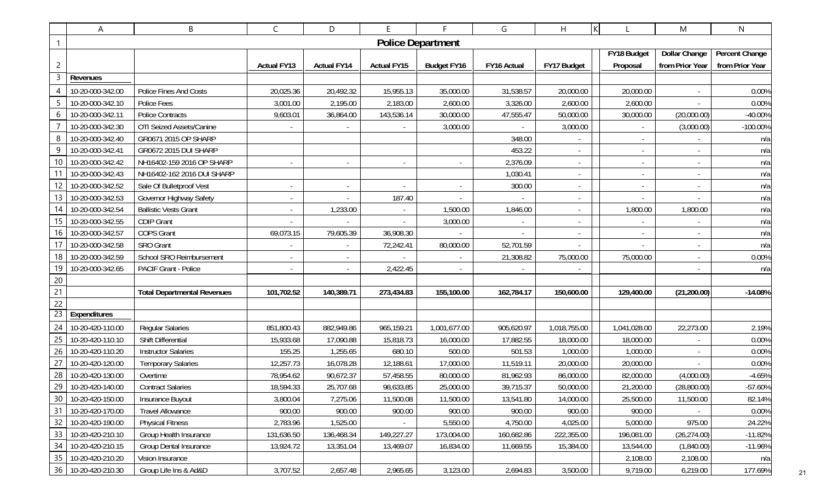|                 | Α                   | B                                  | C                  | D                  | E.                 | F.                       | G           | K<br>H       |                          | M                        | N                     |
|-----------------|---------------------|------------------------------------|--------------------|--------------------|--------------------|--------------------------|-------------|--------------|--------------------------|--------------------------|-----------------------|
|                 |                     |                                    |                    |                    |                    | <b>Police Department</b> |             |              |                          |                          |                       |
|                 |                     |                                    |                    |                    |                    |                          |             |              | FY18 Budget              | <b>Dollar Change</b>     | <b>Percent Change</b> |
| 2               |                     |                                    | <b>Actual FY13</b> | <b>Actual FY14</b> | <b>Actual FY15</b> | <b>Budget FY16</b>       | FY16 Actual | FY17 Budget  | Proposal                 | from Prior Year          | from Prior Year       |
| 3               | Revenues            |                                    |                    |                    |                    |                          |             |              |                          |                          |                       |
|                 | 10-20-000-342.00    | Police Fines And Costs             | 20,025.36          | 20,492.32          | 15,955.13          | 35,000.00                | 31,538.57   | 20,000.00    | 20,000.00                | $\sim$                   | 0.00%                 |
|                 | 10-20-000-342.10    | Police Fees                        | 3,001.00           | 2,195.00           | 2,183.00           | 2,600.00                 | 3,326.00    | 2,600.00     | 2,600.00                 |                          | 0.00%                 |
| 6               | 10-20-000-342.11    | <b>Police Contracts</b>            | 9,603.01           | 36,864.00          | 143,536.14         | 30,000.00                | 47,555.47   | 50,000.00    | 30,000.00                | (20,000.00)              | -40.00%               |
|                 | 10-20-000-342.30    | OTI Seized Assets/Canine           |                    |                    |                    | 3,000.00                 |             | 3,000.00     |                          | (3,000.00)               | -100.00%              |
| 8               | 10-20-000-342.40    | GR0671 2015 OP SHARP               |                    |                    |                    |                          | 348.00      |              |                          |                          | n/a                   |
| 9               | 10-20-000-342.41    | GR0672 2015 DUI SHARP              |                    |                    |                    |                          | 453.22      |              |                          | $\blacksquare$           | n/a                   |
| 10              | 10-20-000-342.42    | NH16402-159 2016 OP SHARP          |                    |                    |                    |                          | 2,376.09    |              | $\overline{\phantom{a}}$ | $\overline{\phantom{a}}$ | n/a                   |
|                 | 10-20-000-342.43    | NH16402-162 2016 DUI SHARP         |                    |                    |                    |                          | 1,030.41    |              | $\overline{\phantom{a}}$ | $\sim$                   | n/a                   |
| 12              | 10-20-000-342.52    | Sale Of Bulletproof Vest           |                    |                    |                    |                          | 300.00      |              |                          |                          | n/a                   |
| 13              | 10-20-000-342.53    | Governor Highway Safety            |                    |                    | 187.40             |                          |             |              |                          |                          | n/a                   |
| 14              | 10-20-000-342.54    | <b>Ballistic Vests Grant</b>       |                    | 1,233.00           |                    | 1,500.00                 | 1,846.00    |              | 1,800.00                 | 1,800.00                 | n/a                   |
| 15              | 10-20-000-342.55    | <b>CDIP Grant</b>                  |                    |                    |                    | 3,000.00                 |             |              |                          |                          | n/a                   |
| 16              | 10-20-000-342.57    | <b>COPS Grant</b>                  | 69,073.15          | 79,605.39          | 36,908.30          |                          |             |              | $\overline{\phantom{a}}$ | $\sim$                   | n/a                   |
|                 | 10-20-000-342.58    | <b>SRO Grant</b>                   |                    |                    | 72,242.41          | 80,000.00                | 52,701.59   |              |                          |                          | n/a                   |
| 18              | 10-20-000-342.59    | School SRO Reimbursement           |                    |                    |                    |                          | 21,308.82   | 75,000.00    | 75,000.00                | $\sim$                   | 0.00%                 |
| 19              | 10-20-000-342.65    | <b>PACIF Grant - Police</b>        |                    |                    | 2,422.45           |                          |             |              |                          |                          | n/a                   |
| 20              |                     |                                    |                    |                    |                    |                          |             |              |                          |                          |                       |
| 21              |                     | <b>Total Departmental Revenues</b> | 101,702.52         | 140,389.71         | 273,434.83         | 155,100.00               | 162,784.17  | 150,600.00   | 129,400.00               | (21, 200.00)             | $-14.08%$             |
| 22              |                     |                                    |                    |                    |                    |                          |             |              |                          |                          |                       |
| $\overline{23}$ | Expenditures        |                                    |                    |                    |                    |                          |             |              |                          |                          |                       |
| 24              | 10-20-420-110.00    | <b>Regular Salaries</b>            | 851,800.43         | 882,949.86         | 965,159.21         | 1,001,677.00             | 905,620.97  | 1,018,755.00 | 1,041,028.00             | 22,273.00                | 2.19%                 |
| 25              | 10-20-420-110.10    | Shift Differential                 | 15,933.68          | 17,090.88          | 15,818.73          | 16,000.00                | 17,882.55   | 18,000.00    | 18,000.00                |                          | 0.00%                 |
| 26              | 10-20-420-110.20    | <b>Instructor Salaries</b>         | 155.25             | 1,255.65           | 680.10             | 500.00                   | 501.53      | 1,000.00     | 1,000.00                 |                          | 0.00%                 |
| 27              | 10-20-420-120.00    | <b>Temporary Salaries</b>          | 12,257.73          | 16,078.28          | 12,188.61          | 17,000.00                | 11,519.11   | 20,000.00    | 20,000.00                |                          | 0.00%                 |
| 28              | 10-20-420-130.00    | Overtime                           | 78,954.62          | 90,672.37          | 57,458.55          | 80,000.00                | 81,962.93   | 86,000.00    | 82,000.00                | (4,000.00)               | $-4.65%$              |
|                 | 29 10-20-420-140.00 | <b>Contract Salaries</b>           | 18,594.33          | 25,707.68          | 98,633.85          | 25,000.00                | 39,715.37   | 50,000.00    | 21,200.00                | (28,800.00)              | $-57.60%$             |
| 30              | 10-20-420-150.00    | Insurance Buyout                   | 3,800.04           | 7,275.06           | 11,500.08          | 11,500.00                | 13,541.80   | 14,000.00    | 25,500.00                | 11,500.00                | 82.14%                |
| 31              | 10-20-420-170.00    | <b>Travel Allowance</b>            | 900.00             | 900.00             | 900.00             | 900.00                   | 900.00      | 900.00       | 900.00                   |                          | 0.00%                 |
| 32              | 10-20-420-190.00    | <b>Physical Fitness</b>            | 2,783.96           | 1,525.00           |                    | 5,550.00                 | 4,750.00    | 4,025.00     | 5,000.00                 | 975.00                   | 24.22%                |
| 33              | 10-20-420-210.10    | Group Health Insurance             | 131,636.50         | 136,468.34         | 149,227.27         | 173,004.00               | 160,682.86  | 222,355.00   | 196,081.00               | (26, 274.00)             | $-11.82%$             |
| 34              | 10-20-420-210.15    | <b>Group Dental Insurance</b>      | 13,924.72          | 13,351.04          | 13,469.07          | 16,834.00                | 11,669.55   | 15,384.00    | 13,544.00                | (1,840.00)               | $-11.96%$             |
| 35              | 10-20-420-210.20    | Vision Insurance                   |                    |                    |                    |                          |             |              | 2,108.00                 | 2,108.00                 | n/a                   |
|                 | 36 10-20-420-210.30 | Group Life Ins & Ad&D              | 3,707.52           | 2,657.48           | 2,965.65           | 3,123.00                 | 2,694.83    | 3,500.00     | 9,719.00                 | 6,219.00                 | 177.69%               |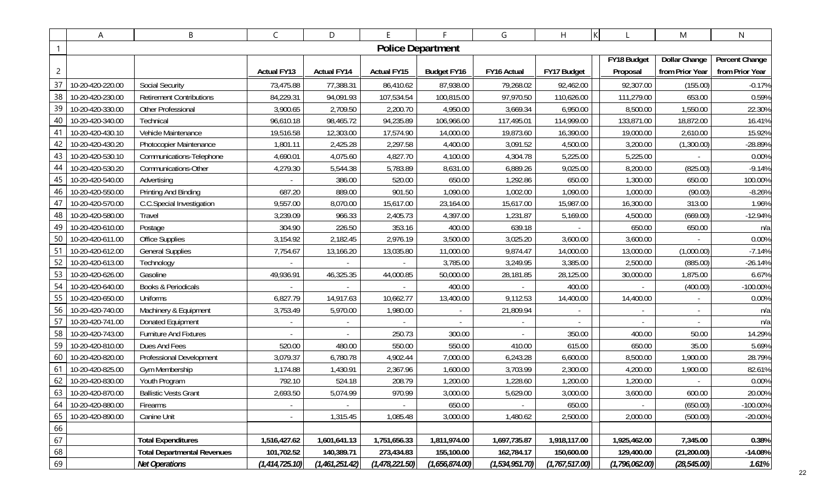|                | A                   | B                                  | C                  | D                  | E                  | F.                       | G                | H                | K                | M               | N               |
|----------------|---------------------|------------------------------------|--------------------|--------------------|--------------------|--------------------------|------------------|------------------|------------------|-----------------|-----------------|
|                |                     |                                    |                    |                    |                    | <b>Police Department</b> |                  |                  |                  |                 |                 |
|                |                     |                                    |                    |                    |                    |                          |                  |                  | FY18 Budget      | Dollar Change   | Percent Change  |
| $\overline{c}$ |                     |                                    | <b>Actual FY13</b> | <b>Actual FY14</b> | <b>Actual FY15</b> | <b>Budget FY16</b>       | FY16 Actual      | FY17 Budget      | Proposal         | from Prior Year | from Prior Year |
| 37             | 10-20-420-220.00    | <b>Social Security</b>             | 73,475.88          | 77,388.31          | 86,410.62          | 87,938.00                | 79,268.02        | 92,462.00        | 92,307.00        | (155.00)        | $-0.17%$        |
| 38             | 10-20-420-230.00    | <b>Retirement Contributions</b>    | 84,229.31          | 94,091.93          | 107,534.54         | 100,815.00               | 97,970.50        | 110,626.00       | 111,279.00       | 653.00          | 0.59%           |
| 39             | 10-20-420-330.00    | Other Professional                 | 3,900.65           | 2,709.50           | 2,200.70           | 4,950.00                 | 3,669.34         | 6,950.00         | 8,500.00         | 1,550.00        | 22.30%          |
| 40             | 10-20-420-340.00    | Technical                          | 96,610.18          | 98,465.72          | 94,235.89          | 106,966.00               | 117,495.01       | 114,999.00       | 133,871.00       | 18,872.00       | 16.41%          |
| 41             | 10-20-420-430.10    | Vehicle Maintenance                | 19,516.58          | 12,303.00          | 17,574.90          | 14,000.00                | 19,873.60        | 16,390.00        | 19,000.00        | 2,610.00        | 15.92%          |
| 42             | 10-20-420-430.20    | Photocopier Maintenance            | 1,801.11           | 2,425.28           | 2,297.58           | 4,400.00                 | 3,091.52         | 4,500.00         | 3,200.00         | (1,300.00)      | -28.89%         |
| 43             | 10-20-420-530.10    | Communications-Telephone           | 4,690.01           | 4,075.60           | 4,827.70           | 4,100.00                 | 4,304.78         | 5,225.00         | 5,225.00         |                 | 0.00%           |
| 44             | 10-20-420-530.20    | Communications-Other               | 4,279.30           | 5,544.38           | 5,783.89           | 8,631.00                 | 6,889.26         | 9,025.00         | 8,200.00         | (825.00)        | $-9.14%$        |
| 45             | 10-20-420-540.00    | Advertising                        |                    | 386.00             | 520.00             | 650.00                   | 1,292.86         | 650.00           | 1,300.00         | 650.00          | 100.00%         |
| 46             | 10-20-420-550.00    | Printing And Binding               | 687.20             | 889.00             | 901.50             | 1,090.00                 | 1,002.00         | 1,090.00         | 1,000.00         | (90.00)         | $-8.26%$        |
| 47             | 10-20-420-570.00    | C.C.Special Investigation          | 9,557.00           | 8,070.00           | 15,617.00          | 23,164.00                | 15,617.00        | 15,987.00        | 16,300.00        | 313.00          | 1.96%           |
| 48             | 10-20-420-580.00    | Travel                             | 3,239.09           | 966.33             | 2,405.73           | 4,397.00                 | 1,231.87         | 5,169.00         | 4,500.00         | (669.00)        | $-12.94%$       |
| 49             | 10-20-420-610.00    | Postage                            | 304.90             | 226.50             | 353.16             | 400.00                   | 639.18           |                  | 650.00           | 650.00          | n/a             |
| 50             | 10-20-420-611.00    | Office Supplies                    | 3,154.92           | 2,182.45           | 2,976.19           | 3,500.00                 | 3,025.20         | 3,600.00         | 3,600.00         |                 | 0.00%           |
| 51             | 10-20-420-612.00    | <b>General Supplies</b>            | 7,754.67           | 13,166.20          | 13,035.80          | 11,000.00                | 9,874.47         | 14,000.00        | 13,000.00        | (1,000.00)      | $-7.14%$        |
| 52             | 10-20-420-613.00    | Technology                         |                    |                    |                    | 3,785.00                 | 3,249.95         | 3,385.00         | 2,500.00         | (885.00)        | $-26.14%$       |
| 53             | 10-20-420-626.00    | Gasoline                           | 49,936.91          | 46,325.35          | 44,000.85          | 50,000.00                | 28,181.85        | 28,125.00        | 30,000.00        | 1,875.00        | 6.67%           |
| 54             | 10-20-420-640.00    | <b>Books &amp; Periodicals</b>     |                    |                    |                    | 400.00                   |                  | 400.00           |                  | (400.00)        | $-100.00\%$     |
| 55             | 10-20-420-650.00    | <b>Uniforms</b>                    | 6,827.79           | 14,917.63          | 10,662.77          | 13,400.00                | 9,112.53         | 14,400.00        | 14,400.00        |                 | 0.00%           |
| 56             | 10-20-420-740.00    | Machinery & Equipment              | 3,753.49           | 5,970.00           | 1,980.00           |                          | 21,809.94        |                  |                  |                 | n/a             |
| 57             | 10-20-420-741.00    | Donated Equipment                  | $\sim$             |                    |                    |                          |                  |                  |                  |                 | n/a             |
| 58             | 10-20-420-743.00    | <b>Furniture And Fixtures</b>      |                    |                    | 250.73             | 300.00                   |                  | 350.00           | 400.00           | 50.00           | 14.29%          |
| 59             | 10-20-420-810.00    | Dues And Fees                      | 520.00             | 480.00             | 550.00             | 550.00                   | 410.00           | 615.00           | 650.00           | 35.00           | 5.69%           |
| 60             | 10-20-420-820.00    | Professional Development           | 3,079.37           | 6,780.78           | 4,902.44           | 7,000.00                 | 6,243.28         | 6,600.00         | 8,500.00         | 1,900.00        | 28.79%          |
| 61             | 10-20-420-825.00    | Gym Membership                     | 1,174.88           | 1,430.91           | 2,367.96           | 1,600.00                 | 3,703.99         | 2,300.00         | 4,200.00         | 1,900.00        | 82.61%          |
| 62             | 10-20-420-830.00    | Youth Program                      | 792.10             | 524.18             | 208.79             | 1,200.00                 | 1,228.60         | 1,200.00         | 1,200.00         |                 | 0.00%           |
|                | 63 10-20-420-870.00 | <b>Ballistic Vests Grant</b>       | 2,693.50           | 5,074.99           | 970.99             | 3,000.00                 | 5,629.00         | 3,000.00         | 3,600.00         | 600.00          | 20.00%          |
| 64             | 10-20-420-880.00    | Firearms                           |                    |                    |                    | 650.00                   |                  | 650.00           |                  | (650.00)        | $-100.00\%$     |
| 65             | 10-20-420-890.00    | Canine Unit                        |                    | 1,315.45           | 1,085.48           | 3,000.00                 | 1,480.62         | 2,500.00         | 2,000.00         | (500.00)        | $-20.00\%$      |
| 66             |                     |                                    |                    |                    |                    |                          |                  |                  |                  |                 |                 |
| 67             |                     | <b>Total Expenditures</b>          | 1,516,427.62       | 1,601,641.13       | 1,751,656.33       | 1,811,974.00             | 1,697,735.87     | 1,918,117.00     | 1,925,462.00     | 7,345.00        | 0.38%           |
| 68             |                     | <b>Total Departmental Revenues</b> | 101,702.52         | 140,389.71         | 273,434.83         | 155,100.00               | 162,784.17       | 150,600.00       | 129,400.00       | (21, 200.00)    | $-14.08%$       |
| 69             |                     | <b>Net Operations</b>              | (1, 414, 725.10)   | (1,461,251.42)     | (1, 478, 221.50)   | (1,656,874.00)           | (1, 534, 951.70) | (1, 767, 517.00) | (1, 796, 062.00) | (28, 545.00)    | 1.61%           |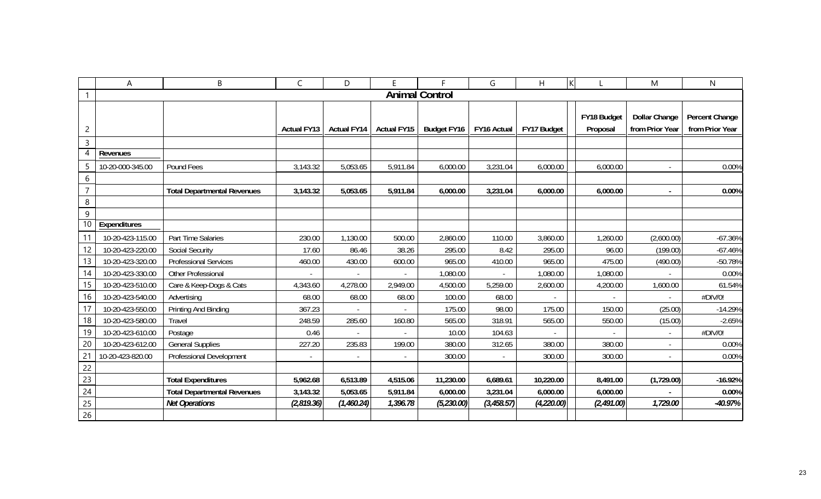|                 | A                | B                                  | $\mathsf{C}$       | D                  | F                  | Е                     | G           | Н           | $\mathsf K$             | M                                       | $\mathsf{N}$                      |
|-----------------|------------------|------------------------------------|--------------------|--------------------|--------------------|-----------------------|-------------|-------------|-------------------------|-----------------------------------------|-----------------------------------|
|                 |                  |                                    |                    |                    |                    | <b>Animal Control</b> |             |             |                         |                                         |                                   |
| 2               |                  |                                    | <b>Actual FY13</b> | <b>Actual FY14</b> | <b>Actual FY15</b> | <b>Budget FY16</b>    | FY16 Actual | FY17 Budget | FY18 Budget<br>Proposal | <b>Dollar Change</b><br>from Prior Year | Percent Change<br>from Prior Year |
| $\mathsf{3}$    |                  |                                    |                    |                    |                    |                       |             |             |                         |                                         |                                   |
| 4               | Revenues         |                                    |                    |                    |                    |                       |             |             |                         |                                         |                                   |
| 5               | 10-20-000-345.00 | Pound Fees                         | 3,143.32           | 5,053.65           | 5,911.84           | 6,000.00              | 3,231.04    | 6,000.00    | 6,000.00                | $\blacksquare$                          | 0.00%                             |
| 6               |                  |                                    |                    |                    |                    |                       |             |             |                         |                                         |                                   |
| $\overline{7}$  |                  | <b>Total Departmental Revenues</b> | 3,143.32           | 5,053.65           | 5,911.84           | 6,000.00              | 3,231.04    | 6,000.00    | 6,000.00                | ÷                                       | 0.00%                             |
| 8               |                  |                                    |                    |                    |                    |                       |             |             |                         |                                         |                                   |
| 9               |                  |                                    |                    |                    |                    |                       |             |             |                         |                                         |                                   |
| 10 <sup>°</sup> | Expenditures     |                                    |                    |                    |                    |                       |             |             |                         |                                         |                                   |
| 11              | 10-20-423-115.00 | Part Time Salaries                 | 230.00             | 1,130.00           | 500.00             | 2,860.00              | 110.00      | 3,860.00    | 1,260.00                | (2,600.00)                              | $-67.36%$                         |
| 12              | 10-20-423-220.00 | <b>Social Security</b>             | 17.60              | 86.46              | 38.26              | 295.00                | 8.42        | 295.00      | 96.00                   | (199.00)                                | $-67.46%$                         |
| 13              | 10-20-423-320.00 | <b>Professional Services</b>       | 460.00             | 430.00             | 600.00             | 965.00                | 410.00      | 965.00      | 475.00                  | (490.00)                                | $-50.78%$                         |
| 14              | 10-20-423-330.00 | Other Professional                 |                    | $\blacksquare$     |                    | 1,080.00              |             | 1,080.00    | 1,080.00                |                                         | 0.00%                             |
| 15              | 10-20-423-510.00 | Care & Keep-Dogs & Cats            | 4,343.60           | 4,278.00           | 2,949.00           | 4,500.00              | 5,259.00    | 2,600.00    | 4,200.00                | 1,600.00                                | 61.54%                            |
| 16              | 10-20-423-540.00 | Advertising                        | 68.00              | 68.00              | 68.00              | 100.00                | 68.00       |             |                         |                                         | #DIV/0!                           |
| 17              | 10-20-423-550.00 | Printing And Binding               | 367.23             | $\blacksquare$     |                    | 175.00                | 98.00       | 175.00      | 150.00                  | (25.00)                                 | $-14.29%$                         |
| 18              | 10-20-423-580.00 | Travel                             | 248.59             | 285.60             | 160.80             | 565.00                | 318.91      | 565.00      | 550.00                  | (15.00)                                 | $-2.65%$                          |
| 19              | 10-20-423-610.00 | Postage                            | 0.46               |                    |                    | 10.00                 | 104.63      |             |                         | $\overline{\phantom{a}}$                | #DIV/0!                           |
| 20              | 10-20-423-612.00 | <b>General Supplies</b>            | 227.20             | 235.83             | 199.00             | 380.00                | 312.65      | 380.00      | 380.00                  | $\blacksquare$                          | 0.00%                             |
| 21              | 10-20-423-820.00 | Professional Development           | $\blacksquare$     | $\sim$             |                    | 300.00                |             | 300.00      | 300.00                  | $\blacksquare$                          | 0.00%                             |
| 22              |                  |                                    |                    |                    |                    |                       |             |             |                         |                                         |                                   |
| 23              |                  | <b>Total Expenditures</b>          | 5,962.68           | 6,513.89           | 4,515.06           | 11,230.00             | 6,689.61    | 10,220.00   | 8,491.00                | (1,729.00)                              | $-16.92%$                         |
| 24              |                  | <b>Total Departmental Revenues</b> | 3,143.32           | 5,053.65           | 5,911.84           | 6,000.00              | 3,231.04    | 6,000.00    | 6,000.00                |                                         | 0.00%                             |
| 25              |                  | <b>Net Operations</b>              | (2,819.36)         | (1,460.24)         | 1,396.78           | (5, 230.00)           | (3,458.57)  | (4, 220.00) | (2, 491.00)             | 1,729.00                                | $-40.97%$                         |
| 26              |                  |                                    |                    |                    |                    |                       |             |             |                         |                                         |                                   |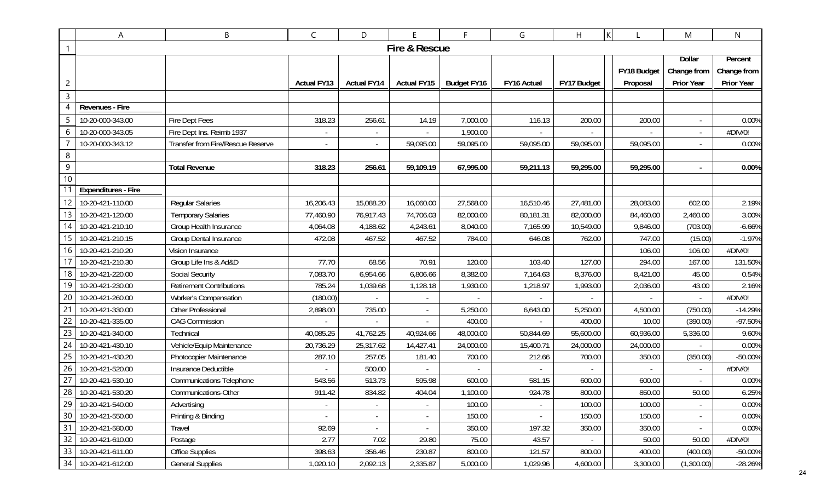|                | Α                          | B                                 | C                  | D                        | E.                       | F.                 | G           | K<br>Η      |             | M                 | $\mathsf{N}$ |
|----------------|----------------------------|-----------------------------------|--------------------|--------------------------|--------------------------|--------------------|-------------|-------------|-------------|-------------------|--------------|
|                | Fire & Rescue              |                                   |                    |                          |                          |                    |             |             |             |                   |              |
|                |                            |                                   |                    |                          |                          |                    |             |             |             | <b>Dollar</b>     | Percent      |
|                |                            |                                   |                    |                          |                          |                    |             |             | FY18 Budget | Change from       | Change from  |
| $\overline{c}$ |                            |                                   | <b>Actual FY13</b> | <b>Actual FY14</b>       | <b>Actual FY15</b>       | <b>Budget FY16</b> | FY16 Actual | FY17 Budget | Proposal    | <b>Prior Year</b> | Prior Year   |
| 3              |                            |                                   |                    |                          |                          |                    |             |             |             |                   |              |
| 4              | Revenues - Fire            |                                   |                    |                          |                          |                    |             |             |             |                   |              |
| 5              | 10-20-000-343.00           | Fire Dept Fees                    | 318.23             | 256.61                   | 14.19                    | 7,000.00           | 116.13      | 200.00      | 200.00      |                   | 0.00%        |
| 6              | 10-20-000-343.05           | Fire Dept Ins. Reimb 1937         |                    |                          |                          | 1,900.00           |             |             |             |                   | #DIV/0!      |
|                | 10-20-000-343.12           | Transfer from Fire/Rescue Reserve |                    |                          | 59,095.00                | 59,095.00          | 59,095.00   | 59,095.00   | 59,095.00   |                   | 0.00%        |
| $\,8\,$        |                            |                                   |                    |                          |                          |                    |             |             |             |                   |              |
| $\overline{9}$ |                            | <b>Total Revenue</b>              | 318.23             | 256.61                   | 59,109.19                | 67,995.00          | 59,211.13   | 59,295.00   | 59,295.00   |                   | 0.00%        |
| 10             |                            |                                   |                    |                          |                          |                    |             |             |             |                   |              |
|                | <b>Expenditures - Fire</b> |                                   |                    |                          |                          |                    |             |             |             |                   |              |
| 12             | 10-20-421-110.00           | <b>Regular Salaries</b>           | 16,206.43          | 15,088.20                | 16,060.00                | 27,568.00          | 16,510.46   | 27,481.00   | 28,083.00   | 602.00            | 2.19%        |
| 13             | 10-20-421-120.00           | <b>Temporary Salaries</b>         | 77,460.90          | 76,917.43                | 74,706.03                | 82,000.00          | 80,181.31   | 82,000.00   | 84,460.00   | 2,460.00          | 3.00%        |
| 14             | 10-20-421-210.10           | Group Health Insurance            | 4,064.08           | 4,188.62                 | 4,243.61                 | 8,040.00           | 7,165.99    | 10,549.00   | 9,846.00    | (703.00)          | $-6.66%$     |
| 15             | 10-20-421-210.15           | Group Dental Insurance            | 472.08             | 467.52                   | 467.52                   | 784.00             | 646.08      | 762.00      | 747.00      | (15.00)           | $-1.97%$     |
| 16             | 10-20-421-210.20           | Vision Insurance                  |                    |                          |                          |                    |             |             | 106.00      | 106.00            | #DIV/0!      |
| 17             | 10-20-421-210.30           | Group Life Ins & Ad&D             | 77.70              | 68.56                    | 70.91                    | 120.00             | 103.40      | 127.00      | 294.00      | 167.00            | 131.50%      |
| 18             | 10-20-421-220.00           | Social Security                   | 7,083.70           | 6,954.66                 | 6,806.66                 | 8,382.00           | 7,164.63    | 8,376.00    | 8,421.00    | 45.00             | 0.54%        |
| 19             | 10-20-421-230.00           | <b>Retirement Contributions</b>   | 785.24             | 1,039.68                 | 1,128.18                 | 1,930.00           | 1,218.97    | 1,993.00    | 2,036.00    | 43.00             | 2.16%        |
| 20             | 10-20-421-260.00           | Worker's Compensation             | (180.00)           |                          |                          |                    |             |             |             |                   | #DIV/0!      |
| 21             | 10-20-421-330.00           | Other Professional                | 2,898.00           | 735.00                   |                          | 5,250.00           | 6,643.00    | 5,250.00    | 4,500.00    | (750.00)          | $-14.29%$    |
| 22             | 10-20-421-335.00           | <b>CAG Commission</b>             |                    |                          | $\sim$                   | 400.00             |             | 400.00      | 10.00       | (390.00)          | -97.50%      |
| 23             | 10-20-421-340.00           | Technical                         | 40,085.25          | 41,762.25                | 40,924.66                | 48,000.00          | 50,844.69   | 55,600.00   | 60,936.00   | 5,336.00          | 9.60%        |
| 24             | 10-20-421-430.10           | Vehicle/Equip Maintenance         | 20,736.29          | 25,317.62                | 14,427.41                | 24,000.00          | 15,400.71   | 24,000.00   | 24,000.00   |                   | 0.00%        |
| 25             | 10-20-421-430.20           | Photocopier Maintenance           | 287.10             | 257.05                   | 181.40                   | 700.00             | 212.66      | 700.00      | 350.00      | (350.00)          | $-50.00%$    |
| 26             | 10-20-421-520.00           | Insurance Deductible              |                    | 500.00                   |                          |                    |             |             |             |                   | #DIV/0!      |
| 27             | 10-20-421-530.10           | <b>Communications Telephone</b>   | 543.56             | 513.73                   | 595.98                   | 600.00             | 581.15      | 600.00      | 600.00      |                   | 0.00%        |
| 28             | 10-20-421-530.20           | Communications-Other              | 911.42             | 834.82                   | 404.04                   | 1,100.00           | 924.78      | 800.00      | 850.00      | 50.00             | 6.25%        |
| 29             | 10-20-421-540.00           | Advertising                       |                    |                          |                          | 100.00             |             | 100.00      | 100.00      |                   | 0.00%        |
| 30             | 10-20-421-550.00           | Printing & Binding                |                    |                          |                          | 150.00             | $\sim$      | 150.00      | 150.00      |                   | 0.00%        |
| 31             | 10-20-421-580.00           | Travel                            | 92.69              | $\overline{\phantom{a}}$ | $\overline{\phantom{a}}$ | 350.00             | 197.32      | 350.00      | 350.00      |                   | 0.00%        |
| 32             | 10-20-421-610.00           | Postage                           | 2.77               | 7.02                     | 29.80                    | 75.00              | 43.57       |             | 50.00       | 50.00             | #DIV/0!      |
| 33             | 10-20-421-611.00           | <b>Office Supplies</b>            | 398.63             | 356.46                   | 230.87                   | 800.00             | 121.57      | 800.00      | 400.00      | (400.00)          | $-50.00%$    |
| 34             | 10-20-421-612.00           | <b>General Supplies</b>           | 1,020.10           | 2,092.13                 | 2,335.87                 | 5,000.00           | 1,029.96    | 4,600.00    | 3,300.00    | (1,300.00)        | $-28.26%$    |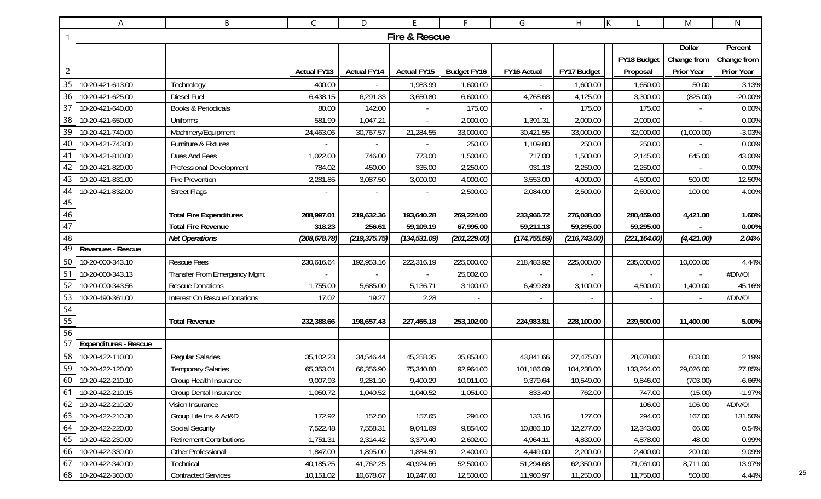|                | A                            | B                                   | C                  | D                  | E                  | F.                 | G             | Η             | K             | M                 | $\mathsf{N}$ |
|----------------|------------------------------|-------------------------------------|--------------------|--------------------|--------------------|--------------------|---------------|---------------|---------------|-------------------|--------------|
|                |                              | Fire & Rescue                       |                    |                    |                    |                    |               |               |               |                   |              |
|                |                              |                                     |                    |                    |                    |                    |               |               |               | Dollar            | Percent      |
|                |                              |                                     |                    |                    |                    |                    |               |               | FY18 Budget   | Change from       | Change from  |
| $\overline{c}$ |                              |                                     | <b>Actual FY13</b> | <b>Actual FY14</b> | <b>Actual FY15</b> | <b>Budget FY16</b> | FY16 Actual   | FY17 Budget   | Proposal      | <b>Prior Year</b> | Prior Year   |
| 35             | 10-20-421-613.00             | Technology                          | 400.00             |                    | 1,983.99           | 1,600.00           |               | 1,600.00      | 1,650.00      | 50.00             | 3.13%        |
| 36             | 10-20-421-625.00             | <b>Diesel Fuel</b>                  | 6,438.15           | 6,291.33           | 3,650.80           | 6,600.00           | 4,768.68      | 4,125.00      | 3,300.00      | (825.00)          | $-20.00%$    |
| 37             | 10-20-421-640.00             | Books & Periodicals                 | 80.00              | 142.00             |                    | 175.00             |               | 175.00        | 175.00        |                   | 0.00%        |
| 38             | 10-20-421-650.00             | <b>Uniforms</b>                     | 581.99             | 1,047.21           |                    | 2,000.00           | 1,391.31      | 2,000.00      | 2,000.00      |                   | 0.00%        |
| 39             | 10-20-421-740.00             | Machinery/Equipment                 | 24,463.06          | 30,767.57          | 21,284.55          | 33,000.00          | 30,421.55     | 33,000.00     | 32,000.00     | (1,000.00)        | $-3.03%$     |
| 40             | 10-20-421-743.00             | Furniture & Fixtures                |                    |                    |                    | 250.00             | 1,109.80      | 250.00        | 250.00        |                   | 0.00%        |
| 41             | 10-20-421-810.00             | Dues And Fees                       | 1,022.00           | 746.00             | 773.00             | 1,500.00           | 717.00        | 1,500.00      | 2,145.00      | 645.00            | 43.00%       |
| 42             | 10-20-421-820.00             | Professional Development            | 784.02             | 450.00             | 335.00             | 2,250.00           | 931.13        | 2,250.00      | 2,250.00      |                   | 0.00%        |
| 43             | 10-20-421-831.00             | <b>Fire Prevention</b>              | 2,281.85           | 3,087.50           | 3,000.00           | 4,000.00           | 3,553.00      | 4,000.00      | 4,500.00      | 500.00            | 12.50%       |
| 44             | 10-20-421-832.00             | <b>Street Flags</b>                 |                    |                    |                    | 2,500.00           | 2,084.00      | 2,500.00      | 2,600.00      | 100.00            | 4.00%        |
| 45             |                              |                                     |                    |                    |                    |                    |               |               |               |                   |              |
| 46             |                              | <b>Total Fire Expenditures</b>      | 208,997.01         | 219,632.36         | 193,640.28         | 269,224.00         | 233,966.72    | 276,038.00    | 280,459.00    | 4,421.00          | 1.60%        |
| 47             |                              | <b>Total Fire Revenue</b>           | 318.23             | 256.61             | 59,109.19          | 67,995.00          | 59,211.13     | 59,295.00     | 59,295.00     |                   | 0.00%        |
| 48             |                              | <b>Net Operations</b>               | (208, 678.78)      | (219, 375.75)      | (134, 531.09)      | (201, 229.00)      | (174, 755.59) | (216, 743.00) | (221, 164.00) | (4, 421.00)       | 2.04%        |
| 49             | Revenues - Rescue            |                                     |                    |                    |                    |                    |               |               |               |                   |              |
| 50             | 10-20-000-343.10             | <b>Rescue Fees</b>                  | 230,616.64         | 192,953.16         | 222,316.19         | 225,000.00         | 218,483.92    | 225,000.00    | 235,000.00    | 10,000.00         | 4.44%        |
| 5 <sup>1</sup> | 10-20-000-343.13             | <b>Transfer From Emergency Mgmt</b> |                    |                    |                    | 25,002.00          |               |               |               |                   | #DIV/0!      |
| 52             | 10-20-000-343.56             | <b>Rescue Donations</b>             | 1,755.00           | 5,685.00           | 5,136.71           | 3,100.00           | 6,499.89      | 3,100.00      | 4,500.00      | 1,400.00          | 45.16%       |
| 53             | 10-20-490-361.00             | <b>Interest On Rescue Donations</b> | 17.02              | 19.27              | 2.28               |                    |               |               |               |                   | #DIV/0!      |
| 54             |                              |                                     |                    |                    |                    |                    |               |               |               |                   |              |
| 55             |                              | <b>Total Revenue</b>                | 232,388.66         | 198,657.43         | 227,455.18         | 253,102.00         | 224,983.81    | 228,100.00    | 239,500.00    | 11,400.00         | 5.00%        |
| 56             |                              |                                     |                    |                    |                    |                    |               |               |               |                   |              |
| 57             | <b>Expenditures - Rescue</b> |                                     |                    |                    |                    |                    |               |               |               |                   |              |
| 58             | 10-20-422-110.00             | <b>Regular Salaries</b>             | 35,102.23          | 34,546.44          | 45,258.35          | 35,853.00          | 43,841.66     | 27,475.00     | 28,078.00     | 603.00            | 2.19%        |
| 59             | 10-20-422-120.00             | <b>Temporary Salaries</b>           | 65,353.01          | 66,356.90          | 75,340.88          | 92,964.00          | 101,186.09    | 104,238.00    | 133,264.00    | 29,026.00         | 27.85%       |
|                | 60 10-20-422-210.10          | Group Health Insurance              | 9,007.93           | 9,281.10           | 9,400.29           | 10,011.00          | 9,379.64      | 10,549.00     | 9,846.00      | (703.00)          | $-6.66%$     |
| 61             | 10-20-422-210.15             | Group Dental Insurance              | 1,050.72           | 1,040.52           | 1,040.52           | 1,051.00           | 833.40        | 762.00        | 747.00        | (15.00)           | $-1.97%$     |
| 62             | 10-20-422-210.20             | Vision Insurance                    |                    |                    |                    |                    |               |               | 106.00        | 106.00            | #DIV/0!      |
| 63             | 10-20-422-210.30             | Group Life Ins & Ad&D               | 172.92             | 152.50             | 157.65             | 294.00             | 133.16        | 127.00        | 294.00        | 167.00            | 131.50%      |
| 64             | 10-20-422-220.00             | Social Security                     | 7,522.48           | 7,558.31           | 9,041.69           | 9,854.00           | 10,886.10     | 12,277.00     | 12,343.00     | 66.00             | 0.54%        |
| 65             | 10-20-422-230.00             | <b>Retirement Contributions</b>     | 1,751.31           | 2,314.42           | 3,379.40           | 2,602.00           | 4,964.11      | 4,830.00      | 4,878.00      | 48.00             | 0.99%        |
| 66             | 10-20-422-330.00             | Other Professional                  | 1,847.00           | 1,895.00           | 1,884.50           | 2,400.00           | 4,449.00      | 2,200.00      | 2,400.00      | 200.00            | 9.09%        |
| 67             | 10-20-422-340.00             | Technical                           | 40,185.25          | 41,762.25          | 40,924.66          | 52,500.00          | 51,294.68     | 62,350.00     | 71,061.00     | 8,711.00          | 13.97%       |
|                | 68 10-20-422-360.00          | <b>Contracted Services</b>          | 10,151.02          | 10,678.67          | 10,247.60          | 12,500.00          | 11,960.97     | 11,250.00     | 11,750.00     | 500.00            | 4.44%        |